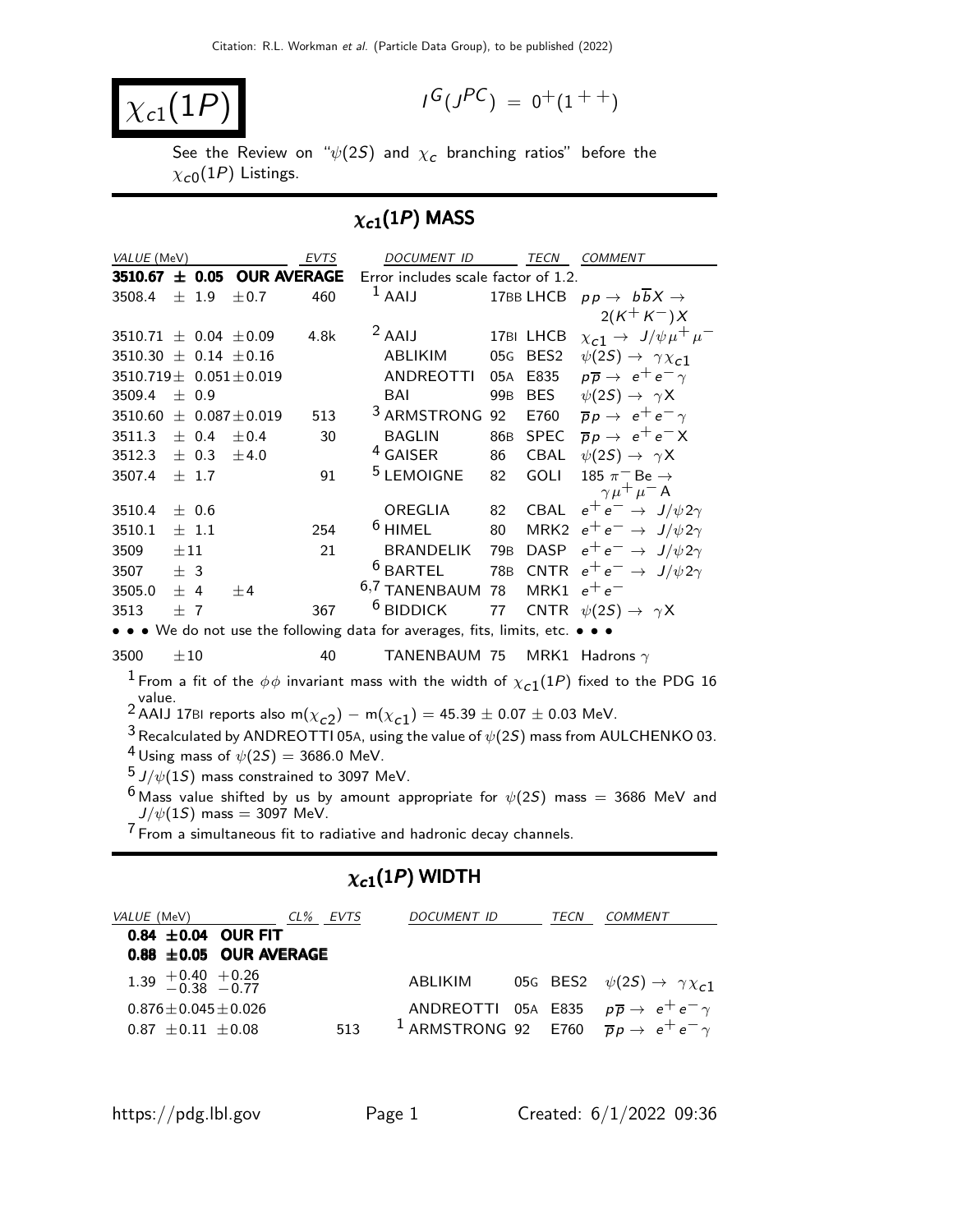$$
\boxed{\chi_{c1}(1P)}
$$

$$
I^G(J^{PC}) = 0^+(1^{++})
$$

See the Review on " $\psi(2\mathcal{S})$  and  $\chi_{\bm{c}}$  branching ratios" before the  $\chi_{\rm c0}(1P)$  Listings.

# $\chi_{c1}(1P)$  MASS

| VALUE (MeV)                      |          |           |                                                     | EVTS | DOCUMENT ID                                                                                                |                 |               | TECN COMMENT                                                                                           |
|----------------------------------|----------|-----------|-----------------------------------------------------|------|------------------------------------------------------------------------------------------------------------|-----------------|---------------|--------------------------------------------------------------------------------------------------------|
|                                  |          |           | 3510.67 ± 0.05 OUR AVERAGE                          |      | Error includes scale factor of 1.2.                                                                        |                 |               |                                                                                                        |
| 3508.4                           |          | $\pm$ 1.9 | ±0.7                                                | 460  | $1$ AAIJ                                                                                                   |                 | 17BB LHCB     | $pp \rightarrow b\overline{b}X \rightarrow$                                                            |
|                                  |          |           |                                                     |      |                                                                                                            |                 |               | $2(K^+K^-)X$                                                                                           |
| $3510.71 \pm 0.04 \pm 0.09$      |          |           |                                                     | 4.8k | $2$ AAIJ                                                                                                   |                 | 17BI LHCB     | $\chi_{c1} \rightarrow J/\psi \mu^+ \mu^-$                                                             |
| 3510.30 $\pm$ 0.14 $\pm$ 0.16    |          |           |                                                     |      | ABLIKIM                                                                                                    | 05G             | BES2          | $\psi(2S) \rightarrow \gamma \chi_{c1}$                                                                |
| 3510.719 $\pm$ 0.051 $\pm$ 0.019 |          |           |                                                     |      | <b>ANDREOTTI</b>                                                                                           | 05A             | E835          | $p\overline{p} \rightarrow e^+e^- \gamma$                                                              |
| 3509.4                           |          | $\pm$ 0.9 |                                                     |      | BAI                                                                                                        | 99 <sub>B</sub> | <b>BES</b>    | $\psi(2S) \rightarrow \gamma X$                                                                        |
| 3510.60 $\pm$ 0.087 $\pm$ 0.019  |          |           |                                                     | 513  | <sup>3</sup> ARMSTRONG 92                                                                                  |                 | E760          | $\overline{p}p \rightarrow e^+e^- \gamma$                                                              |
| 3511.3                           |          | $\pm$ 0.4 | ±0.4                                                | 30   | <b>BAGLIN</b>                                                                                              | 86 <sub>B</sub> | SPEC          | $\overline{p}p \rightarrow e^+e^-X$                                                                    |
| 3512.3 $\pm$ 0.3 $\pm$ 4.0       |          |           |                                                     |      | <sup>4</sup> GAISER                                                                                        | 86              | CBAL          | $\psi(2S) \rightarrow \gamma X$                                                                        |
| 3507.4                           |          | $\pm$ 1.7 |                                                     | 91   | <sup>5</sup> LEMOIGNE                                                                                      | 82              | <b>GOLI</b>   | 185 $\pi$ <sup>-</sup> Be $\rightarrow$                                                                |
|                                  |          |           |                                                     |      |                                                                                                            |                 |               | $\gamma \mu^+ \mu^-$ A                                                                                 |
| 3510.4                           |          | ± 0.6     |                                                     |      | OREGLIA<br>$6$ HIMEL                                                                                       | 82              | CBAL          | $e^+e^- \rightarrow J/\psi 2\gamma$                                                                    |
| 3510.1                           |          | $\pm$ 1.1 |                                                     | 254  |                                                                                                            | 80              |               | MRK2 $e^+e^- \rightarrow J/\psi 2\gamma$                                                               |
| 3509                             | $\pm 11$ |           |                                                     | 21   | BRANDELIK                                                                                                  | 79B             |               | DASP $e^+e^- \rightarrow J/\psi 2\gamma$                                                               |
| 3507                             | ± 3      |           |                                                     |      | $6$ BARTEL                                                                                                 |                 |               | 78B CNTR $e^+e^- \rightarrow J/\psi 2\gamma$                                                           |
| 3505.0                           | ± 4      |           | ±4                                                  |      | <sup>6,7</sup> TANENBAUM 78                                                                                |                 | MRK1 $e^+e^-$ |                                                                                                        |
| 3513                             | $+7$     |           |                                                     | 367  | $6$ BIDDICK                                                                                                | 77              |               | CNTR $\psi(2S) \rightarrow \gamma X$                                                                   |
|                                  |          |           |                                                     |      | • • • We do not use the following data for averages, fits, limits, etc. • • •                              |                 |               |                                                                                                        |
| 3500                             | $\pm 10$ |           |                                                     | 40   | TANENBAUM 75                                                                                               |                 |               | MRK1 Hadrons $\gamma$                                                                                  |
|                                  |          |           |                                                     |      |                                                                                                            |                 |               | $^1$ From a fit of the $\phi\phi$ invariant mass with the width of $\chi_{c1}(1P)$ fixed to the PDG 16 |
| value.                           |          |           |                                                     |      |                                                                                                            |                 |               |                                                                                                        |
|                                  |          |           |                                                     |      | <sup>2</sup> AAIJ 17BI reports also m( $\chi_{c2}$ ) – m( $\chi_{c1}$ ) = 45.39 $\pm$ 0.07 $\pm$ 0.03 MeV. |                 |               |                                                                                                        |
|                                  |          |           |                                                     |      |                                                                                                            |                 |               | <sup>3</sup> Recalculated by ANDREOTTI 05A, using the value of $\psi(2S)$ mass from AULCHENKO 03.      |
|                                  |          |           | <sup>4</sup> Using mass of $\psi(2S) = 3686.0$ MeV. |      |                                                                                                            |                 |               |                                                                                                        |
|                                  |          |           | $5$ J/ $\psi(1S)$ mass constrained to 3097 MeV.     |      |                                                                                                            |                 |               |                                                                                                        |
|                                  |          |           |                                                     |      |                                                                                                            |                 |               | <sup>6</sup> Mass value shifted by us by amount appropriate for $\psi(2S)$ mass = 3686 MeV and         |
| 7.                               |          |           | $J/\psi(1S)$ mass = 3097 MeV.                       |      |                                                                                                            |                 |               |                                                                                                        |

7 From a simultaneous fit to radiative and hadronic decay channels.

# $\chi_{c1}(1P)$  WIDTH

| <i>VALUE</i> (MeV)                                     | CL% EVTS | DOCUMENT ID | TECN | COMMENT                                                                 |
|--------------------------------------------------------|----------|-------------|------|-------------------------------------------------------------------------|
| 0.84 $\pm$ 0.04 OUR FIT<br>$0.88 \pm 0.05$ OUR AVERAGE |          |             |      |                                                                         |
|                                                        |          |             |      |                                                                         |
| $1.39 + 0.40 + 0.26$<br>-0.38 -0.77                    |          | ABLIKIM     |      | 05G BES2 $\psi(2S) \rightarrow \gamma \chi_{c1}$                        |
| $0.876 + 0.045 + 0.026$                                |          |             |      | ANDREOTTI 05A E835 $p\overline{p} \rightarrow e^+e^- \gamma$            |
| $0.87 + 0.11 + 0.08$                                   | 513      |             |      | <sup>1</sup> ARMSTRONG 92 E760 $\overline{p}p \rightarrow e^+e^-\gamma$ |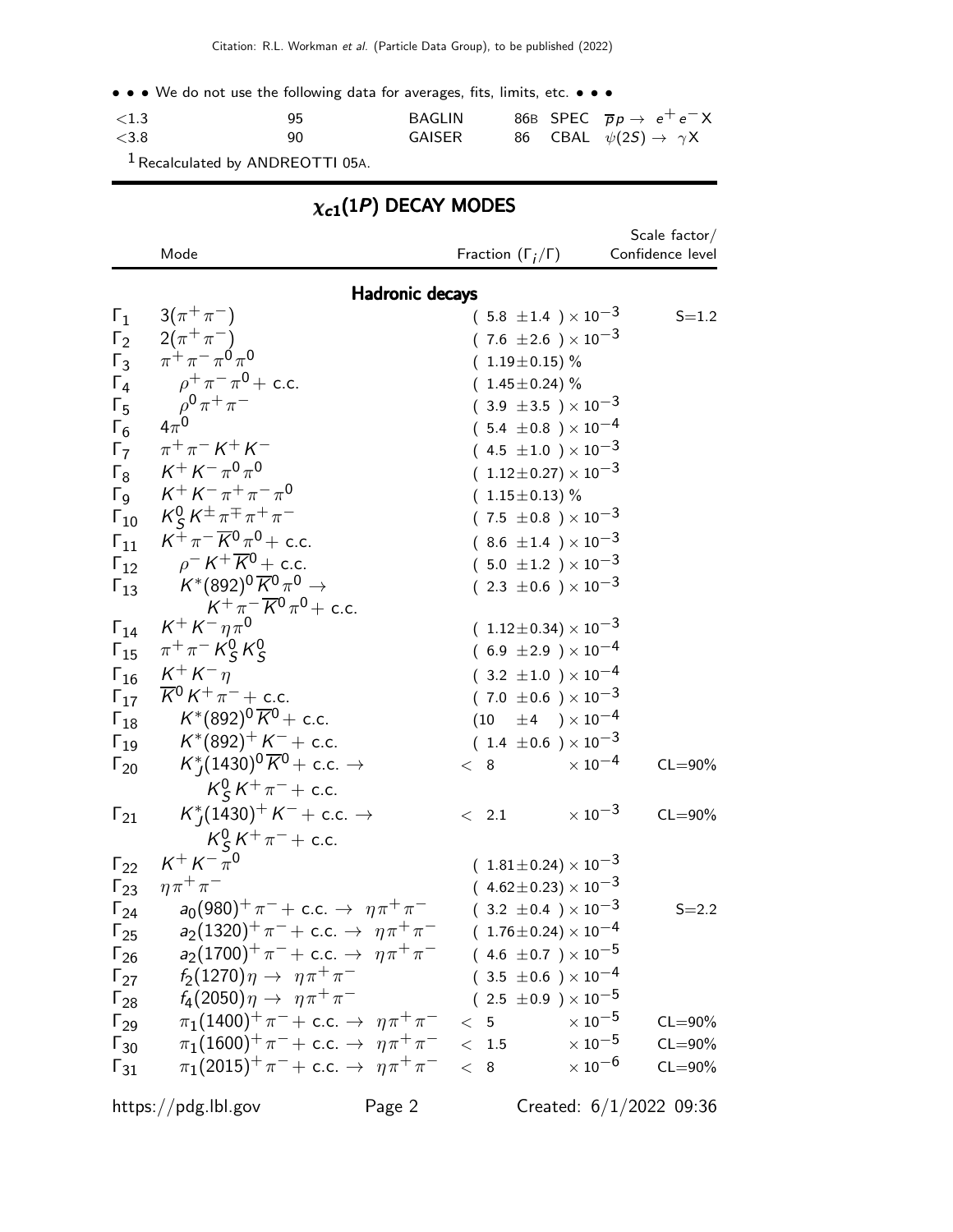• • • We do not use the following data for averages, fits, limits, etc. • • •

| ${<}1.3$ | 95 | BAGLIN |  | 86B SPEC $\overline{p}p \rightarrow e^+e^-X$ |
|----------|----|--------|--|----------------------------------------------|
| <3.8     | 90 | GAISER |  | 86 CBAL $\psi(2S) \rightarrow \gamma X$      |

1Recalculated by ANDREOTTI 05A.

|                                                                                                                                             | $\chi_{c1}(1P)$ DECAY MODES                                                                                                                                                                                                                                                                                                                                      |                                                                                                                                                                                                                                                                                                                                                 |                                                                        |  |  |  |  |  |
|---------------------------------------------------------------------------------------------------------------------------------------------|------------------------------------------------------------------------------------------------------------------------------------------------------------------------------------------------------------------------------------------------------------------------------------------------------------------------------------------------------------------|-------------------------------------------------------------------------------------------------------------------------------------------------------------------------------------------------------------------------------------------------------------------------------------------------------------------------------------------------|------------------------------------------------------------------------|--|--|--|--|--|
|                                                                                                                                             | Mode                                                                                                                                                                                                                                                                                                                                                             | Fraction $(\Gamma_i/\Gamma)$                                                                                                                                                                                                                                                                                                                    | Scale $factor/$<br>Confidence level                                    |  |  |  |  |  |
|                                                                                                                                             | <b>Hadronic decays</b>                                                                                                                                                                                                                                                                                                                                           |                                                                                                                                                                                                                                                                                                                                                 |                                                                        |  |  |  |  |  |
| $\Gamma_1$<br>$\Gamma_4$<br>$\Gamma_5$<br>$\Gamma_6$<br>$\Gamma_7$<br>$\Gamma_8$<br>$\Gamma$ <sub>9</sub><br>$\Gamma_{10}$<br>$\Gamma_{11}$ | $3(\pi^{+}\pi^{-})$<br>$\Gamma_2$ 2( $\pi^+\pi^-$ )<br>$\overline{\Gamma_3}$ $\pi^+ \pi^- \pi^0 \pi^0$<br>$\rho^+ \pi^- \pi^0$ + c.c.<br>$\rho^0\pi^+\pi^-$<br>$\pi^{+}\pi^{-} K^{+} K^{-}$<br>$\mathsf{K}^+\mathsf{K}^-\pi^0\pi^0$<br>$K^+ K^- \pi^+ \pi^- \pi^0$<br>$K_S^0 K^{\pm} \pi^{\mp} \pi^+ \pi^-$<br>$K^{\dagger} \pi^- \overline{K}{}^0 \pi^0$ + c.c. | $(5.8 \pm 1.4) \times 10^{-3}$<br>$(7.6 \pm 2.6) \times 10^{-3}$<br>$(1.19 \pm 0.15)\%$<br>$(1.45 \pm 0.24)$ %<br>$(3.9 \pm 3.5) \times 10^{-3}$<br>$(5.4 \pm 0.8) \times 10^{-4}$<br>$(4.5 \pm 1.0) \times 10^{-3}$<br>$(1.12\pm0.27)\times10^{-3}$<br>$(1.15 \pm 0.13)$ %<br>$(7.5 \pm 0.8) \times 10^{-3}$<br>$(8.6 \pm 1.4) \times 10^{-3}$ | $S = 1.2$                                                              |  |  |  |  |  |
| $\Gamma_{13}$                                                                                                                               | $\Gamma_{12}$ $\rho^- K^+ \overline{K}^0$ + c.c.<br>$\mathcal{K}^{*}(892)^0 \, \overline{\mathcal{K}}{}^0 \, \pi^0 \rightarrow$<br>$K^+\pi^-\overline{K}{}^0\pi^0$ + c.c.<br>$\Gamma_{14}$ $K^+ K^- n \pi^0$                                                                                                                                                     | $(.5.0 \pm 1.2) \times 10^{-3}$<br>$(2.3 \pm 0.6) \times 10^{-3}$                                                                                                                                                                                                                                                                               |                                                                        |  |  |  |  |  |
| $\Gamma_{18}$<br>$\Gamma_{19}$                                                                                                              | $\Gamma_{15}$ $\pi^{+}\pi^{-}K^{0}_{S}K^{0}_{S}$<br>$\Gamma_{16}$ $K^+ K^- \eta$<br>$\Gamma_{17}$ $\overline{K}^0 K^+ \pi^-$ + c.c.<br>$\mathcal{K}^*(892)^0 \, \overline{\mathcal{K}}{}^0+$ c.c.<br>$\mathsf{K}^*(892)^+$ $\mathsf{K}^ +$ <code>c.c.</code>                                                                                                     | $(1.12 \pm 0.34) \times 10^{-3}$<br>$(6.9 \pm 2.9) \times 10^{-4}$<br>$(3.2 \pm 1.0) \times 10^{-4}$<br>$(7.0 \pm 0.6) \times 10^{-3}$<br>$(10 \pm 4) \times 10^{-4}$<br>$(1.4 \pm 0.6) \times 10^{-3}$                                                                                                                                         |                                                                        |  |  |  |  |  |
| $\Gamma_{20}$                                                                                                                               | $K_I^*(1430)^0\overline{K}^0$ + c.c. $\rightarrow$<br>$K_S^0 K^+ \pi^-$ + c.c.                                                                                                                                                                                                                                                                                   | $\times$ $10^{-4}$<br>< 8                                                                                                                                                                                                                                                                                                                       | $CL = 90\%$                                                            |  |  |  |  |  |
| $\Gamma_{21}$                                                                                                                               | $K_I^*(1430)^+ K^- +$ c.c. $\rightarrow$<br>$K_S^0 K^+ \pi^-$ + c.c.                                                                                                                                                                                                                                                                                             | $\langle$ 2.1                                                                                                                                                                                                                                                                                                                                   | $\times$ 10 <sup>-3</sup><br>$CL = 90\%$                               |  |  |  |  |  |
| $\Gamma_{24}$<br>$\Gamma_{25}$<br>$\Gamma_{26}$<br>$\Gamma_{27}$                                                                            | $\Gamma_{22}$ $K^+ K^- \bar{\pi}^0$<br>$\Gamma_{23}$ $\eta \pi^+ \pi^-$<br>$a_0(980)^+ \pi^- + \text{c.c.} \rightarrow \eta \pi^+ \pi^-$<br>$a_2(1320)^+ \pi^- +$ c.c. $\rightarrow \eta \pi^+ \pi^-$<br>$a_2(1700)^+ \pi^- +$ c.c. $\rightarrow \eta \pi^+ \pi^-$<br>$f_2(1270)\eta \to \eta \pi^+ \pi^-$<br>$\Gamma_{28}$ $f_4(2050)\eta \to \eta \pi^+ \pi^-$ | $(1.81 \pm 0.24) \times 10^{-3}$<br>$(4.62 \pm 0.23) \times 10^{-3}$<br>$(3.2 \pm 0.4) \times 10^{-3}$<br>$(1.76 \pm 0.24) \times 10^{-4}$<br>$(4.6 \pm 0.7) \times 10^{-5}$<br>$(3.5 \pm 0.6) \times 10^{-4}$<br>$(2.5 \pm 0.9) \times 10^{-5}$                                                                                                | $S = 2.2$                                                              |  |  |  |  |  |
| $\Gamma_{29}$<br>$\Gamma_{30}$<br>$\Gamma_{31}$                                                                                             | $\pi_1(1400)^+ \pi^- + \text{c.c.} \rightarrow \eta \pi^+ \pi^-$<br>$\pi_1(1600)^+ \pi^- + \text{c.c.} \rightarrow \eta \pi^+ \pi^-$<br>$\pi_1(2015)^+ \pi^- + \text{c.c.} \rightarrow \eta \pi^+ \pi^-$                                                                                                                                                         | $\times\,10^{-5}$<br>< 5<br>$\times$ 10 $^{-5}$<br>< 1.5<br>< 8                                                                                                                                                                                                                                                                                 | $CL = 90\%$<br>$CL = 90\%$<br>$\times$ 10 <sup>-6</sup><br>$CL = 90\%$ |  |  |  |  |  |

https://pdg.lbl.gov Page 2 Created: 6/1/2022 09:36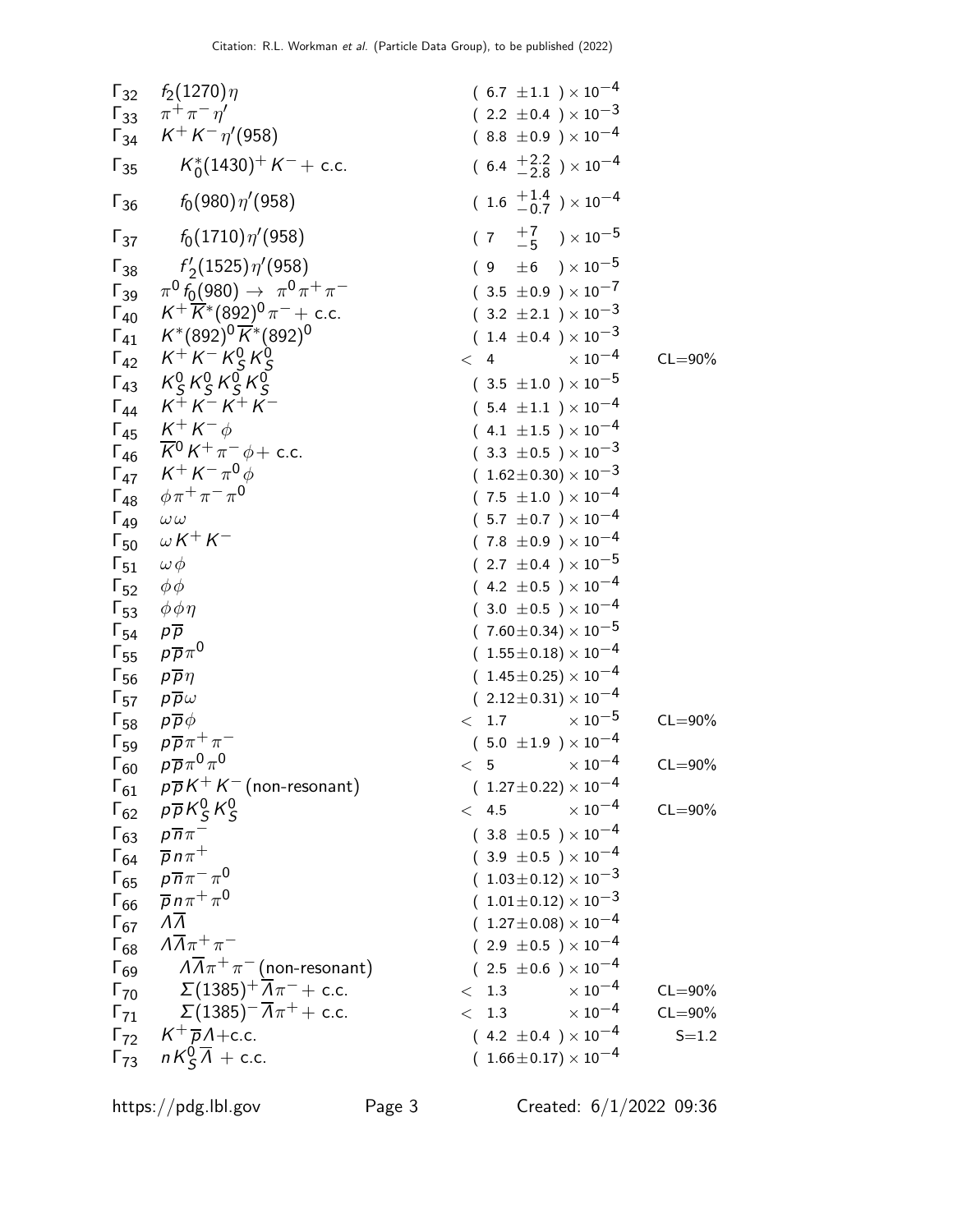| 52 | $f_2(1270)\eta$                                | (6.7 ±1.1) × 10 <sup>-4</sup>  |
|----|------------------------------------------------|--------------------------------|
| 53 | $K^+ K^- \eta'$ (958)                          | (8.2 ±0.4) × 10 <sup>-3</sup>  |
| 54 | $K^+ K^- \eta'$ (958)                          | (16.4 ±2.8) × 10 <sup>-4</sup> |
| 55 | $K_0^*(1430)^+ K^- + c.c.$                     | (6.4 ±2.8) × 10 <sup>-4</sup>  |
| 56 | $f_0(980)\eta'(958)$                           | (7 ±5) × 10 <sup>-5</sup>      |
| 57 | $f'_2(1525)\eta'(958)$                         | (7 ±5) × 10 <sup>-5</sup>      |
| 58 | $f'_2(1525)\eta'(958)$                         | (7 ±5) × 10 <sup>-5</sup>      |
| 59 | $\pi^0 f_0(980) \rightarrow \pi^0 \pi^+ \pi^-$ | (3.2 ±2.1) × 10 <sup>-3</sup>  |
| 50 | $K^+ K^- K^0 g_0^0$                            | (1.4 ±0.4) × 10 <sup>-3</sup>  |
| 51 | $K^2 K^2 K^2 g_0^0$                            | (3.2 ±2.1) × 10 <sup>-4</sup>  |
| 52 | $K^+ K^- K^0 g_0^0$                            | (4.2 ±0.5) × 10 <sup>-3</sup>  |
| 53 | $\phi^+ \pi^- \pi^0 \phi$                      | (1.62 ±0.3) × 10 <sup>-3</sup> |
| 54 | $K^+ K^- \pi^0 \$                              |                                |

https://pdg.lbl.gov Page 3 Created: 6/1/2022 09:36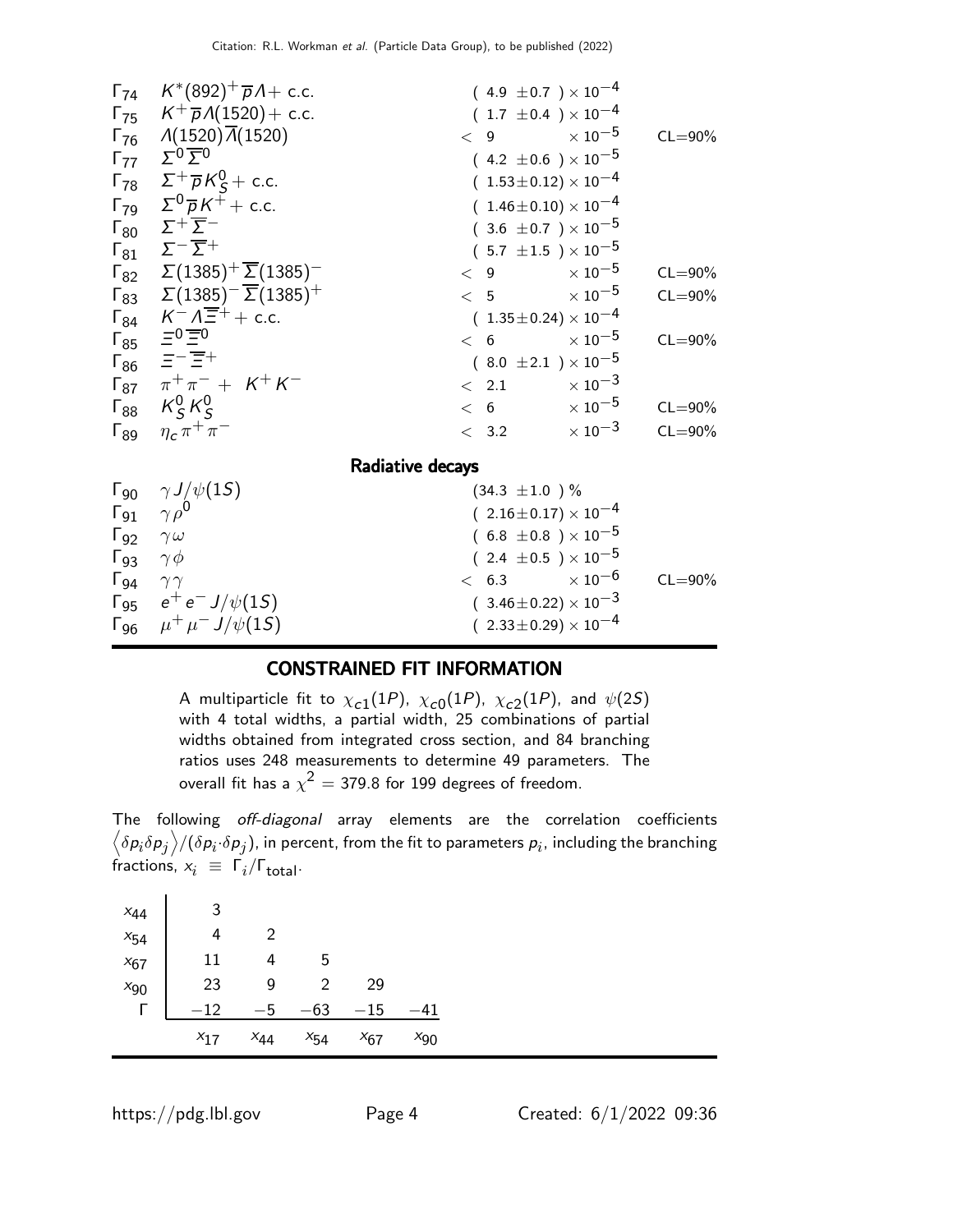| $\Gamma_{74}$                 | $K^*(892)^+\overline{p}A + c.c.$                               |                  | $(4.9 \pm 0.7) \times 10^{-4}$   |                           |             |
|-------------------------------|----------------------------------------------------------------|------------------|----------------------------------|---------------------------|-------------|
|                               | $\Gamma_{75}$ $K^{+}\overline{p}A(1520) + c.c.$                |                  | $(1.7 \pm 0.4) \times 10^{-4}$   |                           |             |
|                               | $\Gamma_{76}$ $\Lambda(1520)\overline{\Lambda}(1520)$          | < 9              |                                  | $\times$ 10 $^{-5}$       | $CL = 90\%$ |
| $\Gamma_{77}$                 | $\sum_{i=0}$                                                   |                  | $(4.2 \pm 0.6) \times 10^{-5}$   |                           |             |
|                               | $\Gamma_{78}$ $\Sigma^+\overline{p}K^0_S$ + c.c.               |                  | $(1.53\pm0.12)\times10^{-4}$     |                           |             |
|                               | $\Gamma_{79}$ $\Sigma^{0} \overline{p} K^{\mp} +$ c.c.         |                  | $(1.46 \pm 0.10) \times 10^{-4}$ |                           |             |
|                               | $\Gamma_{80}$ $\Sigma^+\overline{\Sigma}^-$                    |                  | $(3.6 \pm 0.7) \times 10^{-5}$   |                           |             |
|                               | $\Gamma_{81}$ $\Sigma^{-} \overline{\Sigma}{}^{+}$             |                  | $(5.7 \pm 1.5) \times 10^{-5}$   |                           |             |
|                               | $\Gamma_{82}$ $\Sigma(1385)^{+}\overline{\Sigma}(1385)^{-}$    | < 9              |                                  | $\times$ 10 $^{-5}$       | $CL = 90\%$ |
|                               | $\Gamma_{83}$ $\Sigma(1385)^{-}$ $\overline{\Sigma}(1385)^{+}$ |                  | < 5                              | $\times\,10^{-5}$         | $CL = 90\%$ |
|                               | $\Gamma_{84}$ $K^- \Lambda \overline{\Xi}^+ +$ c.c.            |                  | $(1.35\pm0.24)\times10^{-4}$     |                           |             |
|                               | $\Gamma_{85}$ $\equiv$ <sup>0</sup> $\equiv$ <sup>0</sup>      |                  | < 6                              | $\times$ 10 $^{-5}$       | $CL = 90\%$ |
|                               | $\Gamma_{86}$ $\equiv -\equiv +$                               |                  | $(8.0 \pm 2.1) \times 10^{-5}$   |                           |             |
|                               | $\Gamma_{87}$ $\pi^+ \pi^-$ + $K^+ K^-$                        |                  | < 2.1                            | $\times$ 10 $^{-3}$       |             |
|                               | $\Gamma_{88}$ $K_S^0 K_S^0$                                    |                  | < 6                              | $\times$ 10 $^{-5}$       | $CL = 90\%$ |
| $\mathsf{\Gamma}_{89}$        | $\eta_c \pi^+ \pi^-$                                           |                  | < 3.2                            | $\times$ 10 $^{-3}$       | $CL = 90\%$ |
|                               |                                                                | Radiative decays |                                  |                           |             |
| $\Gamma_{90}$                 | $\gamma J/\psi(15)$                                            |                  | $(34.3 \pm 1.0)$ %               |                           |             |
| $\Gamma_{91}$ $\gamma \rho^0$ |                                                                |                  | $(2.16\pm0.17)\times10^{-4}$     |                           |             |
| $\Gamma_{92}$                 | $\gamma \omega$                                                |                  | $(6.8 \pm 0.8) \times 10^{-5}$   |                           |             |
| $\Gamma_{93}$ $\gamma \phi$   |                                                                |                  | $(2.4 \pm 0.5) \times 10^{-5}$   |                           |             |
| $\Gamma_{94}$ $\gamma\gamma$  |                                                                |                  | < 6.3                            | $\times$ 10 <sup>-6</sup> | $CL = 90\%$ |
|                               | $\Gamma_{95}$ $e^+e^- J/\psi(15)$                              |                  | $(3.46 \pm 0.22) \times 10^{-3}$ |                           |             |
|                               | $\Gamma_{96}$ $\mu^+ \mu^- J/\psi(15)$                         |                  | $(2.33\pm0.29)\times10^{-4}$     |                           |             |
|                               |                                                                |                  |                                  |                           |             |

#### CONSTRAINED FIT INFORMATION

A multiparticle fit to  $\chi_{c1}(1P)$ ,  $\chi_{c0}(1P)$ ,  $\chi_{c2}(1P)$ , and  $\psi(2S)$ with 4 total widths, a partial width, 25 combinations of partial widths obtained from integrated cross section, and 84 branching ratios uses 248 measurements to determine 49 parameters. The overall fit has a  $\chi^2 =$  379.8 for 199 degrees of freedom.

The following off-diagonal array elements are the correlation coefficients  $\left<\delta p_i\delta p_j\right>$ /( $\delta p_i\!\cdot\!\delta p_j$ ), in percent, from the fit to parameters  $p_i$ , including the branching fractions,  $x_i \equiv \Gamma_i/\Gamma_{\text{total}}$ .

| $x_{44}$ | 3        |          |          |                                |          |
|----------|----------|----------|----------|--------------------------------|----------|
| $x_{54}$ | 4        | 2        |          |                                |          |
| $x_{67}$ | 11       | 4        | 5        |                                |          |
| $x_{90}$ | 23       | 9        | 2        | 29                             |          |
|          | 12       | -5       | 63       | 15<br>$\overline{\phantom{m}}$ | 41       |
|          | $x_{17}$ | $X_{44}$ | $x_{54}$ | $x_{67}$                       | $x_{90}$ |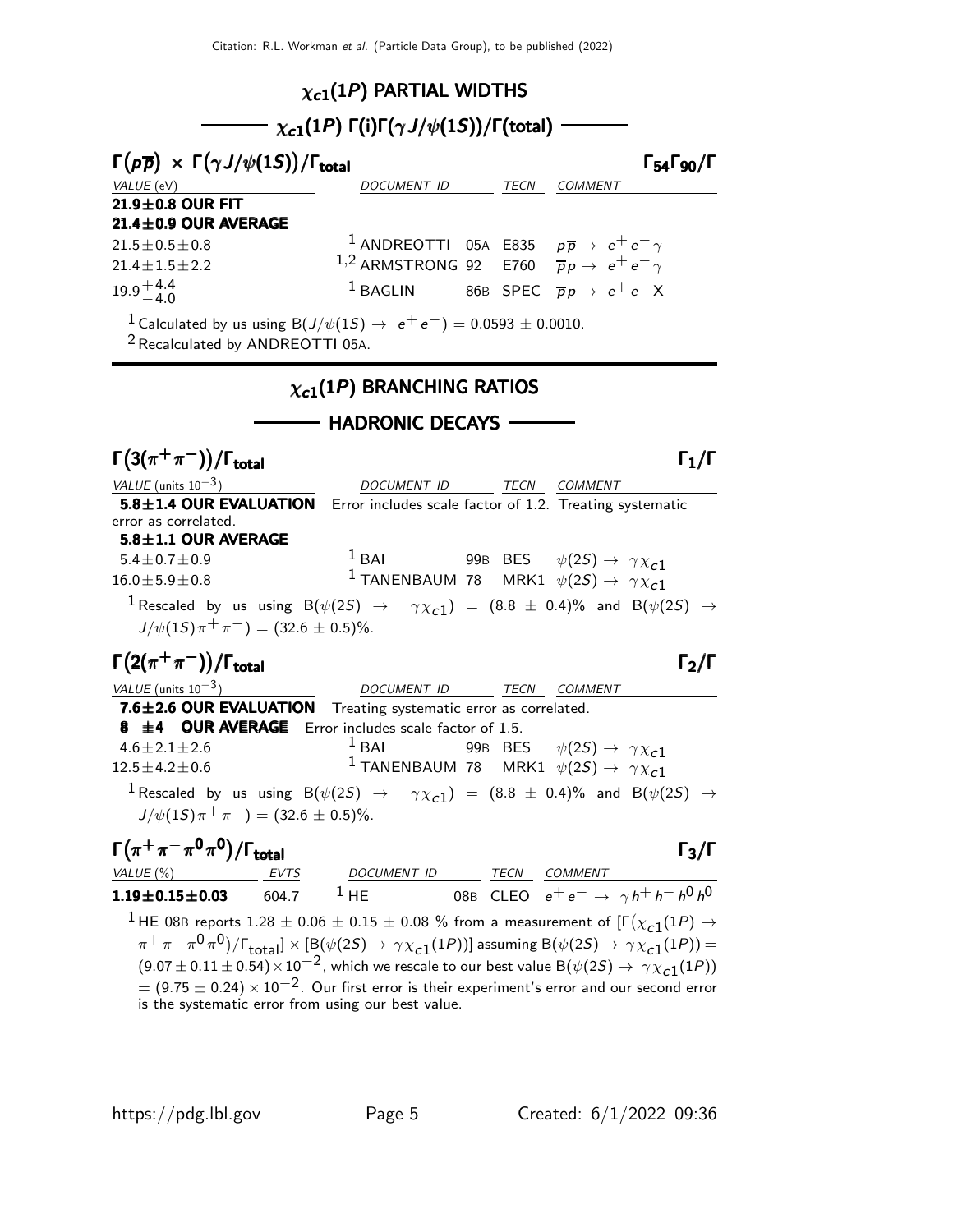#### $\chi_{c1}(1P)$  PARTIAL WIDTHS

## $\chi_{c1}(1P)$  Γ(i)Γ( $\gamma J/\psi(1S)$ )/Γ(total) -

| $\Gamma(p\overline{p}) \times \Gamma(\gamma J/\psi(1S))/\Gamma_{\text{total}}$<br>$\Gamma_{54}\Gamma_{90}/\Gamma$ |                                                                      |  |  |                                                                           |  |  |  |  |
|-------------------------------------------------------------------------------------------------------------------|----------------------------------------------------------------------|--|--|---------------------------------------------------------------------------|--|--|--|--|
| VALUE (eV)                                                                                                        | <b>DOCUMENT ID</b>                                                   |  |  | <b>COMMENT</b>                                                            |  |  |  |  |
| 21.9±0.8 OUR FIT                                                                                                  |                                                                      |  |  |                                                                           |  |  |  |  |
| 21.4±0.9 OUR AVERAGE                                                                                              |                                                                      |  |  |                                                                           |  |  |  |  |
| $21.5 \pm 0.5 \pm 0.8$                                                                                            |                                                                      |  |  | <sup>1</sup> ANDREOTTI 05A E835 $p\overline{p} \rightarrow e^+e^- \gamma$ |  |  |  |  |
| $21.4 \pm 1.5 \pm 2.2$                                                                                            | 1,2 ARMSTRONG 92 E760 $\overrightarrow{p}p \rightarrow e^+e^-\gamma$ |  |  |                                                                           |  |  |  |  |
| $19.9^{+4.4}_{-4.0}$                                                                                              |                                                                      |  |  | <sup>1</sup> BAGLIN 86B SPEC $\overline{p}p \rightarrow e^+e^-X$          |  |  |  |  |
| <sup>1</sup> Calculated by us using B( $J/\psi(15) \rightarrow e^+e^-$ ) = 0.0593 ± 0.0010.                       |                                                                      |  |  |                                                                           |  |  |  |  |

<sup>2</sup> Recalculated by ANDREOTTI 05A.

#### $\chi_{c1}(1P)$  BRANCHING RATIOS

#### - HADRONIC DECAYS -

| $\Gamma(3(\pi^+\pi^-))/\Gamma_{\rm total}$                      |                                  | $\Gamma_1/\Gamma$                                                                                                            |
|-----------------------------------------------------------------|----------------------------------|------------------------------------------------------------------------------------------------------------------------------|
| VALUE (units $10^{-3}$ )                                        | DOCUMENT ID TECN COMMENT         |                                                                                                                              |
| 5.8±1.4 OUR EVALUATION                                          |                                  | Error includes scale factor of 1.2. Treating systematic                                                                      |
| error as correlated.                                            |                                  |                                                                                                                              |
| $5.8 \pm 1.1$ OUR AVERAGE                                       |                                  |                                                                                                                              |
| $5.4 + 0.7 + 0.9$                                               |                                  | <sup>1</sup> BAI 99B BES $\psi(2S) \rightarrow \gamma \chi_{c1}$                                                             |
| $16.0 \pm 5.9 \pm 0.8$                                          |                                  | <sup>1</sup> TANENBAUM 78 MRK1 $\psi(2S) \rightarrow \gamma \chi_{c1}$                                                       |
| $J/\psi(1S)\pi^{+}\pi^{-}$ = (32.6 $\pm$ 0.5)%.                 |                                  | $^1$ Rescaled by us using B( $\psi(2S)$ $\rightarrow$ $\gamma \chi_{c1})$ = (8.8 $\pm$ 0.4)% and B( $\psi(2S)$ $\rightarrow$ |
| $\Gamma(2(\pi^+\pi^-))/\Gamma_{\rm total}$                      |                                  | $\Gamma_2/\Gamma$                                                                                                            |
| VALUE (units $10^{-3}$ )                                        | DOCUMENT ID _______ TECN COMMENT |                                                                                                                              |
| 7.6±2.6 OUR EVALUATION Treating systematic error as correlated. |                                  |                                                                                                                              |
| 8 $\pm$ 4 OUR AVERAGE Error includes scale factor of 1.5.       |                                  |                                                                                                                              |
| $4.6 + 2.1 + 2.6$                                               | $1$ BAI                          | 99B BES $\psi(2S) \rightarrow \gamma \chi_{c1}$                                                                              |
| $12.5 \pm 4.2 \pm 0.6$                                          |                                  | <sup>1</sup> TANENBAUM 78 MRK1 $\psi(2S) \rightarrow \gamma \chi_{c1}$                                                       |
| $J/\psi(15)\pi^{+}\pi^{-}) = (32.6 \pm 0.5)\%$ .                |                                  | $^1$ Rescaled by us using B( $\psi(2S)$ $\rightarrow$ $\gamma \chi_{c1})$ = (8.8 $\pm$ 0.4)% and B( $\psi(2S)$ $\rightarrow$ |
|                                                                 |                                  |                                                                                                                              |
| $\Gamma(\pi^+\pi^-\pi^0\pi^0)/\Gamma_{\rm total}$               |                                  | $\Gamma_3/\Gamma$                                                                                                            |
| VALUE (%) EVTS                                                  | DOCUMENT ID TECN                 | <b>COMMENT</b>                                                                                                               |
| $1.19 \pm 0.15 \pm 0.03$ 604.7                                  | $^1$ HE and $^1$                 | 08B CLEO $e^+e^- \to \gamma h^+h^-h^0h^0$                                                                                    |

<sup>1</sup> HE 08B reports 1.28  $\pm$  0.06  $\pm$  0.15  $\pm$  0.08 % from a measurement of  $[\Gamma(\chi_{c1}(1P) \rightarrow$  $(\pi^+\pi^-\pi^0\pi^0)/\Gamma_{\rm total}]\times[{\mathsf B}(\psi(2{\mathsf S})\to\,\gamma\chi_{\tt c1}(1P))]$  assuming  ${\mathsf B}(\psi(2{\mathsf S})\to\,\gamma\chi_{\tt c1}(1P))=0$  $(9.07 \pm 0.11 \pm 0.54) \times 10^{-2}$ , which we rescale to our best value B $(\psi(2S) \rightarrow \gamma \chi_{c1}(1P))$  $= (9.75 \pm 0.24) \times 10^{-2}$ . Our first error is their experiment's error and our second error is the systematic error from using our best value.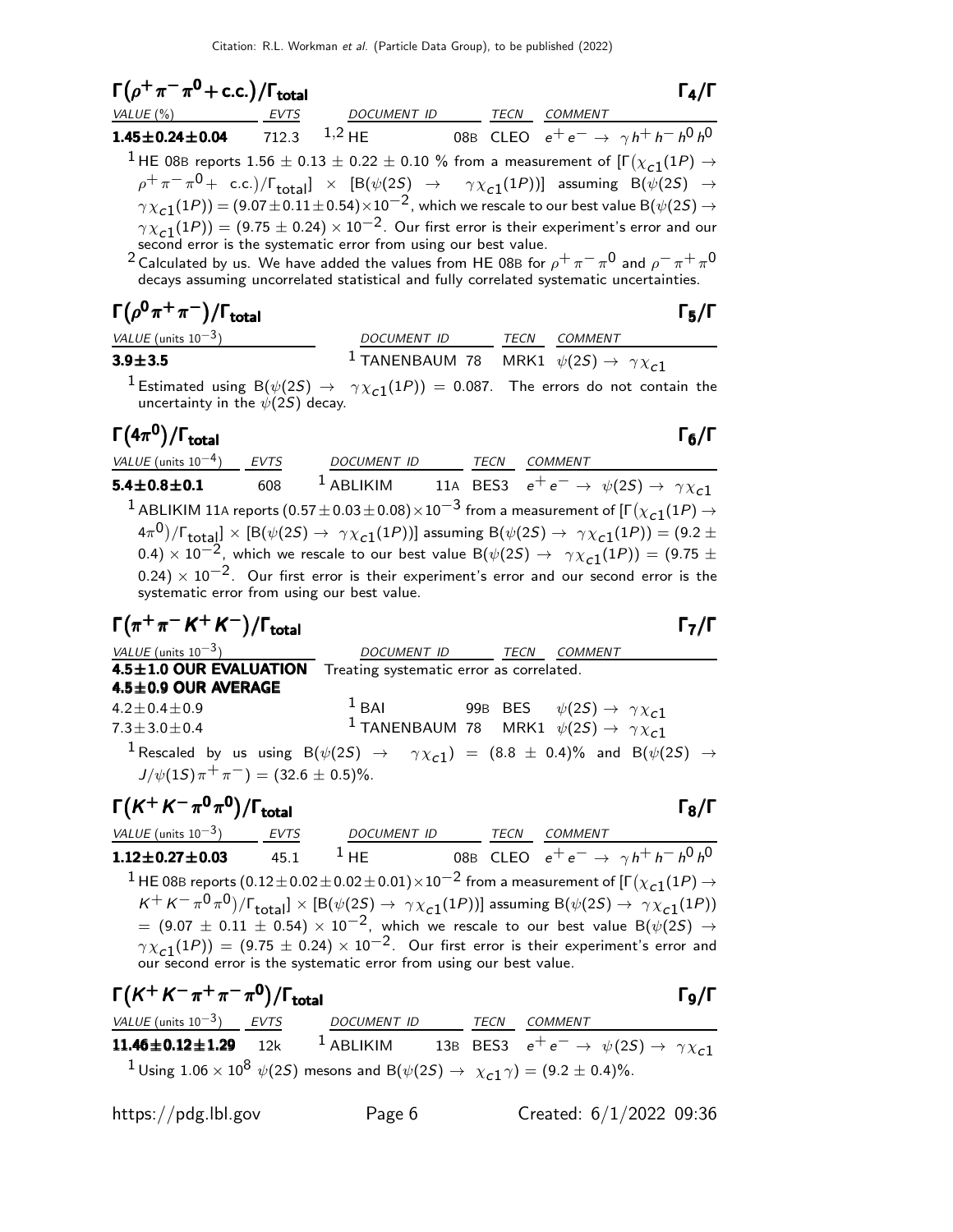| $\Gamma(\rho^+\pi^-\pi^0$ + c.c.)/ $\Gamma_{\text{total}}$                                                                                               |             |                    |      |                | $\Gamma_4/\Gamma$                         |
|----------------------------------------------------------------------------------------------------------------------------------------------------------|-------------|--------------------|------|----------------|-------------------------------------------|
| VALUE (%)                                                                                                                                                | <b>EVTS</b> | <b>DOCUMENT ID</b> | TECN | <b>COMMENT</b> |                                           |
| $1.45 \pm 0.24 \pm 0.04$                                                                                                                                 | 712.3       | $1,2$ HF           |      |                | 08B CLEO $e^+e^- \to \gamma h^+h^-h^0h^0$ |
| <sup>1</sup> HE 08B reports 1.56 $\pm$ 0.13 $\pm$ 0.22 $\pm$ 0.10 % from a measurement of [ $\Gamma(\chi_{c1}(1P) \rightarrow$                           |             |                    |      |                |                                           |
| $\rho^+\pi^-\pi^0$ + c.c.)/ $\Gamma_{\text{total}}$ $\times$ [B( $\psi(2S)$ $\rightarrow$ $\gamma \chi_{c1}(1P)$ )] assuming B( $\psi(2S)$ $\rightarrow$ |             |                    |      |                |                                           |
| $\gamma \chi_{c1}(1P)$ = (9.07 $\pm$ 0.11 $\pm$ 0.54) $\times$ 10 <sup>-2</sup> , which we rescale to our best value B( $\psi(2S) \rightarrow$           |             |                    |      |                |                                           |
| $\gamma \chi_{c1}(1P)$ = (9.75 $\pm$ 0.24) $\times$ 10 <sup>-2</sup> . Our first error is their experiment's error and our                               |             |                    |      |                |                                           |
| second error is the systematic error from using our best value.                                                                                          |             |                    |      |                |                                           |
| <sup>2</sup> Calculated by us. We have added the values from HF 08B for $\rho^+\pi^-\pi^0$ and $\rho^-\pi^+\pi^0$                                        |             |                    |      |                |                                           |

<sup>2</sup> Calculated by us. We have added the values from HE 08B for  $\rho^+ \pi^- \pi^0$  and  $\rho^- \pi^+ \pi^$ decays assuming uncorrelated statistical and fully correlated systematic uncertainties.

# $\Gamma(\rho^{\mathbf{0}}\pi^+\pi^-)/\Gamma_{\mathbf{total}}$

| VALUE (units $10^{-3}$ ) | DOCUMENT ID                                                         | <i>TECN COMMENT</i> |
|--------------------------|---------------------------------------------------------------------|---------------------|
| $3.9 \pm 3.5$            | $^{-1}$ TANENBAUM 78 MRK1 $\psi(2S) \rightarrow \ \gamma \chi_{c1}$ |                     |

 $1$  Estimated using  $B(\psi(2S) \rightarrow \gamma \chi_{c1}(1P)) = 0.087$ . The errors do not contain the uncertainty in the  $\psi(2S)$  decay.

Γ $(4\pi^{\mathbf{0}})/\Gamma_{\text{total}}$  Γ )/Γ<sub>total</sub> Γ<sub>6</sub>/Γ VALUE (units 10<sup>-4</sup>) EVTS DOCUMENT ID TECN COMMENT 5.4 $\pm$ 0.8 $\pm$ 0.1 608 <sup>1</sup> ABLIKIM 11A BES3  $e^+e^- \rightarrow \psi(2S) \rightarrow \gamma \chi_{\mathcal{L}}$ 1  $^1$  ABLIKIM 11A reports  $(0.57\pm0.03\pm0.08)\times10^{-3}$  from a measurement of [Г $(\chi_{\tt C1}(1P) \to$  $(4\pi^0)/\Gamma_{\rm total}]\times[{\rm B}(\psi(2S)\to~\gamma\chi_{\bf C1}(1P))]$  assuming  ${\rm B}(\psi(2S)\to~\gamma\chi_{\bf C1}(1P))=(9.2\pm 1.1)$  $(0.4) \times 10^{-2}$ , which we rescale to our best value B( $\psi(2S) \rightarrow \gamma \chi_{c1}(1P)$ ) = (9.75 ±  $0.24) \times 10^{-2}$ . Our first error is their experiment's error and our second error is the systematic error from using our best value.

$$
\Gamma(\pi^+\pi^-K^+K^-)/\Gamma_{\text{total}}
$$

 $VALU E$  (units 10<sup>-3</sup>) DOCUMENT ID TECN COMMENT 4.5±1.0 OUR EVALUATION Treating systematic error as correlated.  $4.5\pm0.9$  OUR AVERAGE  $4.2 \pm 0.4 \pm 0.9$ <sup>1</sup> BAI 99B BES  $\psi(2S) \rightarrow \gamma \chi_{c1}$  $7.3 \pm 3.0 \pm 0.4$ <sup>1</sup> TANENBAUM 78 MRK1  $\psi(2S) \rightarrow \gamma \chi_{c1}^{-1}$  $^{\text{1}}$  Rescaled by us using B $(\psi(2S)$   $\rightarrow$   $\gamma\chi_{\text{c1}})$  =  $(8.8\,\pm\,0.4)\%$  and B $(\psi(2S)\,\rightarrow\,$  $J/\psi(15)\pi^{+}\pi^{-}) = (32.6 \pm 0.5)\%$ .

#### Γ $(K^+ K^- \pi^0 \pi^0)/\Gamma_{\text{total}}$  $VALUE$  (units 10<sup>-3</sup>) EVTS DOCUMENT ID TECN COMMENT  $1.12\pm0.27\pm0.03$  45.1  $^1$  HE 08B CLEO  $e^+e^-\rightarrow\gamma h^+h^-\,h^0\,h^0$  $^1$  HE 08B reports  $(0.12\pm0.02\pm0.02\pm0.01)\times10^{-2}$  from a measurement of [Г $(\chi_{c1}(1P)\rightarrow$  $K^+ K^- \pi^0 \pi^0)/\Gamma_{\text{total}}] \times [B(\psi(25) \to \gamma \chi_{c1}(1P))]$  assuming  $B(\psi(25) \to \gamma \chi_{c1}(1P))$  $=$  (9.07  $\pm$  0.11  $\pm$  0.54)  $\times$  10<sup>-2</sup>, which we rescale to our best value B( $\psi$ (2S)  $\rightarrow$  $\gamma \chi_{\bf c1}(1P))=(9.75\pm 0.24)\times 10^{-2}$  . Our first error is their experiment's error and our second error is the systematic error from using our best value.

$$
\Gamma(K^{+}K^{-}\pi^{+}\pi^{-}\pi^{0})/\Gamma_{\text{total}}
$$
\n
$$
\frac{\text{VALUE (units 10}^{-3})}{11.46 \pm 0.12 \pm 1.29} \frac{\text{EVTS}}{12k}
$$
\n
$$
\frac{\text{DOCUMENT ID}}{1 \text{ ABLIKIM}}
$$
\n
$$
\frac{\text{TECN}}{13B} \frac{\text{COMMENT}}{\text{BES3}} \frac{\text{COMMENT}}{e^{+}e^{-} \rightarrow \psi(2S) \rightarrow \gamma \chi_{c1}}
$$
\n
$$
\frac{1}{1} \text{Using } 1.06 \times 10^{8} \psi(2S) \text{ mesons and } B(\psi(2S) \rightarrow \chi_{c1} \gamma) = (9.2 \pm 0.4)\%.
$$

https://pdg.lbl.gov Page 6 Created: 6/1/2022 09:36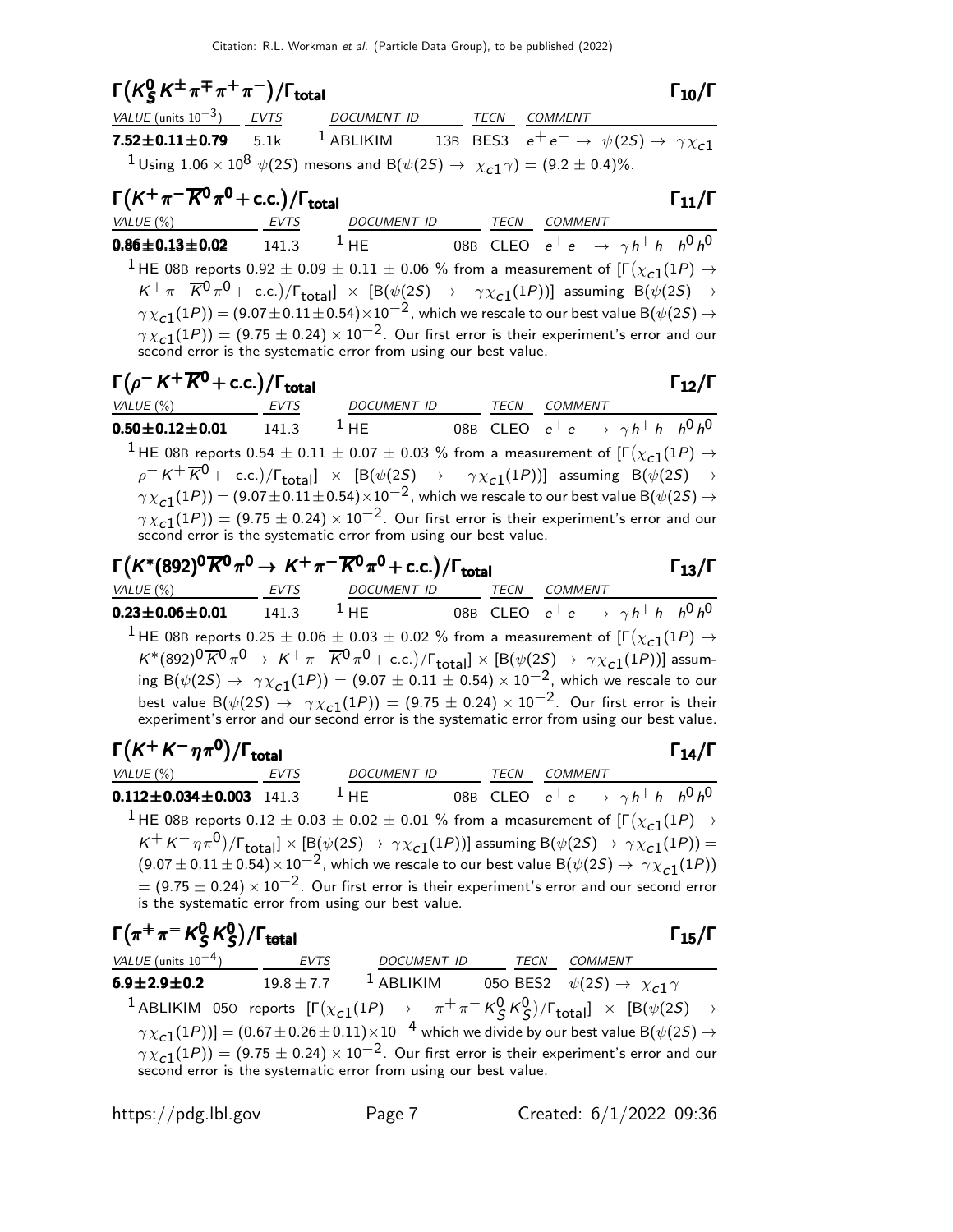| $\Gamma(K_S^0 K^{\pm} \pi^{\mp} \pi^+ \pi^-)/\Gamma_{\text{total}}$                                                                                |  |  | $\Gamma_{10}/\Gamma$                                                                                                                                                  |
|----------------------------------------------------------------------------------------------------------------------------------------------------|--|--|-----------------------------------------------------------------------------------------------------------------------------------------------------------------------|
| $VALUE (units 10-3)$ <i>EVTS DOCUMENT ID TECN COMMENT</i>                                                                                          |  |  |                                                                                                                                                                       |
|                                                                                                                                                    |  |  | <b>7.52±0.11±0.79</b> 5.1k <sup>1</sup> ABLIKIM 13B BES3 $e^+e^- \rightarrow \psi(25) \rightarrow \gamma \chi_{c1}$                                                   |
| <sup>1</sup> Using 1.06 × 10 <sup>8</sup> $\psi$ (2 <i>S</i> ) mesons and B( $\psi$ (2 <i>S</i> ) $\rightarrow \chi_{c1} \gamma$ ) = (9.2 ± 0.4)%. |  |  |                                                                                                                                                                       |
| $\Gamma(K^+\pi^-\overline{K^0}\pi^0$ + c.c.)/ $\Gamma_{\text{total}}$                                                                              |  |  | $\Gamma_{11}/\Gamma$                                                                                                                                                  |
| VALUE (%) EVTS DOCUMENT ID TECN COMMENT                                                                                                            |  |  |                                                                                                                                                                       |
|                                                                                                                                                    |  |  | <b>0.86±0.13±0.02</b> 141.3 <sup>1</sup> HE 08B CLEO $e^+e^- \rightarrow \gamma h^+h^-h^0h^0$                                                                         |
|                                                                                                                                                    |  |  | $^1$ HE 08B reports 0.92 $\pm$ 0.09 $\pm$ 0.11 $\pm$ 0.06 % from a measurement of [F $(\chi_{c1}(1P)$ $\rightarrow$                                                   |
|                                                                                                                                                    |  |  | $K^+\pi^-\overline{K}{}^0\pi^0$ + c.c.)/ $\Gamma_{\text{total}}$ $\times$ [B( $\psi(2S)$ $\rightarrow$ $\gamma \chi_{c1}(1P)$ )] assuming B( $\psi(2S)$ $\rightarrow$ |
|                                                                                                                                                    |  |  | $\gamma \chi_{c1}(1P)) = (9.07 \pm 0.11 \pm 0.54) \times 10^{-2}$ , which we rescale to our best value B( $\psi(2S) \rightarrow$                                      |
| second error is the systematic error from using our best value.                                                                                    |  |  | $\gamma \chi_{c1}(1P)$ = (9.75 $\pm$ 0.24) $\times$ 10 <sup>-2</sup> . Our first error is their experiment's error and our                                            |
| $\Gamma(\rho^- K^+ \overline{K}{}^0 + \text{c.c.})/\Gamma_{\text{total}}$                                                                          |  |  | $\Gamma_{12}/\Gamma$                                                                                                                                                  |
| VALUE (%) EVTS DOCUMENT ID TECN COMMENT                                                                                                            |  |  |                                                                                                                                                                       |
|                                                                                                                                                    |  |  | <b>0.50±0.12±0.01</b> 141.3 <sup>1</sup> HE 08B CLEO $e^+e^- \rightarrow \gamma h^+h^-h^0h^0$                                                                         |
|                                                                                                                                                    |  |  | <sup>1</sup> HE 08B reports 0.54 $\pm$ 0.11 $\pm$ 0.07 $\pm$ 0.03 % from a measurement of [F $(\chi_{c1}(1P) \rightarrow$                                             |
|                                                                                                                                                    |  |  | $\rho^- K^+ \overline{K^0}$ + c.c.)/ $\Gamma_{\text{total}}$ $\times$ [B( $\psi(2S)$ $\rightarrow$ $\gamma \chi_{c1}(1P))$ ] assuming B( $\psi(2S)$ $\rightarrow$     |
|                                                                                                                                                    |  |  | $\gamma \chi_{c1}(1P))$ $=$ $(9.07 \pm 0.11 \pm 0.54) \times 10^{-2}$ , which we rescale to our best value B( $\psi(2S)$ $\rightarrow$                                |
| second error is the systematic error from using our best value.                                                                                    |  |  | $\gamma \chi_{c1}(1P)$ ) = (9.75 $\pm$ 0.24) $\times$ 10 <sup>-2</sup> . Our first error is their experiment's error and our                                          |
| $\Gamma(K^*(892)^0\overline{K}{}^0\pi^0 \to K^+\pi^-\overline{K}{}^0\pi^0$ + c.c.)/ $\Gamma_{\rm total}$                                           |  |  | $\Gamma_{13}/\Gamma$                                                                                                                                                  |

VALUE (%) EVTS DOCUMENT ID TECN COMMENT  ${\bf 0.23 \pm 0.06 \pm 0.01}$   ${\bf 141.3}$   ${\bf ^1}$  HE 08B CLEO  $e^+e^- \rightarrow \gamma h^+h^ -h^0h^0$ <sup>1</sup> HE 08B reports  $0.25 \pm 0.06 \pm 0.03 \pm 0.02$  % from a measurement of  $[\Gamma(\chi_{c1}(1P) \rightarrow$  $K^*(892)^0\overline{K}^0\pi^0\to K^+\pi^-\overline{K}{}^0\pi^0+{\rm c.c.})/\Gamma_{\rm total}]\times [B(\psi(2S)\to\gamma\chi_{c1}(1P))]$  assuming B( $\psi(2S) \to \gamma \chi_{c1}(1P)$ ) = (9.07  $\pm$  0.11  $\pm$  0.54)  $\times$  10<sup>-2</sup>, which we rescale to our best value  $B(\psi(2S) \rightarrow \gamma \chi_{c1}(1P)) = (9.75 \pm 0.24) \times 10^{-2}$ . Our first error is their experiment's error and our second error is the systematic error from using our best value.

| $\Gamma(K^+K^-\eta\pi^0)/\Gamma_{\rm total}$                                                                                                                              |             |             |  |      |                | $\Gamma_{14}/\Gamma$                      |
|---------------------------------------------------------------------------------------------------------------------------------------------------------------------------|-------------|-------------|--|------|----------------|-------------------------------------------|
| VALUE (%)                                                                                                                                                                 | <b>EVTS</b> | DOCUMENT ID |  | TECN | <b>COMMENT</b> |                                           |
| $0.112 \pm 0.034 \pm 0.003$ 141.3                                                                                                                                         |             | $1$ HF      |  |      |                | 08B CLEO $e^+e^- \to \gamma h^+h^-h^0h^0$ |
| <sup>1</sup> HE 08B reports 0.12 $\pm$ 0.03 $\pm$ 0.02 $\pm$ 0.01 % from a measurement of $[\Gamma(\chi_{c1}(1P) \rightarrow$                                             |             |             |  |      |                |                                           |
| $K^+ K^- \eta \pi^0$ )/ $\Gamma_{\text{total}}$ ] $\times$ [B( $\psi(2S) \rightarrow \gamma \chi_{c1}(1P)$ )] assuming B( $\psi(2S) \rightarrow \gamma \chi_{c1}(1P)$ ) = |             |             |  |      |                |                                           |
| $(9.07 \pm 0.11 \pm 0.54) \times 10^{-2}$ , which we rescale to our best value B $(\psi(2S) \rightarrow \gamma \chi_{c1}(1P))$                                            |             |             |  |      |                |                                           |
| = $(9.75 \pm 0.24) \times 10^{-2}$ . Our first error is their experiment's error and our second error is the systematic error from using our best value.                  |             |             |  |      |                |                                           |

| $\Gamma(\pi^+\pi^-K^0_S\,K^0_S)/\Gamma_{\rm total}$                                                                                        |  |                    |      | $\Gamma_{15}/\Gamma$                                                                                                                                                            |  |  |
|--------------------------------------------------------------------------------------------------------------------------------------------|--|--------------------|------|---------------------------------------------------------------------------------------------------------------------------------------------------------------------------------|--|--|
| VALUE (units $10^{-4}$ ) EVTS                                                                                                              |  | <b>DOCUMENT ID</b> | TECN | COMMENT                                                                                                                                                                         |  |  |
| $6.9 \pm 2.9 \pm 0.2$                                                                                                                      |  |                    |      | 19.8 ± 7.7 <sup>1</sup> ABLIKIM 050 BES2 $\psi(2S) \to \chi_{c1} \gamma$                                                                                                        |  |  |
|                                                                                                                                            |  |                    |      | <sup>1</sup> ABLIKIM 050 reports $[\Gamma(\chi_{c1}(1P) \rightarrow \pi^+\pi^-K^0_S K^0_S)/\Gamma_{\text{total}}] \times [B(\psi(2S) \rightarrow$                               |  |  |
| $\gamma \chi_{c1}(1P)$ ] = (0.67 ± 0.26 ± 0.11) × 10 <sup>-4</sup> which we divide by our best value B( $\psi$ (2 <i>S</i> ) $\rightarrow$ |  |                    |      |                                                                                                                                                                                 |  |  |
|                                                                                                                                            |  |                    |      | $\gamma \chi_{c1}(1P)$ = (9.75 ± 0.24) × 10 <sup>-2</sup> . Our first error is their experiment's error and our second error is the systematic error from using our best value. |  |  |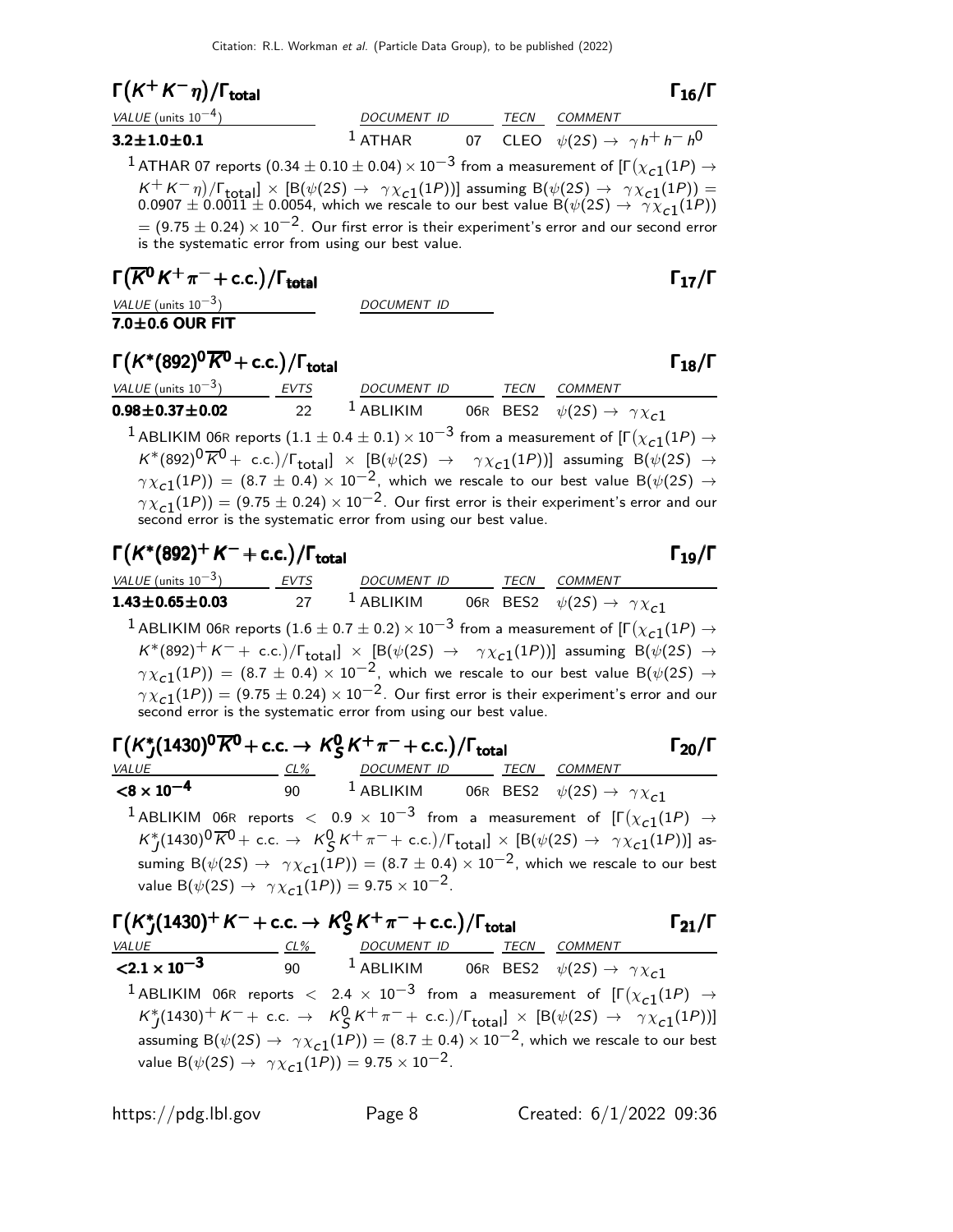# $\Gamma(K^+K^-\eta)/\Gamma_{\text{total}}$  Γ<sub>16</sub>/Γ

| VALUE (units $10^{-4}$ )                                                                                                                                                                                                                                                                                                                                                                                                                  | DOCUMENT ID |  | TECN COMMENT                                      |
|-------------------------------------------------------------------------------------------------------------------------------------------------------------------------------------------------------------------------------------------------------------------------------------------------------------------------------------------------------------------------------------------------------------------------------------------|-------------|--|---------------------------------------------------|
| $3.2 \pm 1.0 \pm 0.1$                                                                                                                                                                                                                                                                                                                                                                                                                     | $1$ ATHAR   |  | 07 CLEO $\psi(2S) \rightarrow \gamma h^+ h^- h^0$ |
| <sup>1</sup> ATHAR 07 reports (0.34 $\pm$ 0.10 $\pm$ 0.04) $\times$ 10 <sup>-3</sup> from a measurement of [ $\Gamma(\chi_{c1}(1P) \rightarrow$                                                                                                                                                                                                                                                                                           |             |  |                                                   |
| $K^+ K^- \eta$ )/ $\Gamma_{\text{total}}$ ] × [B( $\psi(2S) \rightarrow \gamma \chi_{c1}(1P)$ )] assuming B( $\psi(2S) \rightarrow \gamma \chi_{c1}(1P)$ ) = 0.0007 ± 0.0011 ± 0.0054, which we rescale to our best value B( $\psi(2S) \rightarrow \gamma \chi_{c1}(1P)$ )<br>$= (9.75 \pm 0.24) \times 10^{-2}$ . Our first error is their experiment's error and our second error<br>is the systematic error from using our best value. |             |  |                                                   |

# $\Gamma(\overline{K}^0 K^+\pi^-+$  c.c.)/ $\Gamma_{\rm total}$

VALUE (units  $10^{-3}$ ) DOCUMENT ID

7.0 $\pm$ 0.6 OUR FIT

## $\Gamma(K^*(892)^0\overline{K}^0$  + c.c.)/Γ<sub>total</sub>Γ Γ<sub>18</sub>/Γ

| VALUE (units $10^{-3}$ )                                        | <b>EVTS</b> | DOCUMENT ID | TECN | <i>COMMENT</i>                                                                                                                                                   |
|-----------------------------------------------------------------|-------------|-------------|------|------------------------------------------------------------------------------------------------------------------------------------------------------------------|
| $0.98 + 0.37 + 0.02$                                            | 22          | $1$ ABLIKIM |      | 06R BES2 $\psi(2S) \rightarrow \gamma \chi_{c1}$                                                                                                                 |
|                                                                 |             |             |      | <sup>1</sup> ABLIKIM 06R reports (1.1 $\pm$ 0.4 $\pm$ 0.1) $\times$ 10 <sup>-3</sup> from a measurement of $\Gamma(\chi_{c1}(1P) \rightarrow$                    |
|                                                                 |             |             |      | $K^*(892)^0\overline{K}^0$ + c.c.)/ $\Gamma_{\text{total}}$ $\times$ [B( $\psi(2S)$ $\rightarrow$ $\gamma \chi_{c1}(1P)$ )] assuming B( $\psi(2S)$ $\rightarrow$ |
|                                                                 |             |             |      | $\gamma \chi_{c1}(1P)$ = (8.7 ± 0.4) × 10 <sup>-2</sup> , which we rescale to our best value B( $\psi(2S) \rightarrow$                                           |
|                                                                 |             |             |      | $\gamma \chi_{c1}(1P)$ = (9.75 $\pm$ 0.24) $\times$ 10 <sup>-2</sup> . Our first error is their experiment's error and our                                       |
| second error is the systematic error from using our best value. |             |             |      |                                                                                                                                                                  |

# $\Gamma(K^*(892)^+ K^- + \text{c.c.})/\Gamma_{\text{total}}$  Γ<sub>19</sub>/Γ

| VALUE (units $10^{-3}$ )                                                                                               | <b>EVTS</b> | <b>DOCUMENT ID</b> |  | TECN | COMMENT                                                                                                                                                                                    |
|------------------------------------------------------------------------------------------------------------------------|-------------|--------------------|--|------|--------------------------------------------------------------------------------------------------------------------------------------------------------------------------------------------|
| $1.43 \pm 0.65 \pm 0.03$                                                                                               | 27          | $1$ ABLIKIM        |  |      | 06R BES2 $\psi(2S) \rightarrow \gamma \chi_{c1}$                                                                                                                                           |
|                                                                                                                        |             |                    |  |      | <sup>1</sup> ABLIKIM 06R reports (1.6 $\pm$ 0.7 $\pm$ 0.2) $\times$ 10 <sup>-3</sup> from a measurement of [ $\Gamma(\chi_{c1}(1P) \rightarrow$                                            |
|                                                                                                                        |             |                    |  |      | $K^*(892)^+K^-+$ c.c.)/ $\Gamma_{total}$ $\times$ [B( $\psi(2S)$ $\rightarrow$ $\gamma \chi_{c1}(1P)$ )] assuming B( $\psi(2S)$ $\rightarrow$                                              |
| $\gamma \chi_{c1}(1P)$ = (8.7 ± 0.4) × 10 <sup>-2</sup> , which we rescale to our best value B( $\psi(2S) \rightarrow$ |             |                    |  |      |                                                                                                                                                                                            |
|                                                                                                                        |             |                    |  |      | $\gamma \chi_{c1}(1P)$ = (9.75 $\pm$ 0.24) $\times$ 10 <sup>-2</sup> . Our first error is their experiment's error and our second error is the systematic error from using our best value. |

| $\Gamma(K^* (1430)^0 \overline{K}^0 + c.c. \rightarrow K^0_S K^+ \pi^- + c.c.)/\Gamma_{\text{total}}$ |                                                                                                                                                                                                                                                                                                                                                                                                                                                                                                                           |                          |  |  |  | $\Gamma_{20}/\Gamma$ |
|-------------------------------------------------------------------------------------------------------|---------------------------------------------------------------------------------------------------------------------------------------------------------------------------------------------------------------------------------------------------------------------------------------------------------------------------------------------------------------------------------------------------------------------------------------------------------------------------------------------------------------------------|--------------------------|--|--|--|----------------------|
| VALUE                                                                                                 | CL%                                                                                                                                                                                                                                                                                                                                                                                                                                                                                                                       | DOCUMENT ID TECN COMMENT |  |  |  |                      |
| $<$ 8 $\times$ 10 $^{-4}$                                                                             | 90 $^{-1}$ ABLIKIM 06R BES2 $\psi(2S) \rightarrow \gamma \chi_{c1}$                                                                                                                                                                                                                                                                                                                                                                                                                                                       |                          |  |  |  |                      |
|                                                                                                       | <sup>1</sup> ABLIKIM 06R reports $<$ 0.9 $\times$ 10 <sup>-3</sup> from a measurement of $[\Gamma(\chi_{c1}(1P) \rightarrow$<br>$K_I^*(1430)^0\overline{K}^0$ + c.c. $\rightarrow$ $K_S^0 K^+\pi^-$ + c.c.)/ $\Gamma_{\text{total}}$ $\times$ [B( $\psi(2S)$ $\rightarrow$ $\gamma \chi_{c1}(1P)$ )] as-<br>suming B( $\psi(2S) \rightarrow \gamma \chi_{c1}(1P)$ ) = (8.7 ± 0.4) × 10 <sup>-2</sup> , which we rescale to our best<br>value B( $\psi(2S) \rightarrow \gamma \chi_{c1}(1P)$ ) = 9.75 × 10 <sup>-2</sup> . |                          |  |  |  |                      |

| $\Gamma(K_{I}^{*}(1430)^{+} K^{-} + c.c. \rightarrow K_{S}^{0} K^{+} \pi^{-} + c.c.)/\Gamma_{\text{total}}$ |        |                                                                            |  | $\Gamma_{21}/\Gamma$                                                                                                                                                                                                                                                                                                                                                                                                     |  |
|-------------------------------------------------------------------------------------------------------------|--------|----------------------------------------------------------------------------|--|--------------------------------------------------------------------------------------------------------------------------------------------------------------------------------------------------------------------------------------------------------------------------------------------------------------------------------------------------------------------------------------------------------------------------|--|
| VALUE                                                                                                       | $CL\%$ | DOCUMENT ID TECN COMMENT                                                   |  |                                                                                                                                                                                                                                                                                                                                                                                                                          |  |
| $\langle 2.1 \times 10^{-3} \rangle$                                                                        |        |                                                                            |  | 90 <sup>1</sup> ABLIKIM 06R BES2 $\psi(2S) \rightarrow \gamma \chi_{c1}$                                                                                                                                                                                                                                                                                                                                                 |  |
|                                                                                                             |        | value B( $\psi(2S) \to \gamma \chi_{c1}(1P)$ ) = 9.75 × 10 <sup>-2</sup> . |  | <sup>1</sup> ABLIKIM 06R reports $<$ 2.4 $\times$ 10 <sup>-3</sup> from a measurement of $[\Gamma(\chi_{c1}(1P) \rightarrow$<br>$K_I^*(1430)^+ K^- +$ c.c. $\rightarrow$ $K_S^0 K^+ \pi^- +$ c.c.)/ $\Gamma_{\text{total}}$ $\times$ [B( $\psi(25)$ $\rightarrow$ $\gamma \chi_{c1}(1P))$ ]<br>assuming B( $\psi(2S) \rightarrow \gamma \chi_{c1}(1P)$ ) = (8.7 ± 0.4) × 10 <sup>-2</sup> , which we rescale to our best |  |

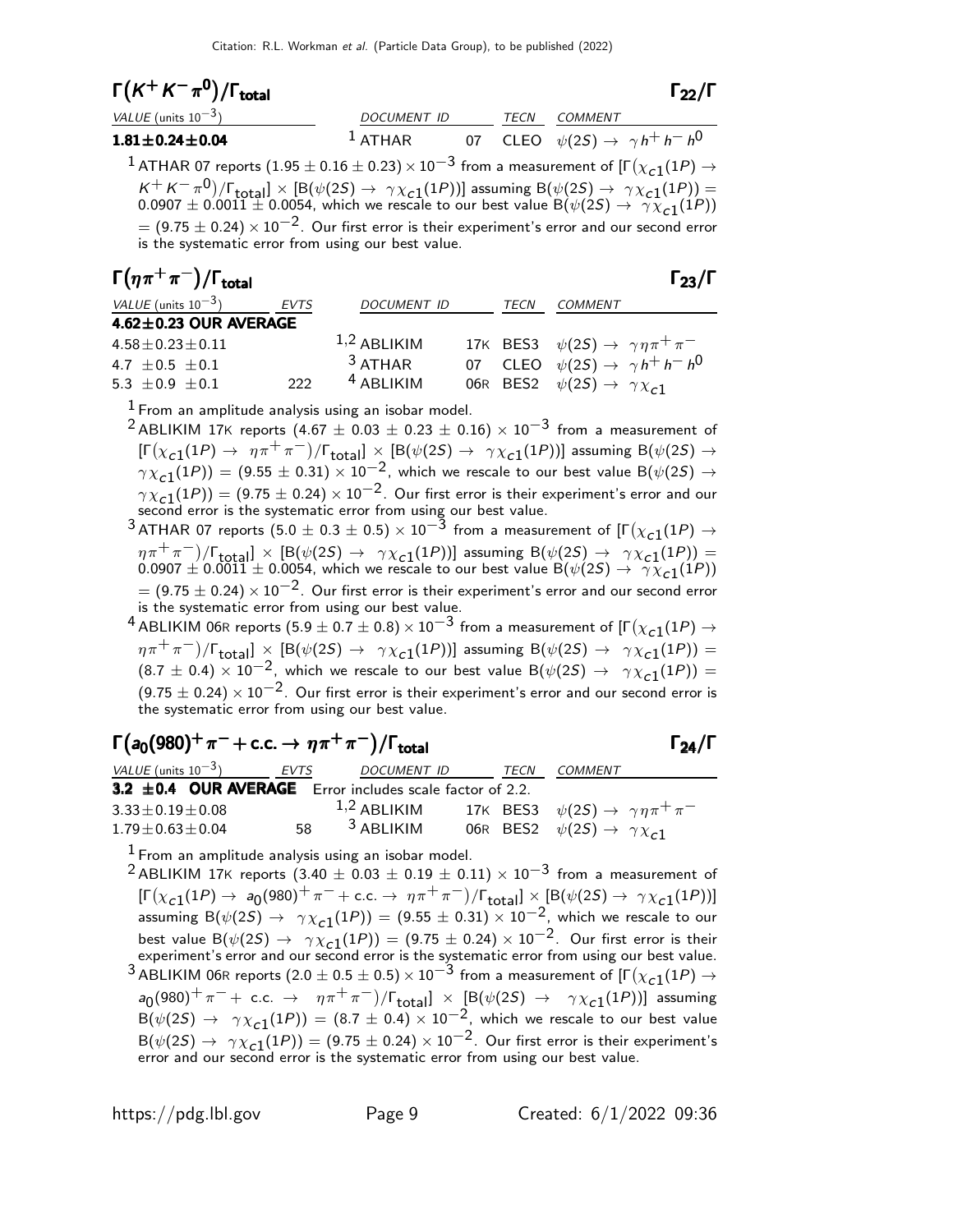| $\Gamma(K^+K^-\pi^0)/\Gamma_{\rm total}$ | $\Gamma_{22}/\Gamma$ |
|------------------------------------------|----------------------|
|                                          |                      |

| VALUE (units $10^{-3}$ )                                                                                                                                                                                                                                                                                                                                                                                                                                                                                                                                                                      | DOCUMENT ID |  | <i>TECN COMMENT</i> |                                                   |
|-----------------------------------------------------------------------------------------------------------------------------------------------------------------------------------------------------------------------------------------------------------------------------------------------------------------------------------------------------------------------------------------------------------------------------------------------------------------------------------------------------------------------------------------------------------------------------------------------|-------------|--|---------------------|---------------------------------------------------|
| $1.81 \pm 0.24 \pm 0.04$                                                                                                                                                                                                                                                                                                                                                                                                                                                                                                                                                                      | $1$ ATHAR   |  |                     | 07 CLEO $\psi(2S) \rightarrow \gamma h^+ h^- h^0$ |
| <sup>1</sup> ATHAR 07 reports (1.95 $\pm$ 0.16 $\pm$ 0.23) $\times$ 10 <sup>-3</sup> from a measurement of [ $\Gamma(\chi_{c1}(1P) \rightarrow$<br>$K^+ K^- \pi^0$ )/ $\Gamma_{\text{total}}$ ] × [B( $\psi(2S) \rightarrow \gamma \chi_{c1}(1P)$ )] assuming B( $\psi(2S) \rightarrow \gamma \chi_{c1}(1P)$ ) = 0.0007 ± 0.0011 ± 0.0054, which we rescale to our best value B( $\psi(2S) \rightarrow \gamma \chi_{c1}(1P)$ )<br>$= (9.75 \pm 0.24) \times 10^{-2}$ . Our first error is their experiment's error and our second error<br>is the systematic error from using our best value. |             |  |                     |                                                   |

| $\Gamma(\eta\pi^+\pi^-)/\Gamma_{\rm total}$ | $\Gamma_{23}/\Gamma$ |
|---------------------------------------------|----------------------|
|                                             |                      |

| VALUE (units $10^{-3}$ )    | <b>EVTS</b> | <b>DOCUMENT ID</b> | TECN | <b>COMMENT</b>                                          |
|-----------------------------|-------------|--------------------|------|---------------------------------------------------------|
| $4.62 \pm 0.23$ OUR AVERAGE |             |                    |      |                                                         |
| $4.58 \pm 0.23 \pm 0.11$    |             | $1,2$ ABLIKIM      |      | 17K BES3 $\psi(2S) \rightarrow \gamma \eta \pi^+ \pi^-$ |
| $4.7 + 0.5 + 0.1$           |             | $3$ ATHAR          |      | 07 CLEO $\psi(2S) \rightarrow \gamma h^+ h^- h^0$       |
| $5.3 + 0.9 + 0.1$           | 222         | $4$ ABLIKIM        |      | 06R BES2 $\psi(2S) \rightarrow \gamma \chi_{c1}$        |

 $<sup>1</sup>$  From an amplitude analysis using an isobar model.</sup>

<sup>2</sup> ABLIKIM 17K reports (4.67  $\pm$  0.03  $\pm$  0.23  $\pm$  0.16)  $\times$  10<sup>-3</sup> from a measurement of  $[\Gamma(\chi_{c1}(1P) \to \eta \pi^+ \pi^-)/\Gamma_{\text{total}}] \times [B(\psi(2S) \to \gamma \chi_{c1}(1P))]$  assuming  $B(\psi(2S) \to$  $\gamma \chi_{\bf C1}(1P)$ ) = (9.55  $\pm$  0.31)  $\times$  10<sup>-2</sup>, which we rescale to our best value B( $\psi(2S) \rightarrow$  $\gamma \chi_{\bf c1}(1P)) = (9.75 \pm 0.24) \times 10^{-2}$ . Our first error is their experiment's error and our second error is the systematic error from using our best value.

 $^3$  ATHAR 07 reports  $(5.0 \pm 0.3 \pm 0.5) \times 10^{-\tilde{3}}$  from a measurement of [Г $(\chi_{\tt c1}(1P) \rightarrow$  $\eta \pi^+ \pi^-)/[\text{total}] \times [\text{B}(\psi(25) \to \gamma \chi_{c1}(1P))]$  assuming  $\text{B}(\psi(25) \to \gamma \chi_{c1}(1P))] =$  $0.0907 \pm 0.0011 \pm 0.0054$ , which we rescale to our best value B $(\psi(2S) \rightarrow \gamma \overline{\chi}_{c1}(1P))$  $= (9.75 \pm 0.24) \times 10^{-2}$ . Our first error is their experiment's error and our second error is the systematic error from using our best value.

 $^4$  ABLIKIM 06R reports  $(5.9 \pm 0.7 \pm 0.8) \times 10^{-3}$  from a measurement of [Г $(\chi_{\tt c1}(1P) \rightarrow$  $(\eta \pi^+ \pi^-)/\Gamma_{\rm total}$ ]  $\times$  [B( $\psi(2S) \rightarrow \gamma \chi_{c1}(1P)$ )] assuming B( $\psi(2S) \rightarrow \gamma \chi_{c1}(1P)$ ) =  $(8.7 \pm 0.4) \times 10^{-2}$ , which we rescale to our best value B $(\psi(2S) \rightarrow \gamma \chi_{c1}(1P))$  =  $(9.75 \pm 0.24) \times 10^{-2}$ . Our first error is their experiment's error and our second error is the systematic error from using our best value.

| $\Gamma(a_0(980)^+\pi^-+c.c. \to \eta\pi^+\pi^-)/\Gamma_{\text{total}}$ |                         |      | $\Gamma_{24}/\Gamma$                                    |
|-------------------------------------------------------------------------|-------------------------|------|---------------------------------------------------------|
| VALUE (units $10^{-3}$ ) EVTS                                           | DOCUMENT ID             | TECN | <i>COMMENT</i>                                          |
| 3.2 $\pm$ 0.4 OUR AVERAGE Error includes scale factor of 2.2.           |                         |      |                                                         |
| $3.33 \pm 0.19 \pm 0.08$                                                | $1,2$ ABLIKIM           |      | 17K BES3 $\psi(2S) \rightarrow \gamma \eta \pi^+ \pi^-$ |
| $1.79 \pm 0.63 \pm 0.04$                                                | 58 <sup>3</sup> ABLIKIM |      | 06R BES2 $\psi(2S) \rightarrow \gamma \chi_{c1}$        |

 $<sup>1</sup>$  From an amplitude analysis using an isobar model.</sup>

<sup>2</sup> ABLIKIM 17K reports (3.40  $\pm$  0.03  $\pm$  0.19  $\pm$  0.11)  $\times$  10<sup>-3</sup> from a measurement of  $[\Gamma(\chi_{c1}(1P) \to a_0(980)^+ \pi^- + \text{c.c.} \to \eta \pi^+ \pi^-)/\Gamma_{\text{total}}] \times [B(\psi(2S) \to \gamma \chi_{c1}(1P))]$ assuming  $B(\psi(25) \rightarrow \gamma \chi_{c1}(1P)) = (9.55 \pm 0.31) \times 10^{-2}$ , which we rescale to our best value  $B(\psi(2S) \rightarrow \gamma \chi_{c1}(1P)) = (9.75 \pm 0.24) \times 10^{-2}$ . Our first error is their experiment's error and our second error is the systematic error from using our best value.  $^3$  ABLIKIM 06R reports  $(2.0 \pm 0.5 \pm 0.5) \times 10^{-3}$  from a measurement of [Г $(\chi_{\tt c1}(1P) \rightarrow$  $a_0(980)^+\pi^-+$  c.c.  $\rightarrow$   $\eta\pi^+\pi^-)/\Gamma_{\text{total}}$ ]  $\times$   $\left[\mathsf{B}(\psi(2S) \rightarrow \gamma \chi_{\text{c1}}(1P))\right]$  assuming  $B(\psi(2S) \rightarrow \gamma \chi_{c1}(1P)) = (8.7 \pm 0.4) \times 10^{-2}$ , which we rescale to our best value  $B(\psi(2S) \rightarrow \gamma \chi_{c1}(1P)) = (9.75 \pm 0.24) \times 10^{-2}$ . Our first error is their experiment's error and our second error is the systematic error from using our best value.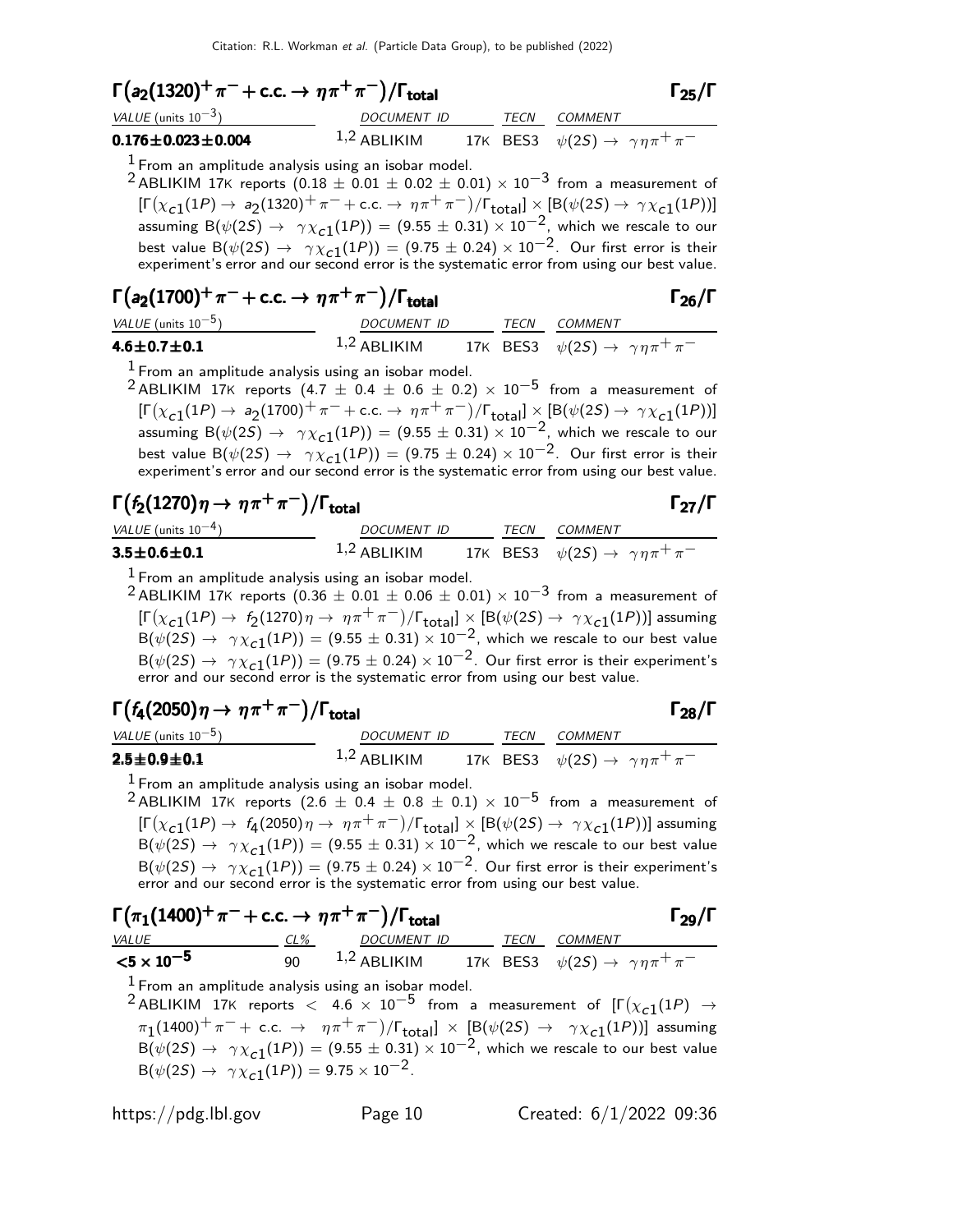| $\Gamma(a_2(1320)^+\pi^-+c.c. \to \eta\pi^+\pi^-)/\Gamma_{\text{total}}$ |               |  |  |                                                         |  |
|--------------------------------------------------------------------------|---------------|--|--|---------------------------------------------------------|--|
| VALUE (units $10^{-3}$ )                                                 | DOCUMENT ID   |  |  | <i>TECN COMMENT</i>                                     |  |
| $0.176 \pm 0.023 \pm 0.004$                                              | $1,2$ ABLIKIM |  |  | 17K BES3 $\psi(2S) \rightarrow \gamma \eta \pi^+ \pi^-$ |  |

 $<sup>1</sup>$  From an amplitude analysis using an isobar model.</sup>

<sup>2</sup> ABLIKIM 17K reports  $(0.18 \pm 0.01 \pm 0.02 \pm 0.01) \times 10^{-3}$  from a measurement of  $[\Gamma(\chi_{c1}(1P) \to a_2(1320)^+ \pi^- + \text{c.c.} \to \eta \pi^+ \pi^-)/\Gamma_{\text{total}}] \times [B(\psi(2S) \to \gamma \chi_{c1}(1P))]$ assuming  $B(\psi(25) \rightarrow \gamma \chi_{c1}(1P)) = (9.55 \pm 0.31) \times 10^{-2}$ , which we rescale to our best value  $\mathsf{B}(\psi(2S) \to -\gamma \chi_{\bf C1}(1P)) = (9.75 \pm 0.24) \times 10^{-2}$ . Our first error is their experiment's error and our second error is the systematic error from using our best value.

$$
\Gamma(a_2(1700)^+\pi^-+c.c.\rightarrow \eta\pi^+\pi^-)/\Gamma_{\text{total}}
$$

| VALUE (units $10^{-5}$ ) | <i>DOCUMENT ID</i> | TECN COMMENT                                            |
|--------------------------|--------------------|---------------------------------------------------------|
| $4.6 \pm 0.7 \pm 0.1$    | $1,2$ ABLIKIM      | 17K BES3 $\psi(2S) \rightarrow \gamma \eta \pi^+ \pi^-$ |

 $<sup>1</sup>$  From an amplitude analysis using an isobar model.</sup>

<sup>2</sup> ABLIKIM 17K reports  $(4.7 \pm 0.4 \pm 0.6 \pm 0.2) \times 10^{-5}$  from a measurement of  $[\Gamma(\chi_{c1}(1P) \to a_2(1700)^+ \pi^- + \text{c.c.} \to \eta \pi^+ \pi^-)/\Gamma_{\text{total}}] \times [B(\psi(2S) \to \gamma \chi_{c1}(1P))]$ assuming  $B(\psi(2S) \rightarrow \gamma \chi_{c1}(1P)) = (9.55 \pm 0.31) \times 10^{-2}$ , which we rescale to our best value  $B(\psi(2S) \rightarrow \gamma \chi_{c1}(1P)) = (9.75 \pm 0.24) \times 10^{-2}$ . Our first error is their experiment's error and our second error is the systematic error from using our best value.

$$
\Gamma(f_2(1270)\eta \to \eta \pi^+ \pi^-)/\Gamma_{\text{total}}
$$

| VALUE (units $10^{-4}$ ) | DOCUMENT ID   |  | TECN COMMENT                                            |
|--------------------------|---------------|--|---------------------------------------------------------|
| $3.5 \pm 0.6 \pm 0.1$    | $1,2$ ABLIKIM |  | 17K BES3 $\psi(2S) \rightarrow \gamma \eta \pi^+ \pi^-$ |

 $<sup>1</sup>$  From an amplitude analysis using an isobar model.</sup>

<sup>2</sup> ABLIKIM 17K reports  $(0.36 \pm 0.01 \pm 0.06 \pm 0.01) \times 10^{-3}$  from a measurement of  $[\Gamma(\chi_{c1}(1P) \to f_2(1270) \eta \to \eta \pi^+ \pi^-)/\Gamma_{\text{total}}] \times [B(\psi(2S) \to \gamma \chi_{c1}(1P))]$  assuming  $B(\psi(2S) \rightarrow \gamma \chi_{c1}^{-1}(1P)) = (9.55 \pm 0.31) \times 10^{-2}$ , which we rescale to our best value  $B(\psi(2S) \rightarrow \gamma \chi_{c1}(1P)) = (9.75 \pm 0.24) \times 10^{-2}$ . Our first error is their experiment's error and our second error is the systematic error from using our best value.

$$
\Gamma(f_4(2050)\eta \to \eta \pi^+ \pi^-)/\Gamma_{\text{total}}
$$

| VALUE (units $10^{-5}$ )      | DOCUMENT ID   |  | <i>TECN COMMENT</i>                                     |
|-------------------------------|---------------|--|---------------------------------------------------------|
| $2.5 \!\pm\! 0.9 \!\pm\! 0.1$ | $1,2$ ABLIKIM |  | 17K BES3 $\psi(2S) \rightarrow \gamma \eta \pi^+ \pi^-$ |

 $<sup>1</sup>$  From an amplitude analysis using an isobar model.</sup>

<sup>2</sup> ABLIKIM 17K reports  $(2.6 \pm 0.4 \pm 0.8 \pm 0.1) \times 10^{-5}$  from a measurement of  $[\Gamma(\chi_{c1}(1P) \to f_4(2050) \eta \to \eta \pi^+ \pi^-)/\Gamma_{\rm total}]\times [B(\psi(2S) \to \gamma \chi_{c1}(1P))]$  assuming  $B(\psi(2S) \rightarrow \gamma \chi_{c1}(1P)) = (9.55 \pm 0.31) \times 10^{-2}$ , which we rescale to our best value  $B(\psi(2S) \rightarrow \gamma \chi_{c1}(1P)) = (9.75 \pm 0.24) \times 10^{-2}$ . Our first error is their experiment's error and our second error is the systematic error from using our best value.

 $\Gamma(\pi_1(1400)^+ \pi^- + \text{c.c.} \rightarrow \eta \pi^+ \pi^-)/\Gamma_{\text{total}}$  Γ<sub>29</sub>/Γ VALUE CL% DOCUMENT ID TECN COMMENT  $\le$ 5 × 10<sup>−5</sup> 90 <sup>1,2</sup> ABLIKIM 17K BES3  $\psi$ (2S) →  $\gamma \eta \pi^+ \pi^ \frac{1}{1}$  From an amplitude analysis using an isobar model.  $^2$ ABLIKIM 17K reports  $<$  4.6  $\times$  10 $^{-5}$  from a measurement of  $[\Gamma(\chi_{c1}(1P)$   $\rightarrow$  $\pi_1(1400)^+ \pi^- + \text{ c.c.} \rightarrow \ \ \eta \pi^+ \pi^-)/\mathsf{\Gamma}_{\text{total}}] \ \times \ \left[\mathsf{B}(\psi(2S) \ \to \ \ \gamma \chi_{\text{c1}}(1P)) \right]$  assuming  $\overline{B(\psi(2S) \rightarrow \gamma \chi_{c1}(1P))} = (9.55 \pm 0.31) \times 10^{-2}$ , which we rescale to our best value  $B(\psi(2S) \rightarrow \gamma \chi_{c1}(1P)) = 9.75 \times 10^{-2}$ .

 $\Gamma_{26}/\Gamma$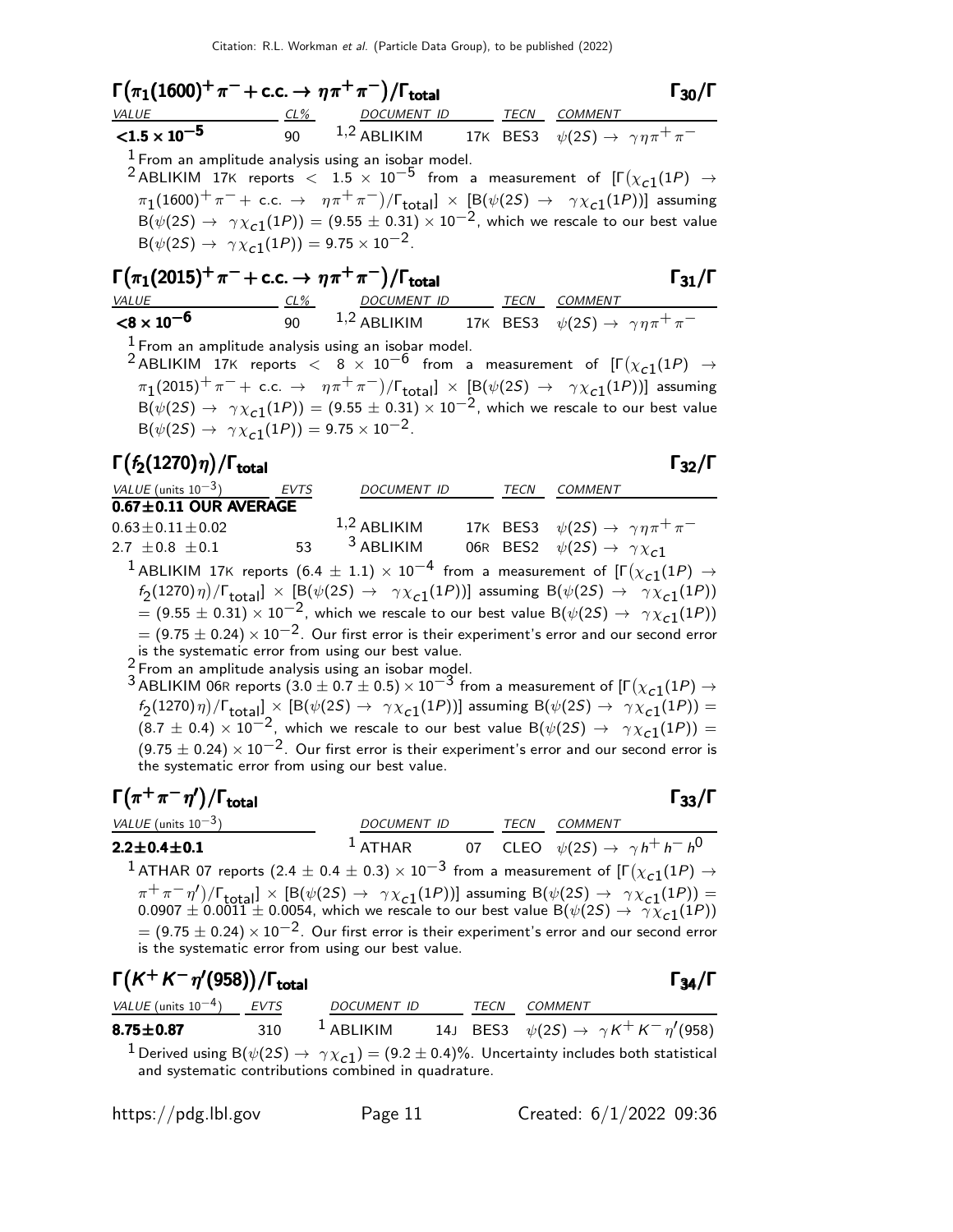$\Gamma(\pi_1(1600)^+ \pi^- + \text{c.c.} \to \eta \pi^+ \pi^-)/\Gamma_{\text{total}}$  Γ<sub>30</sub>/Γ  $\Gamma_{30}/\Gamma$ VALUE CL% DOCUMENT ID TECN COMMENT  ${<}1.5 \times 10^{-5}$ 90  $1,2$  ABLIKIM 17K BES3  $\psi(2S) \rightarrow \gamma \eta \pi^+ \pi^ \frac{1}{2}$  From an amplitude analysis using an isobar model.  $^2$ ABLIKIM 17K reports  $<$   $1.5 \times 10^{-5}$  from a measurement of  $[\Gamma(\chi_{c1}(1P)$   $\rightarrow$  $\pi_1(1600)^+ \pi^- + \text{ c.c.} \rightarrow \pi \pi^+ \pi^-)/\Gamma_{\text{total}}] \times [\text{B}(\psi(2S) \rightarrow \gamma \chi_{\text{c1}}(1P))]$  assuming  $\overline{B(\psi(2S) \rightarrow \gamma \chi_{c1}(1P))} = (9.55 \pm 0.31) \times 10^{-2}$ , which we rescale to our best value  $B(\psi(2S) \rightarrow \gamma \chi_{c1}(1P)) = 9.75 \times 10^{-2}$ .  $\Gamma(\pi_1(2015)^+ \pi^- + \text{c.c.} \to \eta \pi^+ \pi^-)/\Gamma_{\text{total}}$  Γ<sub>31</sub>/Γ total and  $\overline{31}/1$ VALUE CL% DOCUMENT ID TECN COMMENT  $<$ 8  $\times$  10 $^{-6}$ 90  $1.2$  ABLIKIM  $17$ K BES3  $\psi(2S) \rightarrow \ \gamma \eta \pi^+ \pi^ <sup>1</sup>$  From an amplitude analysis using an isobar model.</sup>  $^2$ ABLIKIM 17K reports  $<$  8  $\times$  10 $^{-6}$  from a measurement of [ $\Gamma(\chi_{c1}(1P)$   $\rightarrow$  $\pi_1(2015)^+ \, \pi^-+\,$  c.c.  $\;\rightarrow\;\; \eta \pi^+ \, \pi^-)/\mathsf{\Gamma}_{\sf total}] \;\times\; \left[\mathsf{B}(\psi(2S) \;\rightarrow\;\; \gamma \chi_{\mathsf{c}1}(1P)) \right]$  assuming  $\overline{B(\psi(2S) \rightarrow \gamma \chi_{c1}(1P))} = (9.55 \pm 0.31) \times 10^{-2}$ , which we rescale to our best value  $B(\psi(2S) \rightarrow \gamma \chi_{c1}(1P)) = 9.75 \times 10^{-2}$ . Γ $(f_2(1270)\eta)/\Gamma_{\text{total}}$ Γ VALUE (units  $10^{-3}$ ) EVTS DOCUMENT ID TECN COMMENT  $0.67 \pm 0.11$  OUR AVERAGE  $0.63 \pm 0.11 \pm 0.02$  1,2 ABLIKIM 17K BES3  $\psi(2S) \to \gamma \eta \pi^+ \pi^-$ <br>2.7  $\pm 0.8 \pm 0.1$  53 <sup>3</sup> ABLIKIM 06R BES2  $\psi(2S) \to \gamma \chi_{c1}$ 2.7  $\pm$ 0.8  $\pm$ 0.1 53 <sup>3</sup> ABLIKIM 06R BES2  $\psi(2S) \to \gamma \chi_{c1}$  $^1$  ABLIKIM  $_{17}$ K reports  $(6.4~\pm~1.1)~\times~10^{-4}$  from a measurement of  $[\Gamma(\chi_{c1}(1P)~\rightarrow$  $f_2(1270)\eta)/\Gamma_{\rm total}$ ]  $\times$  [B( $\psi(2S) \rightarrow \gamma \chi_{c1}(1P)$ )] assuming B( $\psi(2S) \rightarrow \gamma \chi_{c1}(1P)$ )  $= (9.55 \pm 0.31) \times 10^{-2}$ , which we rescale to our best value B( $\psi(2S) \rightarrow \gamma \chi_{c1}(1P)$ )  $= (9.75 \pm 0.24) \times 10^{-2}$ . Our first error is their experiment's error and our second error is the systematic error from using our best value.  $2$  From an amplitude analysis using an isobar model.  $^3$  ABLIKIM 06R reports  $(3.0 \pm 0.7 \pm 0.5) \times 10^{-3}$  from a measurement of [Г $(\chi_{\bf C1}(1P) \rightarrow$  $f_2(1270)\,\eta)/\Gamma_{\rm total}$   $\times$   $[{\rm B}(\psi(2S) \to \gamma \chi_{c1}(1P))]$  assuming  ${\rm B}(\psi(2S) \to \gamma \chi_{c1}(1P))=$  $(8.7 \pm 0.4) \times 10^{-2}$ , which we rescale to our best value B $(\psi(2S) \rightarrow \gamma \chi_{c1}(1P))$  =  $(9.75 \pm 0.24) \times 10^{-2}$ . Our first error is their experiment's error and our second error is the systematic error from using our best value.  $\Gamma(\pi^+\pi^-\eta')/\Gamma_{\rm total}$  Γ<sub>33</sub>/Γ )/Γ<sub>total</sub>Γ33/Γ VALUE (units  $10^{-3}$ ) DOCUMENT ID TECN COMMENT  $2.2 \pm 0.4 \pm 0.1$  $^1$  ATHAR 07 CLEO  $\psi(2S) \rightarrow \gamma h^+ h^- h^0$  $^1$  ATHAR 07 reports  $(2.4\pm0.4\pm0.3)\times10^{-3}$  from a measurement of [Г $(\chi_{\tt c1}(1P) \rightarrow$  $(\pi^+ \pi^- \eta') / \Gamma_{\text{total}}$  × [B( $\psi$ (2S) →  $\gamma \chi_{c1}(1)$ )] assuming B( $\psi$ (2S) →  $\gamma \chi_{c1}(1)$ ) =  $0.0907 \pm 0.0011 \pm 0.0054$ , which we rescale to our best value B $(\psi(2S) \rightarrow \gamma \overline{\chi}_{c1}(1P))$  $= (9.75 \pm 0.24) \times 10^{-2}$ . Our first error is their experiment's error and our second error is the systematic error from using our best value.

| $\Gamma(K^+K^-\eta'(958))/\Gamma_{\rm total}$                                                                                                                                         |     |                                                                                |  |      |                | $\Gamma_{34}/\Gamma$ |
|---------------------------------------------------------------------------------------------------------------------------------------------------------------------------------------|-----|--------------------------------------------------------------------------------|--|------|----------------|----------------------|
| VALUE (units $10^{-4}$ ) EVTS                                                                                                                                                         |     | <b>DOCUMENT ID</b>                                                             |  | TECN | <i>COMMENT</i> |                      |
| $8.75 \pm 0.87$                                                                                                                                                                       | 310 | <sup>1</sup> ABLIKIM 14J BES3 $\psi(2S) \rightarrow \gamma K^+ K^- \eta'(958)$ |  |      |                |                      |
| <sup>1</sup> Derived using B( $\psi(2S) \rightarrow \gamma \chi_{c1}$ ) = (9.2 ± 0.4)%. Uncertainty includes both statistical<br>and systematic contributions combined in quadrature. |     |                                                                                |  |      |                |                      |

| $\frac{https://pdg.1b1.gov}{%$ |  |  |  |  |
|--------------------------------|--|--|--|--|
|--------------------------------|--|--|--|--|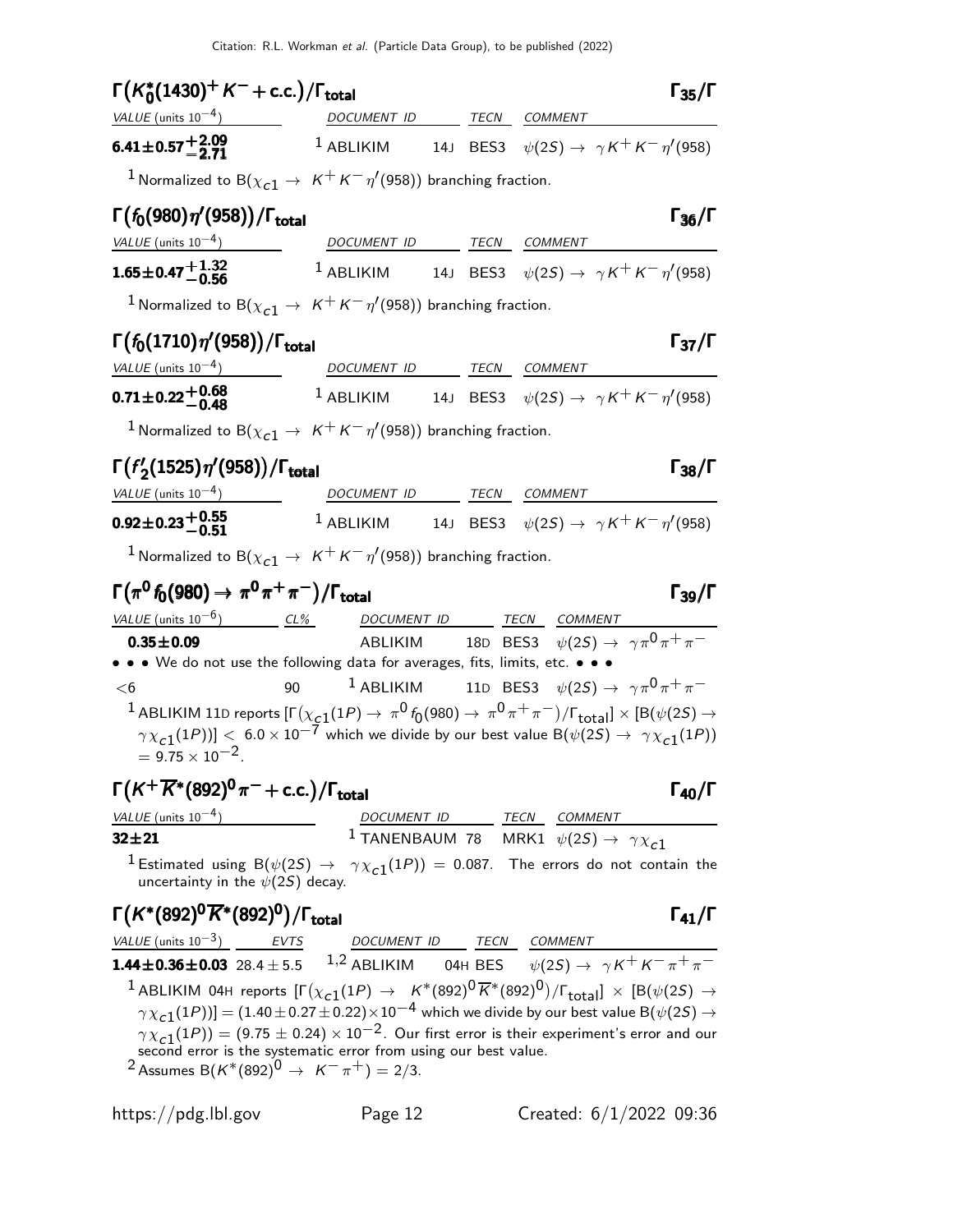| $\Gamma(K_0^*(1430)^+ K^- + \text{c.c.})/\Gamma_{\text{total}}$                                                                                                                              |                          | $\Gamma_{35}/\Gamma$                                                                                                                                                                                                                                                            |
|----------------------------------------------------------------------------------------------------------------------------------------------------------------------------------------------|--------------------------|---------------------------------------------------------------------------------------------------------------------------------------------------------------------------------------------------------------------------------------------------------------------------------|
| $VALUE$ (units $10^{-4}$ ) DOCUMENT ID TECN COMMENT                                                                                                                                          |                          |                                                                                                                                                                                                                                                                                 |
| $6.41\pm0.57\frac{+2.09}{-2.71}$                                                                                                                                                             |                          | <sup>1</sup> ABLIKIM 14J BES3 $\psi(2S) \rightarrow \gamma K^+ K^- \eta'(958)$                                                                                                                                                                                                  |
| <sup>1</sup> Normalized to B( $\chi_{c1} \to K^+ K^- \eta'(958)$ ) branching fraction.                                                                                                       |                          |                                                                                                                                                                                                                                                                                 |
| $\Gamma(f_0(980)\eta'(958))/\Gamma_{\rm total}$                                                                                                                                              |                          | $\Gamma_{36}/\Gamma$                                                                                                                                                                                                                                                            |
| VALUE (units $10^{-4}$ )                                                                                                                                                                     | DOCUMENT ID TECN COMMENT |                                                                                                                                                                                                                                                                                 |
| $1.65\pm0.47{+1.32\atop-0.56}$                                                                                                                                                               |                          | $^1$ ABLIKIM 14J BES3 $\psi(2S) \rightarrow \gamma K^+ K^- \eta^{\prime}(958)$                                                                                                                                                                                                  |
| <sup>1</sup> Normalized to B( $\chi_{c1} \to K^+ K^- \eta'(958)$ ) branching fraction.                                                                                                       |                          |                                                                                                                                                                                                                                                                                 |
| $\Gamma(f_0(1710)\eta'(958))/\Gamma_{\rm total}$                                                                                                                                             |                          | $\Gamma_{37}/\Gamma$                                                                                                                                                                                                                                                            |
| $VALUE (units 10-4)$ DOCUMENT ID TECN COMMENT                                                                                                                                                |                          |                                                                                                                                                                                                                                                                                 |
|                                                                                                                                                                                              |                          | <b>0.71±0.22<math>+</math>0.68</b> 1 ABLIKIM 14J BES3 $\psi(2S) \rightarrow \gamma K^+ K^- \eta'(958)$                                                                                                                                                                          |
| <sup>1</sup> Normalized to B( $\chi_{c1} \rightarrow K^+ K^- \eta'(958)$ ) branching fraction.                                                                                               |                          |                                                                                                                                                                                                                                                                                 |
| $\Gamma(f'_{2}(1525)\eta'(958))/\Gamma_{\text{total}}$                                                                                                                                       |                          | $\Gamma_{38}/\Gamma$                                                                                                                                                                                                                                                            |
| $VALUE$ (units $10^{-4}$ )                                                                                                                                                                   | DOCUMENT ID TECN COMMENT |                                                                                                                                                                                                                                                                                 |
| $0.92 \pm 0.23 \begin{array}{c} +0.55 \\ -0.51 \end{array}$                                                                                                                                  |                          | <sup>1</sup> ABLIKIM 14J BES3 $\psi(2S) \rightarrow \gamma K^+ K^- \eta'(958)$                                                                                                                                                                                                  |
| <sup>1</sup> Normalized to B( $\chi_{c1} \rightarrow K^+ K^- \eta'(958)$ ) branching fraction.                                                                                               |                          |                                                                                                                                                                                                                                                                                 |
| $\Gamma(\pi^0 f_0(980) \to \pi^0 \pi^+ \pi^-)/\Gamma_{\text{total}}$                                                                                                                         |                          | $\Gamma_{39}/\Gamma$                                                                                                                                                                                                                                                            |
| $VALUE$ (units $10^{-6}$ ) $CL\%$ DOCUMENT ID TECN COMMENT                                                                                                                                   |                          |                                                                                                                                                                                                                                                                                 |
| $0.35 \pm 0.09$                                                                                                                                                                              |                          | ABLIKIM 18D BES3 $\psi(2S) \rightarrow \gamma \pi^0 \pi^+ \pi^-$                                                                                                                                                                                                                |
| • • • We do not use the following data for averages, fits, limits, etc. • • •                                                                                                                |                          |                                                                                                                                                                                                                                                                                 |
| 90<br>$<$ 6                                                                                                                                                                                  |                          | <sup>1</sup> ABLIKIM 11D BES3 $\psi(2S) \rightarrow \gamma \pi^0 \pi^+ \pi^-$                                                                                                                                                                                                   |
| $= 9.75 \times 10^{-2}$ .                                                                                                                                                                    |                          | $^1$ ABLIKIM 11D reports [F $(\chi_{\bf c1}(1P)\to\ \pi^0$ $f_0(980)\to\ \pi^0\,\pi^+\,\pi^-)/$ [ $_{\rm total}$ ] $\times$ [B( $\psi(2S)\to$<br>$\gamma\chi_{\bf c1}(1P))] < ~6.0\times 10^{-7}$ which we divide by our best value B $(\psi(2S) \to ~\gamma\chi_{\bf c1}(1P))$ |
| $\Gamma(K^+\overline{K}{}^*(892)^0\pi^-+$ c.c.)/ $\Gamma_{\rm total}$                                                                                                                        |                          | $\Gamma_{40}/\Gamma$                                                                                                                                                                                                                                                            |
| $\frac{VALUE \text{ (units 10}^{-4})}{32 \pm 21}$ $\frac{DOCUMENT \text{ } ID}{1 \text{ TANENBAUM} \text{ } 78}$ $\frac{TECN}{MRK1}$ $\frac{COMMENT}{\psi(2S) \rightarrow \gamma \chi_{c1}}$ |                          |                                                                                                                                                                                                                                                                                 |
|                                                                                                                                                                                              |                          |                                                                                                                                                                                                                                                                                 |
| uncertainty in the $\psi(2S)$ decay.                                                                                                                                                         |                          | $^1$ Estimated using B $(\psi(2S) \rightarrow \gamma \chi_{c1}(1P)) = 0.087$ . The errors do not contain the                                                                                                                                                                    |
| $\Gamma(K^*(892)^0\overline{K}^*(892)^0)/\Gamma_{\rm total}$                                                                                                                                 |                          | $\Gamma_{41}/\Gamma$                                                                                                                                                                                                                                                            |
|                                                                                                                                                                                              |                          | <u>VALUE (units 10<sup>-3</sup>)</u> EVTS DOCUMENT ID TECN COMMENT<br><b>1.44±0.36±0.03</b> 28.4±5.5 1.2 ABLIKIM 04H BES $\psi(2S) \rightarrow \gamma K^+ K^- \pi^+ \pi^-$                                                                                                      |
|                                                                                                                                                                                              |                          |                                                                                                                                                                                                                                                                                 |
|                                                                                                                                                                                              |                          | <sup>1</sup> ABLIKIM 04H reports $[\Gamma(\chi_{c1}(1P) \to K^*(892)^0\overline{K}^*(892)^0)/\Gamma_{\rm total}]\times [B(\psi(2S) \to$                                                                                                                                         |
|                                                                                                                                                                                              |                          | $\gamma \chi_{c1}(1P))] = (1.40 \pm 0.27 \pm 0.22) \times 10^{-4}$ which we divide by our best value B $(\psi(2S) \rightarrow$                                                                                                                                                  |
| $\gamma \chi_{c1}(1P)$ = (9.75 ± 0.24) × 10 <sup>-2</sup> . Our first error is their experiment's error and our second error is the systematic error from using our best value.              |                          |                                                                                                                                                                                                                                                                                 |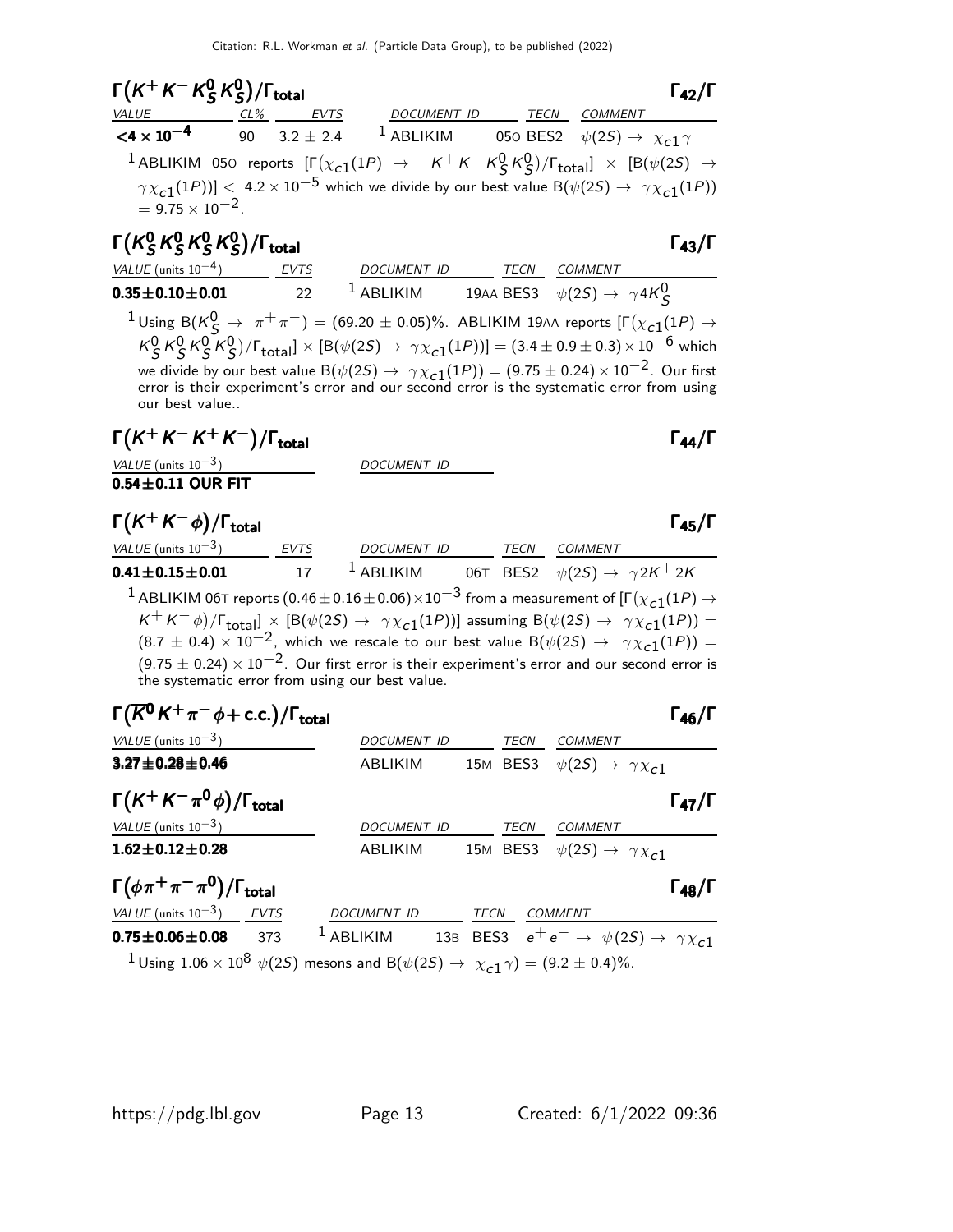| $\Gamma(K^+K^-K^0_S K^0_S)/\Gamma_{\text{total}}$ |  |                  | $\Gamma_{42}/\Gamma$                                                                                                                   |
|---------------------------------------------------|--|------------------|----------------------------------------------------------------------------------------------------------------------------------------|
| VALUE CL% EVTS                                    |  | DOCUMENT ID TECN | COMMENT                                                                                                                                |
|                                                   |  |                  | $\leq 4 \times 10^{-4}$ 90 3.2 ± 2.4 <sup>1</sup> ABLIKIM 050 BES2 $\psi(25) \rightarrow \chi_{c1} \gamma$                             |
|                                                   |  |                  | <sup>1</sup> ABLIKIM 050 reports $[\Gamma(\chi_{c1}(1P) \rightarrow K^+K^-K^0_S K^0_S)/\Gamma_{total}] \times [B(\psi(2S) \rightarrow$ |
| $= 9.75 \times 10^{-2}$ .                         |  |                  | $\gamma \chi_{c1}(1P)$ ] < 4.2 × 10 <sup>-5</sup> which we divide by our best value B( $\psi(2S) \rightarrow \gamma \chi_{c1}(1P)$ )   |
|                                                   |  |                  |                                                                                                                                        |

Γ $(\mathcal{K}^{0}_{S}% )^{L}=\mathcal{K}^{0}_{S}$  $^0_S$ K $^0_S$  $^0_S$ K $^0_S$  $^0_S$ K $^0_S$  $\Gamma(K_S^0 K_S^0 K_S^0)/\Gamma_{\text{total}}$  $(K_S^0 K_S^0 K_S^0)/\Gamma_{\text{total}}$  Γ<sub>43</sub>/Γ VALUE (units 10<sup>-4</sup>) EVTS DOCUMENT ID TECN COMMENT  $\textbf{0.35} \pm \textbf{0.10} \pm \textbf{0.01}$  22 1 ABLIKIM 19AA BES3  $\psi(2S) \rightarrow \ \gamma 4K^0_S$  $1$ Using B $(K^0_S \rightarrow \pi^+ \pi^-) = (69.20 \pm 0.05)\%$ . ABLIKIM 19AA reports  $[\Gamma(\chi_{c1}(1P) \rightarrow$ 

 $K_S^0 K_S^0 K_S^0 K_S^0$ )/ $\Gamma_{\text{total}}$ ] × [B( $\psi(2S) \to \gamma \chi_{c1}(1P)$ )] = (3.4 ± 0.9 ± 0.3)×10<sup>-6</sup> which we divide by our best value B $(\psi(2S) \to \gamma \chi_{\bf C1}(1P)) = (9.75 \pm 0.24) \times 10^{-2}$ . Our first error is their experiment's error and our second error is the systematic error from using our best value..

## $\Gamma(K^+K^-K^+K^-)/\Gamma_{\rm total}$  Γ<sub>44</sub>/Γ

VALUE (units  $10^{-3}$ ) DOCUMENT ID

0.54 $\pm$ 0.11 OUR FIT

 $\Gamma(K^+K^-\phi)/\Gamma_{\text{total}}$   $\Gamma_{\text{45}}/\Gamma$ 

| VALUE (units $10^{-3}$ )                        | <b>EVTS</b> | <b>DOCUMENT ID</b> | TECN | <b>COMMENT</b>                                                                                                                                                      |
|-------------------------------------------------|-------------|--------------------|------|---------------------------------------------------------------------------------------------------------------------------------------------------------------------|
| $0.41 \pm 0.15 \pm 0.01$                        | 17          | $1$ ABLIKIM        |      | 06T BES2 $\psi(2S) \rightarrow \gamma 2K^+ 2K^-$                                                                                                                    |
|                                                 |             |                    |      | <sup>1</sup> ABLIKIM 06T reports (0.46 $\pm$ 0.16 $\pm$ 0.06) $\times$ 10 <sup>-3</sup> from a measurement of [ $\Gamma(\chi_{c1}(1P) \rightarrow$                  |
|                                                 |             |                    |      | $K^+ K^- \phi$ )/ $\Gamma_{\text{total}}$ ] $\times$ [B( $\psi(2S) \rightarrow \gamma \chi_{c1}(1P)$ )] assuming B( $\psi(2S) \rightarrow \gamma \chi_{c1}(1P)$ ) = |
|                                                 |             |                    |      | $(8.7 \pm 0.4) \times 10^{-2}$ , which we rescale to our best value B( $\psi(2S) \rightarrow \gamma \chi_{c1}(1P)$ ) =                                              |
|                                                 |             |                    |      | $(9.75 \pm 0.24) \times 10^{-2}$ . Our first error is their experiment's error and our second error is                                                              |
| the systematic error from using our best value. |             |                    |      |                                                                                                                                                                     |

| $\Gamma(\overline{K}^0 K^+\pi^-\phi + \text{c.c.})/\Gamma_{\text{total}}$ | $\Gamma_{46}/\Gamma$ |
|---------------------------------------------------------------------------|----------------------|
|                                                                           |                      |

| VALUE (units $10^{-3}$ )                                                                                                                           | <i>DOCUMENT ID</i>                                                                       | <b>TECN</b> | <b>COMMENT</b>                                   |                      |
|----------------------------------------------------------------------------------------------------------------------------------------------------|------------------------------------------------------------------------------------------|-------------|--------------------------------------------------|----------------------|
| $3.27 \pm 0.28 \pm 0.46$                                                                                                                           | ABLIKIM                                                                                  |             | 15M BES3 $\psi(2S) \rightarrow \gamma \chi_{c1}$ |                      |
| $\Gamma(K^+K^-\pi^0\phi)/\Gamma_{\rm total}$                                                                                                       |                                                                                          |             |                                                  | $\Gamma_{47}/\Gamma$ |
| VALUE (units $10^{-3}$ )                                                                                                                           | DOCUMENT ID                                                                              | <b>TECN</b> | <b>COMMENT</b>                                   |                      |
| $1.62 \pm 0.12 \pm 0.28$                                                                                                                           | ABLIKIM                                                                                  |             | 15M BES3 $\psi(2S) \rightarrow \gamma \chi_{c1}$ |                      |
| $\Gamma(\phi \pi^+ \pi^- \pi^0)/\Gamma_{\text{total}}$                                                                                             |                                                                                          |             |                                                  | $\Gamma_{48}/\Gamma$ |
| VALUE (units $10^{-3}$ ) EVTS                                                                                                                      | DOCUMENT ID TECN                                                                         |             | <b>COMMENT</b>                                   |                      |
| $0.75 \pm 0.06 \pm 0.08$<br>373                                                                                                                    | <sup>1</sup> ABLIKIM 13B BES3 $e^+e^- \rightarrow \psi(2S) \rightarrow \gamma \chi_{c1}$ |             |                                                  |                      |
| <sup>1</sup> Using 1.06 × 10 <sup>8</sup> $\psi$ (2 <i>S</i> ) mesons and B( $\psi$ (2 <i>S</i> ) $\rightarrow \chi_{c1} \gamma$ ) = (9.2 ± 0.4)%. |                                                                                          |             |                                                  |                      |
|                                                                                                                                                    |                                                                                          |             |                                                  |                      |

 $\Gamma_{43}/\Gamma$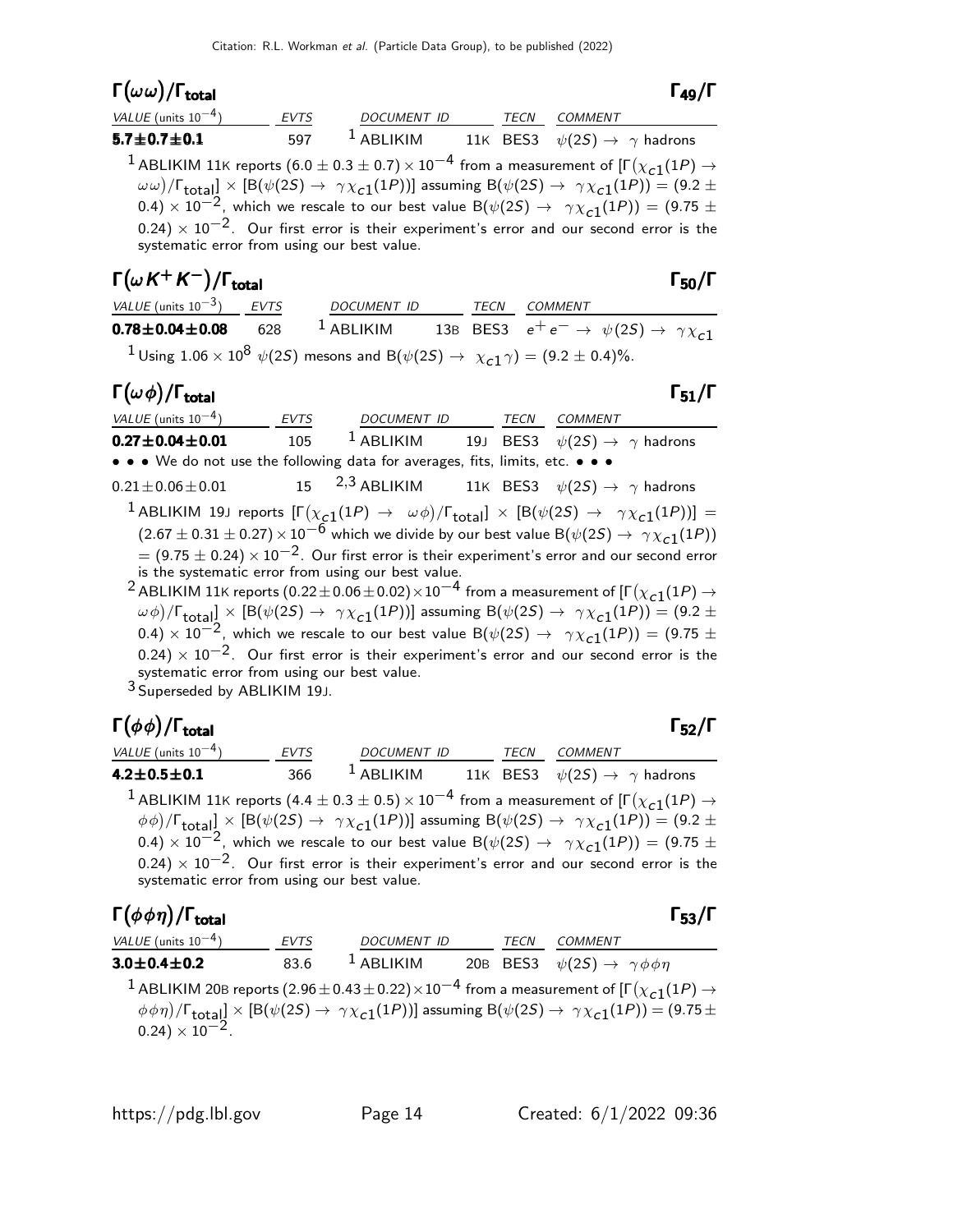| $\mathsf{\Gamma}(\omega\omega)/\mathsf{\Gamma}_{\mathsf{total}}$ |             |             |      | $\Gamma_{49}/\Gamma$                                                                                                                                                                                                                                                                                                                                                                                                                                                                                                                                                                                   |
|------------------------------------------------------------------|-------------|-------------|------|--------------------------------------------------------------------------------------------------------------------------------------------------------------------------------------------------------------------------------------------------------------------------------------------------------------------------------------------------------------------------------------------------------------------------------------------------------------------------------------------------------------------------------------------------------------------------------------------------------|
| VALUE (units $10^{-4}$ )                                         | <b>EVTS</b> | DOCUMENT ID | TECN | <b>COMMENT</b>                                                                                                                                                                                                                                                                                                                                                                                                                                                                                                                                                                                         |
| $5.7 \pm 0.7 \pm 0.1$                                            | 597         |             |      | <sup>1</sup> ABLIKIM 11K BES3 $\psi(2S) \rightarrow \gamma$ hadrons                                                                                                                                                                                                                                                                                                                                                                                                                                                                                                                                    |
| systematic error from using our best value.                      |             |             |      | <sup>1</sup> ABLIKIM 11K reports (6.0 $\pm$ 0.3 $\pm$ 0.7) $\times$ 10 <sup>-4</sup> from a measurement of $\sqrt{\Gamma(\chi_{c1}(1P))} \rightarrow$<br>$(\omega \omega)/\Gamma_{\text{total}}$ $\times$ [B( $\psi$ (2S) $\rightarrow$ $\gamma \chi_{c1}(1P)$ )] assuming B( $\psi$ (2S) $\rightarrow$ $\gamma \chi_{c1}(1P)$ ) = (9.2 $\pm$<br>0.4) $\times$ 10 <sup>-2</sup> , which we rescale to our best value B( $\psi$ (2S) $\rightarrow$ $\gamma \chi$ <sub>c1</sub> (1P)) = (9.75 $\pm$<br>$(0.24) \times 10^{-2}$ . Our first error is their experiment's error and our second error is the |

## $\Gamma(\omega K^+ K^-)/\Gamma_{\rm total}$  Γ<sub>50</sub>/Γ

| ×<br>I<br>× |
|-------------|
|-------------|

 $\Gamma_{49}/\Gamma$ 

| VALUE (units $10^{-3}$ ) EVTS | <i>DOCUMENT ID</i>                                                                                                               | TECN | <i>COMMENT</i>                                                      |
|-------------------------------|----------------------------------------------------------------------------------------------------------------------------------|------|---------------------------------------------------------------------|
| $0.78 \pm 0.04 \pm 0.08$ 628  | $^1$ ABLIKIM                                                                                                                     |      | 13B BES3 $e^+e^- \rightarrow \psi(2S) \rightarrow \gamma \chi_{c1}$ |
|                               | $^{-1}$ Using 1.06 $\times$ 10 <sup>8</sup> $\psi(2S)$ mesons and B( $\psi(2S) \rightarrow \chi_{c1} \gamma) = (9.2 \pm 0.4)\%.$ |      |                                                                     |

#### Γ $(\omega \phi)/$ Γ<sub>total</sub> Γ<sub>51</sub>/Γ total $\begin{array}{ccc}1 & 51/1 \end{array}$

| VALUE (units $10^{-4}$ )                                                      | EVTS | DOCUMENT ID |  | TECN COMMENT                                                                                                                                                                                |
|-------------------------------------------------------------------------------|------|-------------|--|---------------------------------------------------------------------------------------------------------------------------------------------------------------------------------------------|
| $0.27 \pm 0.04 \pm 0.01$                                                      | 105  | $1$ ABLIKIM |  | 19J BES3 $\psi(2S) \rightarrow \gamma$ hadrons                                                                                                                                              |
| • • • We do not use the following data for averages, fits, limits, etc. • • • |      |             |  |                                                                                                                                                                                             |
| $0.21 \pm 0.06 \pm 0.01$                                                      |      |             |  | 15 $2,3$ ABLIKIM 11K BES3 $\psi(2S) \rightarrow \gamma$ hadrons                                                                                                                             |
|                                                                               |      |             |  | <sup>1</sup> ABLIKIM 19J reports $[\Gamma(\chi_{c1}(1P) \to \omega \phi)/\Gamma_{\text{total}}] \times [B(\psi(2S) \to \gamma \chi_{c1}(1P))] =$                                            |
|                                                                               |      |             |  | $(2.67 \pm 0.31 \pm 0.27) \times 10^{-6}$ which we divide by our best value B $(\psi(2S) \rightarrow \gamma \chi_{c1}(1P))$                                                                 |
|                                                                               |      |             |  | $=$ (9.75 $\pm$ 0.24) $\times$ 10 <sup>-2</sup> . Our first error is their experiment's error and our second error                                                                          |
| is the systematic error from using our best value.                            |      |             |  |                                                                                                                                                                                             |
|                                                                               |      |             |  | <sup>2</sup> ABLIKIM 11K reports (0.22 $\pm$ 0.06 $\pm$ 0.02) $\times$ 10 <sup>-4</sup> from a measurement of [ $\Gamma(\chi_{c1}(1P) \rightarrow$                                          |
|                                                                               |      |             |  | $(\omega, \phi) / \Gamma$ , $\omega$ $\propto$ $\Gamma$ $\Gamma$ ( $\psi$ (25) $\rightarrow \gamma \gamma$ (1P))] assuming $\Gamma$ ( $\psi$ (25) $\rightarrow \gamma \gamma$ (1P)) = (9.2+ |

 $(\omega\phi)/\Gamma_{\rm total} \propto \left[{\rm B}(\psi(2S) \to~\gamma \chi_{\bf C1}(1P)) \right]$  assuming  ${\rm B}(\psi(2S) \to~\gamma \chi_{\bf C1}(1P)) = (9.2 \pm 1)$ 0.4)  $\times$  10<sup>-2</sup>, which we rescale to our best value B( $\psi(2S) \rightarrow \gamma \chi_{c1}(1P)$ ) = (9.75 ±  $(0.24) \times 10^{-2}$ . Our first error is their experiment's error and our second error is the systematic error from using our best value.

3 Superseded by ABLIKIM 19J.

#### Γ $(\phi \phi)$ /Γ<sub>total</sub> Γ<sub>52</sub>/Γ VALUE (units 10<sup>-4</sup>) EVTS DOCUMENT ID TECN COMMENT 4.2 $\pm$ 0.5 $\pm$ 0.1 366  $^1$  ABLIKIM 11K BES3  $\psi(2S) \rightarrow$   $\gamma$  hadrons  $^1$  ABLIKIM 11K reports (4.4  $\pm$  0.3  $\pm$  0.5)  $\times$   $10^{-4}$  from a measurement of [Г $(\chi_{\tt C1}(1P) \rightarrow$  $\phi\phi)/\Gamma_{\rm total} \propto \left[{\rm B}(\psi(2S) \to~\gamma \chi_{\bf C1}(1P)) \right]$  assuming  ${\rm B}(\psi(2S) \to~\gamma \chi_{\bf C1}(1P)) = (9.2 \pm 1)$ 0.4)  $\times$  10<sup>-2</sup>, which we rescale to our best value B( $\psi(2S) \rightarrow \gamma \chi_{c1}(1P)$ ) = (9.75 ±  $0.24) \times 10^{-2}$ . Our first error is their experiment's error and our second error is the systematic error from using our best value.

#### Γ $(\phi \phi \eta)$ /Γ<sub>total</sub> Γ<sub>53</sub>/Γ /Γ $_{\rm total}$ Γ  $_{\rm 53}/$ Γ

| VALUE (units $10^{-4}$ ) | <b>EVTS</b> | <b>DOCUMENT ID</b> | TECN | COMMENT                                                                                                                                                                    |
|--------------------------|-------------|--------------------|------|----------------------------------------------------------------------------------------------------------------------------------------------------------------------------|
| $3.0 \pm 0.4 \pm 0.2$    | 83.6        | $1$ ABLIKIM        |      | 20B BES3 $\psi(2S) \rightarrow \gamma \phi \phi \eta$                                                                                                                      |
|                          |             |                    |      | <sup>1</sup> ABLIKIM 20B reports (2.96 $\pm$ 0.43 $\pm$ 0.22) $\times$ 10 <sup>-4</sup> from a measurement of $\Gamma(\chi_{c1}(1P) \rightarrow$                           |
|                          |             |                    |      | $(\phi \phi \eta)/\Gamma_{\text{total}}] \times [B(\psi(2S) \to \gamma \chi_{c1}(1P))]$ assuming $B(\psi(2S) \to \gamma \chi_{c1}(1P)) = (9.75 \pm 0.24) \times 10^{-2}$ . |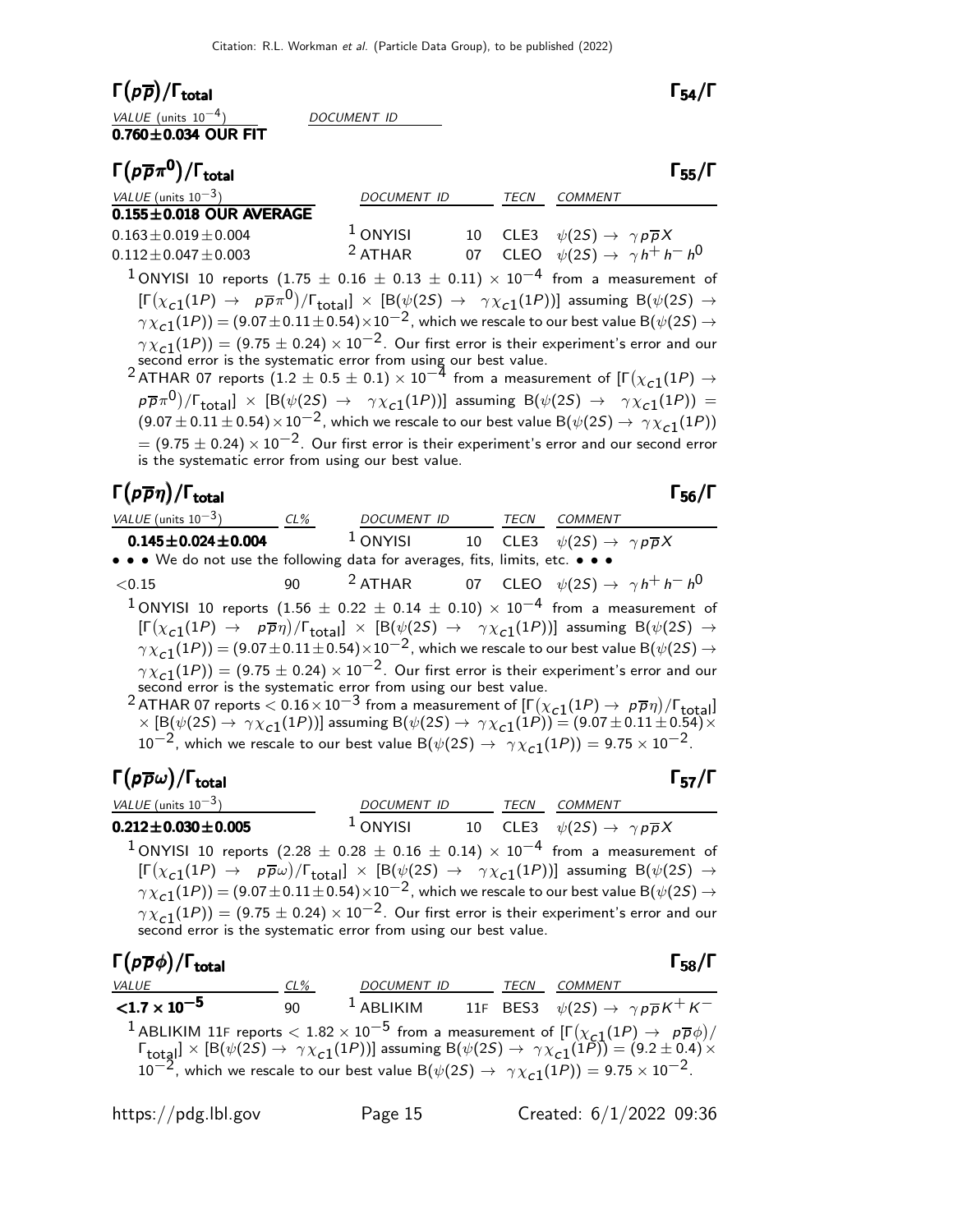| $\Gamma(p\overline{p})/\Gamma_{\rm total}$                                                                                                                                                                                                                                        |                                                                                                                                                    |      |                | $\Gamma_{54}/\Gamma$ |
|-----------------------------------------------------------------------------------------------------------------------------------------------------------------------------------------------------------------------------------------------------------------------------------|----------------------------------------------------------------------------------------------------------------------------------------------------|------|----------------|----------------------|
| VALUE (units $10^{-4}$ )                                                                                                                                                                                                                                                          | DOCUMENT ID                                                                                                                                        |      |                |                      |
| $0.760 \pm 0.034$ OUR FIT                                                                                                                                                                                                                                                         |                                                                                                                                                    |      |                |                      |
| $\Gamma(p\overline{p}\pi^0)/\Gamma_{\rm total}$                                                                                                                                                                                                                                   |                                                                                                                                                    |      |                | $\Gamma_{55}/\Gamma$ |
| VALUE (units $10^{-3}$ )                                                                                                                                                                                                                                                          | <i>DOCUMENT ID</i>                                                                                                                                 | TECN | <b>COMMENT</b> |                      |
| $0.155 \pm 0.018$ OUR AVERAGE                                                                                                                                                                                                                                                     |                                                                                                                                                    |      |                |                      |
| $0.163 \pm 0.019 \pm 0.004$                                                                                                                                                                                                                                                       | <sup>1</sup> ONYISI 10 CLE3 $\psi(2S) \rightarrow \gamma p \overline{p} X$<br><sup>2</sup> ATHAR 07 CLEO $\psi(2S) \rightarrow \gamma h^+ h^- h^0$ |      |                |                      |
| $0.112 \pm 0.047 \pm 0.003$                                                                                                                                                                                                                                                       |                                                                                                                                                    |      |                |                      |
| <sup>1</sup> ONYISI 10 reports (1.75 $\pm$ 0.16 $\pm$ 0.13 $\pm$ 0.11) $\times$ 10 <sup>-4</sup> from a measurement of                                                                                                                                                            |                                                                                                                                                    |      |                |                      |
| $[\Gamma(\chi_{c1}(1P) \to p\overline{p}\pi^0)/\Gamma_{\text{total}}] \times [B(\psi(2S) \to \gamma \chi_{c1}(1P))]$ assuming $B(\psi(2S) \to$                                                                                                                                    |                                                                                                                                                    |      |                |                      |
| $\gamma \chi_{c1}(1P))$ = (9.07 $\pm$ 0.11 $\pm$ 0.54) $\times$ 10 $^{-2}$ , which we rescale to our best value B( $\psi(2S)$ $\rightarrow$                                                                                                                                       |                                                                                                                                                    |      |                |                      |
| $\gamma \chi_{c1}(1P)$ ) = (9.75 $\pm$ 0.24) $\times$ 10 <sup>-2</sup> . Our first error is their experiment's error and our                                                                                                                                                      |                                                                                                                                                    |      |                |                      |
| second error is the systematic error from using our best value.<br>$2$ ATHAR 07 reports $(1.2 \pm 0.5 \pm 0.1) \times 10^{-4}$ from a measurement of $[\Gamma(\chi_{c1}(1P) \rightarrow 2ATHAR 07$ reports $(1.2 \pm 0.5 \pm 0.1) \times 10^{-4}$ from a measurement of $[\Gamma$ |                                                                                                                                                    |      |                |                      |
|                                                                                                                                                                                                                                                                                   |                                                                                                                                                    |      |                |                      |
| $p\overline{p}\pi^0$ )/ $\Gamma_{\text{total}}$ $\times$ [B( $\psi(2S) \rightarrow \gamma \chi_{c1}(1P)$ )] assuming B( $\psi(2S) \rightarrow \gamma \chi_{c1}(1P)$ ) =                                                                                                           |                                                                                                                                                    |      |                |                      |
| $(9.07 \pm 0.11 \pm 0.54) \times 10^{-2}$ , which we rescale to our best value B $(\psi(2S) \rightarrow \gamma \chi_{c1}(1P))$                                                                                                                                                    |                                                                                                                                                    |      |                |                      |
| $=$ (9.75 $\pm$ 0.24) $\times$ 10 <sup>-2</sup> . Our first error is their experiment's error and our second error                                                                                                                                                                |                                                                                                                                                    |      |                |                      |
| is the systematic error from using our best value.                                                                                                                                                                                                                                |                                                                                                                                                    |      |                |                      |
| $\Gamma(p\overline{p}\eta)/\Gamma_{\rm total}$                                                                                                                                                                                                                                    |                                                                                                                                                    |      |                | $\Gamma_{56}/\Gamma$ |
| $(0.111 - (1.1211)$                                                                                                                                                                                                                                                               |                                                                                                                                                    |      |                |                      |

| VALUE (units $10^{-3}$ ) CL%                                                  | DOCUMENT ID TECN |  | <i>COMMENT</i>                                                                                                                                                                                                                                                              |
|-------------------------------------------------------------------------------|------------------|--|-----------------------------------------------------------------------------------------------------------------------------------------------------------------------------------------------------------------------------------------------------------------------------|
| $0.145 \pm 0.024 \pm 0.004$                                                   | $1$ ONYISI       |  | 10 CLE3 $\psi(2S) \rightarrow \gamma p \overline{p} X$                                                                                                                                                                                                                      |
| • • • We do not use the following data for averages, fits, limits, etc. • • • |                  |  |                                                                                                                                                                                                                                                                             |
| < 0.15                                                                        |                  |  | 90 <sup>2</sup> ATHAR 07 CLEO $\psi(2S) \rightarrow \gamma h^+ h^- h^0$                                                                                                                                                                                                     |
|                                                                               |                  |  | <sup>1</sup> ONYISI 10 reports (1.56 $\pm$ 0.22 $\pm$ 0.14 $\pm$ 0.10) $\times$ 10 <sup>-4</sup> from a measurement of                                                                                                                                                      |
|                                                                               |                  |  | $[\Gamma(\chi_{c1}(1P) \to p\overline{p}\eta)/\Gamma_{\text{total}}] \times [B(\psi(2S) \to \gamma \chi_{c1}(1P))]$ assuming $B(\psi(2S) \to$                                                                                                                               |
|                                                                               |                  |  | $\gamma \chi_{c1}(1P)$ = (9.07 $\pm$ 0.11 $\pm$ 0.54) $\times$ 10 <sup>-2</sup> , which we rescale to our best value B( $\psi$ (2 <i>S</i> ) $\rightarrow$                                                                                                                  |
|                                                                               |                  |  | $\gamma \chi_{c1}(1P)$ ) = (9.75 $\pm$ 0.24) $\times$ 10 <sup>-2</sup> . Our first error is their experiment's error and our                                                                                                                                                |
| second error is the systematic error from using our best value.               |                  |  |                                                                                                                                                                                                                                                                             |
|                                                                               |                  |  | <sup>2</sup> ATHAR 07 reports < $0.16 \times 10^{-3}$ from a measurement of $[\Gamma(\chi_{c1}(1P) \to p\overline{p}\eta)/\Gamma_{\text{total}}]$<br>× [B( $\psi(2S) \to \gamma \chi_{c1}(1P)$ )] assuming B( $\psi(2S) \to \gamma \chi_{c1}(1P)$ ) = (9.07 ± 0.11 ± 0.54)× |
|                                                                               |                  |  |                                                                                                                                                                                                                                                                             |

 $10^{-2}$ , which we rescale to our best value B $(\psi(2S) \rightarrow \gamma \chi_{c1}(1P)) = 9.75 \times 10^{-2}$ .

Γ $(p\overline{p}\omega)/\Gamma_{\rm total}$  Γ $_{57}/\Gamma$ total and the set of the set of the set of the set of the set of the set of the set of the set of the set of t

| VALUE (units $10^{-3}$ )        | DOCUMENT ID         | <b>TFCN</b> | <i>COMMENT</i>                                         |  |
|---------------------------------|---------------------|-------------|--------------------------------------------------------|--|
| $0.212\!\pm\!0.030\!\pm\!0.005$ | <sup>1</sup> ONYISI |             | 10 CLE3 $\psi(2S) \rightarrow \gamma p \overline{p} X$ |  |

 $^{\text{1}}$ ONYISI 10 reports (2.28  $\pm$  0.28  $\pm$  0.16  $\pm$  0.14)  $\times$  10<sup>-4</sup> from a measurement of  $[\Gamma(\chi_{c1}(1P) \to \ p\overline{p}\omega)/\Gamma_{\rm total}]\times[{\cal B}(\psi(2S) \to \gamma\chi_{c1}(1P))]$  assuming  ${\cal B}(\psi(2S) \to \gamma\chi_{c2}(1P))$  $\gamma \chi_{\bf C1}(1P))=(9.07\pm0.11\pm0.54)\times10^{-2}$  , which we rescale to our best value B $(\psi(2S) \rightarrow$  $\gamma \chi_{\bf c1}(1P)) = (9.75 \pm 0.24) \times 10^{-2}$ . Our first error is their experiment's error and our second error is the systematic error from using our best value.

| $\Gamma(p\overline{p}\phi)/\Gamma_{\rm total}$                                                                                                                                                                                                                            |        |                                                                                                                             |      |                | $\Gamma_{58}/\Gamma$ |
|---------------------------------------------------------------------------------------------------------------------------------------------------------------------------------------------------------------------------------------------------------------------------|--------|-----------------------------------------------------------------------------------------------------------------------------|------|----------------|----------------------|
| VALUE                                                                                                                                                                                                                                                                     | $CL\%$ | <b>DOCUMENT ID</b>                                                                                                          | TECN | <i>COMMENT</i> |                      |
| ${<}1.7 \times 10^{-5}$                                                                                                                                                                                                                                                   | 90     | <sup>1</sup> ABLIKIM 11F BES3 $\psi(2S) \rightarrow \gamma p \overline{p} K^+ K^-$                                          |      |                |                      |
| <sup>1</sup> ABLIKIM 11F reports $< 1.82 \times 10^{-5}$ from a measurement of $[\Gamma(\chi_{c1}(1P) \to p\overline{p}\phi)/\Gamma_{\text{total}}] \times [B(\psi(2S) \to \gamma \chi_{c1}(1P))]$ assuming $B(\psi(2S) \to \gamma \chi_{c1}(1P)) = (9.2 \pm 0.4) \times$ |        | $10^{-2}$ , which we rescale to our best value B( $\psi(2S) \rightarrow \gamma \chi_{c1}(1P)$ ) = 9.75 × 10 <sup>-2</sup> . |      |                |                      |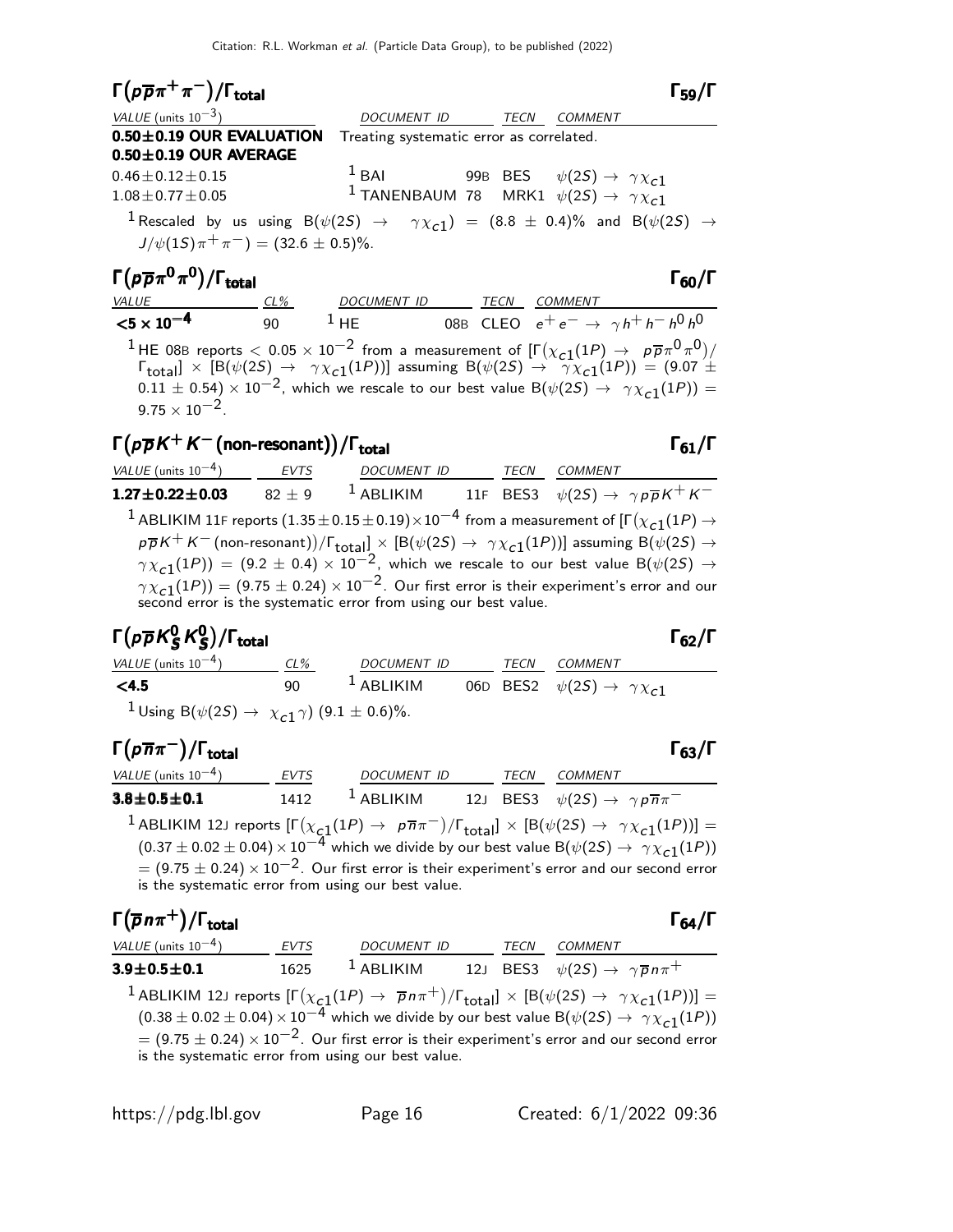$$
\Gamma(p\overline{p}\pi^{+}\pi^{-})/\Gamma_{\text{total}}
$$

| $VALUE$ (units 10 <sup>-3</sup> ) |      |
|-----------------------------------|------|
| <b>0.50±0.19 OUR EVALUATION</b>   | Tree |
| <b>0.50±0.19 OUR AVERAGE</b>      |      |

DOCUMENT ID TECN COMMENT ating systematic error as correlated.

 $0.46 \pm 0.12 \pm 0.15$   $1 \text{ BAI}$  99B BES  $\psi(2S) \rightarrow \gamma \chi_{c1}$ <br> $1.08 \pm 0.77 \pm 0.05$   $1 \text{ TANENBAUM } 78$  MRK1  $\psi(2S) \rightarrow \gamma \chi_{c1}$ <sup>1</sup> TANENBAUM 78 MRK1  $\psi(2S) \rightarrow \gamma \chi_{c1}$ 

 $^{\text{1}}$  Rescaled by us using B $(\psi(2S)$   $\rightarrow$   $\gamma\chi_{\text{c1}})$  =  $(8.8\,\pm\,0.4)\%$  and B $(\psi(2S)\,\rightarrow\,$  $J/\psi(1S)\pi^{+}\pi^{-}$ ) = (32.6 ± 0.5)%.

Γ $(\rho \overline{\rho} \pi^0 \pi^0)/\Gamma_{\rm total}$ Γ $(\rho \overline{\rho} \pi^0 \pi^0)/\Gamma_{\rm total}$  Γ<sub>60</sub>/Γ VALUE CL% DOCUMENT ID TECN COMMENT  $<$ 5 × 10 $^{-4}$ 90  $^1$  HE 08B CLEO  $e^+e^- \rightarrow \gamma h^+h^-h^0h^0$ <sup>1</sup>HE 08B reports  $< 0.05 \times 10^{-2}$  from a measurement of  $\left[\Gamma(\chi_{c1}(1P) \to p\overline{p}\pi^0\pi^0)/\right]$  $\Gamma_{\rm total}$ ]  $\times$  [B( $\psi(2S) \rightarrow \gamma \chi_{c1}(1P)$ )] assuming B( $\psi(2S) \rightarrow \gamma \chi_{c1}(1P)$ ) = (9.07  $\pm$  $(0.11 \pm 0.54) \times 10^{-2}$ , which we rescale to our best value B $(\psi(25) \rightarrow \gamma \chi_{c1}(1P)) =$  $9.75 \times 10^{-2}$ .

## $\Gamma(p\overline{p}K^+K^-$ (non-resonant))/Γ<sub>total</sub> Γ<sub>61</sub>/Γ

VALUE (units 10<sup>-4</sup>) EVTS DOCUMENT ID TECN COMMENT  $1.27 \pm 0.22 \pm 0.03$  82  $\pm$  9 1 **ABLIKIM** 11F **BES3**  $\psi(2S) \rightarrow \gamma p \overline{p} K^+ K^ ^1$  ABLIKIM 11F reports  $(1.35\pm0.15\pm0.19)\times10^{-4}$  from a measurement of [Г $(\chi_{\tt C1}(1P) \to$  $p\overline{p}K^+K^-$  (non-resonant)) $/\Gamma_{\rm total}]\times[{\rm B}(\psi(2S)\to~\gamma\chi_{\rm C1}(1P))]$  assuming  ${\rm B}(\psi(2S)\to0)$  $\gamma \chi_{c1}(1P)$ ) = (9.2 ± 0.4)  $\times$  10<sup>-2</sup>, which we rescale to our best value B( $\psi(2S) \rightarrow$  $\gamma \chi_{\bf c1}(1P))=(9.75\pm0.24)\times 10^{-2}.$  Our first error is their experiment's error and our second error is the systematic error from using our best value.

#### Γ $(\rho \overline{\rho} K_S^0 K_S^0$ Γ( $p\overline{\rho}K_S^0$   $K_S^0$ )/Γ<sub>total</sub> Γ<sub>62</sub>/Γ 0 Γ( $\rho \overline{\rho} K_S^0 K_S^0$ )/Γ<sub>total</sub> Γ<sub>62</sub>/Γ

| $\Gamma(p\overline{\rho}K^0_S K^0_S)/\Gamma_{\rm total}$                      |        |             |             |                                                  | $\Gamma_{62}/\Gamma$ |
|-------------------------------------------------------------------------------|--------|-------------|-------------|--------------------------------------------------|----------------------|
| VALUE (units $10^{-4}$ )                                                      | $CL\%$ | DOCUMENT ID | <b>TECN</b> | COMMENT                                          |                      |
| $\leq 4.5$                                                                    | 90     | $1$ ABLIKIM |             | 06D BES2 $\psi(2S) \rightarrow \gamma \chi_{c1}$ |                      |
| <sup>1</sup> Using B( $\psi(2S) \rightarrow \chi_{c1} \gamma$ ) (9.1 ± 0.6)%. |        |             |             |                                                  |                      |

#### $\Gamma(p\overline{n}\pi^-)/\Gamma_{\rm total}$ Γ<sub>63</sub>/Γ )/Γ<sub>total</sub>Γ63/Γ

| VALUE (units $10^{-4}$ )  | EVTS | DOCUMENT ID | TECN | COMMENT                                                                                                                                                   |
|---------------------------|------|-------------|------|-----------------------------------------------------------------------------------------------------------------------------------------------------------|
| $3.8\!\pm\!0.5\!\pm\!0.1$ | 1412 | $1$ ABLIKIM |      | 12J BES3 $\psi(2S) \rightarrow \gamma p \overline{n} \pi^-$                                                                                               |
|                           |      |             |      | <sup>1</sup> ABLIKIM 12J reports $[\Gamma(\chi_{c1}(1P) \to p\overline{n}\pi^{-})/\Gamma_{\text{total}}] \times [B(\psi(2S) \to \gamma \chi_{c1}(1P))] =$ |

 $(0.37 \pm 0.02 \pm 0.04) \times 10^{-4}$  which we divide by our best value B( $\psi(2S) \rightarrow \gamma \chi_{c1}(1P)$ )  $= (9.75 \pm 0.24) \times 10^{-2}$ . Our first error is their experiment's error and our second error is the systematic error from using our best value.

#### Γ $(\overline{\rho} n \pi^+)$ /Γ<sub>total</sub> Γ  $(\overline{p}n\pi^+)$ /Γ<sub>total</sub> Γ<sub>64</sub>/Γ

VALUE (units 10<sup>-4</sup>) EVTS DOCUMENT ID TECN COMMENT 3.9 $\pm$ 0.5 $\pm$ 0.1 1625  $^1$  Ablikim 12J BES3  $\psi(2S) \to \ \gamma \overline{\rho} \, n \pi^+$  $^1$ ABLIKIM 12J reports  $[\Gamma(\chi_{\bf c1}(1P) \to \overline{p} n \pi^+)/\Gamma_{\bf total}]\times [B(\psi(2S) \to \ \gamma \chi_{\bf c1}(1P))] =$  $(0.38 \pm 0.02 \pm 0.04) \times 10^{-4}$  which we divide by our best value B( $\psi(2S) \rightarrow \gamma \chi_{c1}(1P)$ )  $= (9.75 \pm 0.24) \times 10^{-2}$ . Our first error is their experiment's error and our second error is the systematic error from using our best value.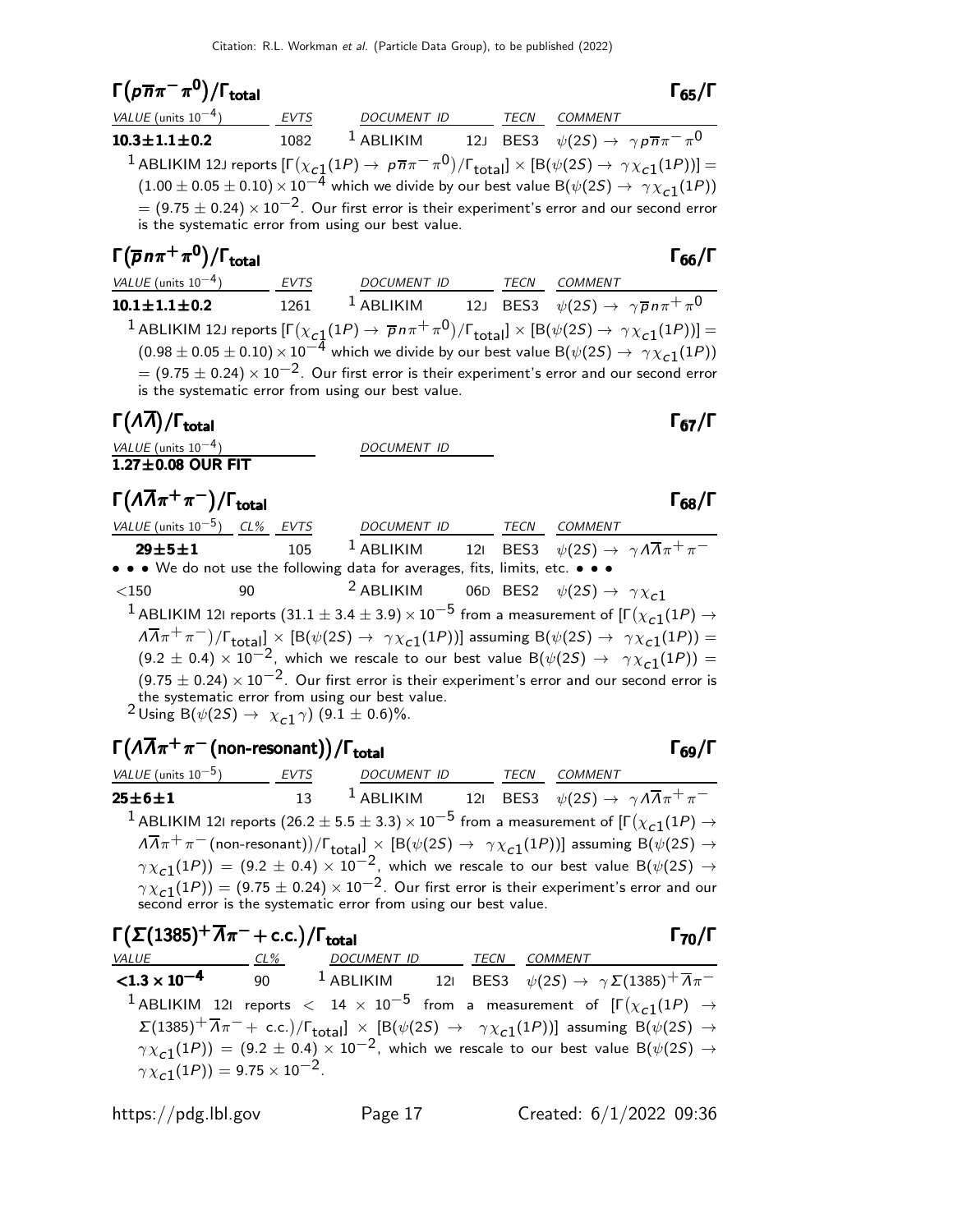10.3 $\pm$ 1.1 $\pm$ 0.2 1082 <sup>1</sup> ABLIKIM 12J BES3  $\psi(2S) \to \gamma \rho \overline{n} \pi^- \pi^0$ 

#### $\Gamma(p\overline{n}\pi^-\pi^{\mathbf{0}})/\Gamma_{\mathrm{total}}$ VALUE (units 10<sup>-4</sup>) EVTS DOCUMENT ID TECN COMMENT

 $^1$  ABLIKIM 12J reports  $[\Gamma(\chi_{\bf C_1^1}(1P) \to \, \rho \overline{n} \pi^- \pi^0)/\Gamma_{\bf total}]\times [ \mathsf{B}(\psi(2S) \to \, \gamma \chi_{\bf C1^1}(1P))] =$  $(1.00 \pm 0.05 \pm 0.10) \times 10^{-4}$  which we divide by our best value B( $\psi(2S) \rightarrow \gamma \chi_{c1}(1P)$ )  $= (9.75 \pm 0.24) \times 10^{-2}$ . Our first error is their experiment's error and our second error is the systematic error from using our best value.  $\Gamma(\overline{\rho}n\pi^+\pi^0)/\Gamma_{\rm total}$ VALUE (units 10<sup>-4</sup>) EVTS DOCUMENT ID TECN COMMENT  ${\bf 10.1 \pm 1.1 \pm 0.2} \hspace{1cm} 1261$   $1$  ablikim  $12$ J bes $3$   $\psi(2S) \rightarrow \ \gamma \overline{p} \, n \pi^+ \, \pi^0$  $^1$  ABLIKIM 12J reports  $[\Gamma(\chi_{\bf C1}(1P) \to \overline{p} n \pi^+ \pi^0)/\Gamma_{\bf total}]\times [ \mathsf{B}(\psi(2S) \to \gamma \chi_{\bf C1}(1P))] =$  $(0.98 \pm 0.05 \pm 0.10) \times 10^{-4}$  which we divide by our best value B( $\psi(2S) \rightarrow \gamma \chi_{c1}(1P)$ )  $= (9.75 \pm 0.24) \times 10^{-2}$ . Our first error is their experiment's error and our second error

is the systematic error from using our best value.

#### Γ(Λ $\overline{\Lambda}$ )/Γ<sub>total</sub> Γ<sub>67</sub>/Γ

| VALUE (units $10^{-4}$ )<br>$1.27\pm0.08$ OUR FIT | <i>DOCUMENT ID</i> |
|---------------------------------------------------|--------------------|
|                                                   |                    |

| $\Gamma(\Lambda\overline{\Lambda}\pi^+\pi^-)/\Gamma_{\rm total}$ | $\Gamma_{68}/\Gamma$ |
|------------------------------------------------------------------|----------------------|
|                                                                  |                      |

| VALUE (units $10^{-5}$ ) CL% EVTS                                                                                                |    |     | <i>DOCUMENT ID</i> | <b>TECN</b> | <i>COMMENT</i>                                                                                                                                                       |
|----------------------------------------------------------------------------------------------------------------------------------|----|-----|--------------------|-------------|----------------------------------------------------------------------------------------------------------------------------------------------------------------------|
| $29 \pm 5 \pm 1$<br>• • • We do not use the following data for averages, fits, limits, etc. • • •                                |    | 105 |                    |             | <sup>1</sup> ABLIKIM 121 BES3 $\psi(2S) \rightarrow \gamma A \overline{A} \pi^+ \pi^-$                                                                               |
| $<$ 150                                                                                                                          | 90 |     |                    |             | <sup>2</sup> ABLIKIM 06D BES2 $\psi(2S) \rightarrow \gamma \chi_{c1}$                                                                                                |
|                                                                                                                                  |    |     |                    |             | <sup>1</sup> ABLIKIM 121 reports (31.1 $\pm$ 3.4 $\pm$ 3.9) $\times$ 10 <sup>-5</sup> from a measurement of [F( $\chi_{c1}(1P) \rightarrow$                          |
|                                                                                                                                  |    |     |                    |             | $\sqrt{14\pi^+ \pi^-}/\sqrt{\Gamma_{\text{total}}}$ × [B( $\psi(2S) \rightarrow \gamma \chi_{c1}(1P)$ )] assuming B( $\psi(2S) \rightarrow \gamma \chi_{c1}(1P)$ ) = |
|                                                                                                                                  |    |     |                    |             | $(9.2 \pm 0.4) \times 10^{-2}$ , which we rescale to our best value B( $\psi(2S) \rightarrow \gamma \chi_{c1}(1P)$ ) =                                               |
|                                                                                                                                  |    |     |                    |             | $(9.75 \pm 0.24) \times 10^{-2}$ . Our first error is their experiment's error and our second error is                                                               |
| the systematic error from using our best value.<br><sup>2</sup> Using B( $\psi(2S) \rightarrow \chi_{c1} \gamma$ ) (9.1 ± 0.6)%. |    |     |                    |             |                                                                                                                                                                      |

## $\Gamma(\Lambda\overline{\Lambda}\pi^+\pi^-$ (non-resonant))/ $\Gamma_{\rm total}$  Γ<sub>69</sub>/Γ

| VALUE (units $10^{-5}$ ) | EVTS | DOCUMENT ID |  | TECN COMMENT                                                                                                                                                                               |
|--------------------------|------|-------------|--|--------------------------------------------------------------------------------------------------------------------------------------------------------------------------------------------|
| $25 \pm 6 \pm 1$         | 13   |             |  | <sup>1</sup> ABLIKIM 121 BES3 $\psi(2S) \rightarrow \gamma A \overline{A} \pi^+ \pi^-$                                                                                                     |
|                          |      |             |  | <sup>1</sup> ABLIKIM 121 reports (26.2 $\pm$ 5.5 $\pm$ 3.3) $\times$ 10 <sup>-5</sup> from a measurement of [ $\Gamma(\chi_{c1}(1P) \rightarrow$                                           |
|                          |      |             |  | $\sqrt{14\pi^+}\pi^-$ (non-resonant))/ $\Gamma_{total}$ $\times$ [B( $\psi(2S) \rightarrow \gamma \chi_{c1}(1P)$ )] assuming B( $\psi(2S) \rightarrow$                                     |
|                          |      |             |  | $\gamma \chi_{c1}(1P)$ = (9.2 $\pm$ 0.4) $\times$ 10 <sup>-2</sup> , which we rescale to our best value B( $\psi(2S) \rightarrow$                                                          |
|                          |      |             |  | $\gamma \chi_{c1}(1P)$ = (9.75 $\pm$ 0.24) $\times$ 10 <sup>-2</sup> . Our first error is their experiment's error and our second error is the systematic error from using our best value. |

| $\Gamma(\Sigma(1385)^+\overline{A}\pi^-+c.c.)/\Gamma_{total}$ |                                                      |                                                                                                                                                                                 |  |                | $\Gamma_{70}/\Gamma$ |
|---------------------------------------------------------------|------------------------------------------------------|---------------------------------------------------------------------------------------------------------------------------------------------------------------------------------|--|----------------|----------------------|
|                                                               |                                                      | VALUE CL% DOCUMENT ID TECN                                                                                                                                                      |  | <i>COMMENT</i> |                      |
|                                                               |                                                      | <b>&lt;1.3 x 10<sup>-4</sup></b> 90 <sup>1</sup> ABLIKIM 121 BES3 $\psi(2S) \to \gamma \Sigma (1385)^{+} \overline{\Lambda} \pi^{-}$                                            |  |                |                      |
|                                                               |                                                      | <sup>1</sup> ABLIKIM 121 reports $<$ 14 $\times$ 10 <sup>-5</sup> from a measurement of $\Gamma(\chi_{c1}(1P) \rightarrow$                                                      |  |                |                      |
|                                                               |                                                      | $\Sigma(1385)^{+}\overline{\Lambda}\pi^{-}+$ c.c.)/ $\Gamma_{\text{total}}$ $\times$ [B( $\psi(2S)$ $\rightarrow$ $\gamma\chi_{c1}(1P)$ )] assuming B( $\psi(2S)$ $\rightarrow$ |  |                |                      |
|                                                               |                                                      | $\gamma \chi_{c1}(1P)$ = (9.2 ± 0.4) × 10 <sup>-2</sup> , which we rescale to our best value B( $\psi(2S) \rightarrow$                                                          |  |                |                      |
|                                                               | $\gamma \chi_{c1}(1P)$ ) = 9.75 × 10 <sup>-2</sup> . |                                                                                                                                                                                 |  |                |                      |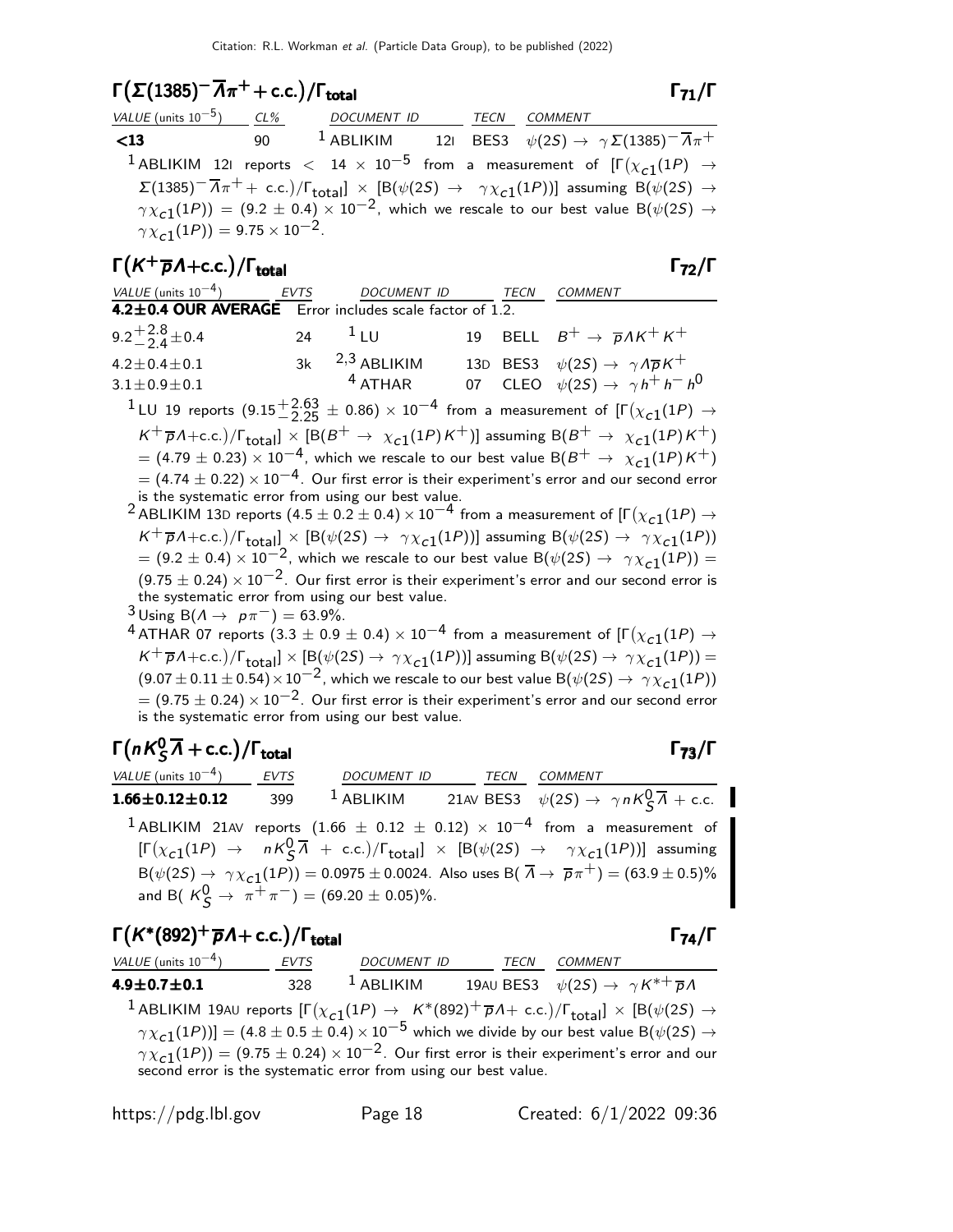## $\Gamma(\Sigma(1385)^\top \overline{A}\pi^+ + \text{c.c.})/\Gamma_{\text{total}}$  Γ<sub>71</sub>/Γ

| VALUE (units $10^{-5}$ ) CL%                   | DOCUMENT ID TECN COMMENT |  |                                                                                                                                                                            |
|------------------------------------------------|--------------------------|--|----------------------------------------------------------------------------------------------------------------------------------------------------------------------------|
| $\leq 13$                                      |                          |  | 90 $^{-1}$ ABLIKIM 121 BES3 $\psi(2S) \rightarrow \gamma \Sigma(1385)^{-} \overline{\Lambda}_{\pi} +$                                                                      |
|                                                |                          |  | <sup>1</sup> ABLIKIM 121 reports $<$ 14 $\times$ 10 <sup>-5</sup> from a measurement of $[\Gamma(\chi_{c1}(1P) \rightarrow$                                                |
|                                                |                          |  | $\Sigma(1385)^{-1}\overline{\Lambda}\pi^{+} + \text{ c.c.})/\Gamma_{\text{total}}$ × [B( $\psi(2S) \rightarrow \gamma \chi_{c1}(1P)$ )] assuming B( $\psi(2S) \rightarrow$ |
|                                                |                          |  | $\gamma \chi_{c1}(1P)$ = (9.2 ± 0.4) × 10 <sup>-2</sup> , which we rescale to our best value B( $\psi(2S) \rightarrow$                                                     |
| $\gamma \chi_{c1}(1P) = 9.75 \times 10^{-2}$ . |                          |  |                                                                                                                                                                            |

## $\Gamma(K^+\overline{p}A+\text{c.c.})/\Gamma_\text{total}$  Γ<sub>72</sub>/Γ

| VALUE (units $10^{-4}$ )                                | <b>EVTS</b> | DOCUMENT ID         | <b>TECN</b> | <b>COMMENT</b>                                                                                                                           |
|---------------------------------------------------------|-------------|---------------------|-------------|------------------------------------------------------------------------------------------------------------------------------------------|
| 4.2±0.4 OUR AVERAGE Error includes scale factor of 1.2. |             |                     |             |                                                                                                                                          |
| 9.2 <sup>+2.8</sup> ± 0.4                               |             | 24 $\frac{1}{2}$ LU |             | 19 BELL $B^+ \rightarrow \overline{p} \Lambda K^+ K^+$                                                                                   |
| $4.2 \pm 0.4 \pm 0.1$                                   |             | $3k$ $2,3$ ABLIKIM  |             | 13D BES3 $\psi(2S) \rightarrow \gamma A \overline{p} K^+$                                                                                |
| $3.1 \pm 0.9 \pm 0.1$                                   |             | $4$ ATHAR           |             | 07 CLEO $\psi(25) \rightarrow \gamma h^+ h^- h^0$                                                                                        |
|                                                         |             |                     |             | <sup>1</sup> LU 19 reports $(9.15\frac{+2.63}{-2.25} \pm 0.86) \times 10^{-4}$ from a measurement of $[\Gamma(\chi_{c1}(1P) \rightarrow$ |
|                                                         |             |                     |             | $K^+\overline{p}A+c.c.$ )/ $\Gamma_{total}$ ] × [B( $B^+\to \chi_{c1}(1P)K^+$ )] assuming B( $B^+\to \chi_{c1}(1P)K^+$ )                 |

 $= (4.79 \pm 0.23) \times 10^{-4}$ , which we rescale to our best value  ${\rm B}(B^+ \to \; \chi_{\rm c1}(1P) K^+)$  $=$  (4.74  $\pm$  0.22)  $\times$  10<sup>-4</sup>. Our first error is their experiment's error and our second error is the systematic error from using our best value.

 $^2$ ABLIKIM 13D reports  $(4.5\pm0.2\pm0.4)\times10^{-4}$  from a measurement of [Г $(\chi_{\tt c1}(1P) \to$  $K^+ \overline{p}A + c.c.$ )/ $\Gamma_{\text{total}}$   $\times$  [B( $\psi(2S) \rightarrow \gamma \chi_{c1}(1P)$ )] assuming B( $\psi(2S) \rightarrow \gamma \chi_{c1}(1P)$ )  $= (9.2 \pm 0.4) \times 10^{-2}$ , which we rescale to our best value B( $\psi(2S) \rightarrow \gamma \chi_{c1}(1P)$ ) =  $(9.75 \pm 0.24) \times 10^{-2}$ . Our first error is their experiment's error and our second error is the systematic error from using our best value.

- $3 \text{ Using } B(\Lambda \to p\pi^-) = 63.9\%.$
- $^4$  ATHAR 07 reports  $(3.3\pm0.9\pm0.4)\times10^{-4}$  from a measurement of [Г $(\chi_{\tt C1}(1P) \to$  $\kappa^+$   $\overline{p}A + \text{c.c.})/\Gamma_{\text{total}}] \times [\text{B}(\psi(2S) \to \gamma \chi_{\text{c1}}(1P))]$  assuming  $\text{B}(\psi(2S) \to \gamma \chi_{\text{c1}}(1P))$  =  $(9.07 \pm 0.11 \pm 0.54) \times 10^{-2}$ , which we rescale to our best value B $(\psi(2S) \rightarrow \gamma \chi_{c1}(1P))$  $= (9.75 \pm 0.24) \times 10^{-2}$ . Our first error is their experiment's error and our second error is the systematic error from using our best value.

#### $\Gamma(nK_S^0\overline{\Lambda}+c.c.)$  $\Gamma(nK^0_S\overline{\Lambda} + \text{c.c.})/\Gamma_{\text{total}}$  Γ<sub>73</sub>/Γ

VALUE (units 10<sup>-4</sup>) EVTS DOCUMENT ID TECN COMMENT **1.66** $\pm$ **0.12** $\pm$ **0.12** 399 <sup>1</sup> ABLIKIM 21AV BES3  $\psi(2S) \rightarrow \gamma n K_S^0 \overline{\Lambda} + \text{c.c.}$  $1$ ABLIKIM 21AV reports  $(1.66 \pm 0.12 \pm 0.12) \times 10^{-4}$  from a measurement of  $[\Gamma(\chi_{c1}(1P) \rightarrow nK^0_S \overline{\Lambda} + \text{c.c.})/\Gamma_{\text{total}}] \times [\text{B}(\psi(2S) \rightarrow \gamma \chi_{c1}(1P))]$  assuming  $\mathsf{B}(\psi(2S) \to \gamma \chi_{\mathsf{c}1}(1P)) = 0.0975 \pm 0.0024.$  Also uses  $\mathsf{B}(\ \overline{\Lambda} \to \ \overline{\rho}\pi^+) = (63.9 \pm 0.5)\%$ and B(  $K_S^0 \to \pi^+ \pi^-$ ) = (69.20  $\pm$  0.05)%.

## $\Gamma(K^*(892)^+ \overline{p} \Lambda + \text{c.c.}) / \Gamma_{\text{total}}$  Γ<sub>74</sub>/Γ

total and the contract of the contract of  $\sim$  1  $74/1$ 

 $VALUE$  (units 10<sup>-4</sup>) EVTS ) EVTS DOCUMENT ID TECN COMMENT 4.9 $\pm$ 0.7 $\pm$ 0.1 328  $^1$  Ablikim 19au Bes3  $\psi(2S) \to \ \gamma K^{*+} \overline{\rho} \Lambda$  $^1$  ABLIKIM 19AU reports  $[\Gamma(\chi_{c1}(1P) \to_K^*(892)^+ \overline{\rho} \Lambda + \text{ c.c.})/\Gamma_{\text{total}}] \times [B(\psi(2S) \to$  $\gamma \chi_{\bf C1}(1P))$ ] =  $(4.8 \pm 0.5 \pm 0.4) \times 10^{-5}$  which we divide by our best value B $(\psi(2S) \rightarrow \psi_0)$  $\gamma \chi_{\bf c1}(1P))=(9.75\pm0.24)\times 10^{-2}.$  Our first error is their experiment's error and our second error is the systematic error from using our best value.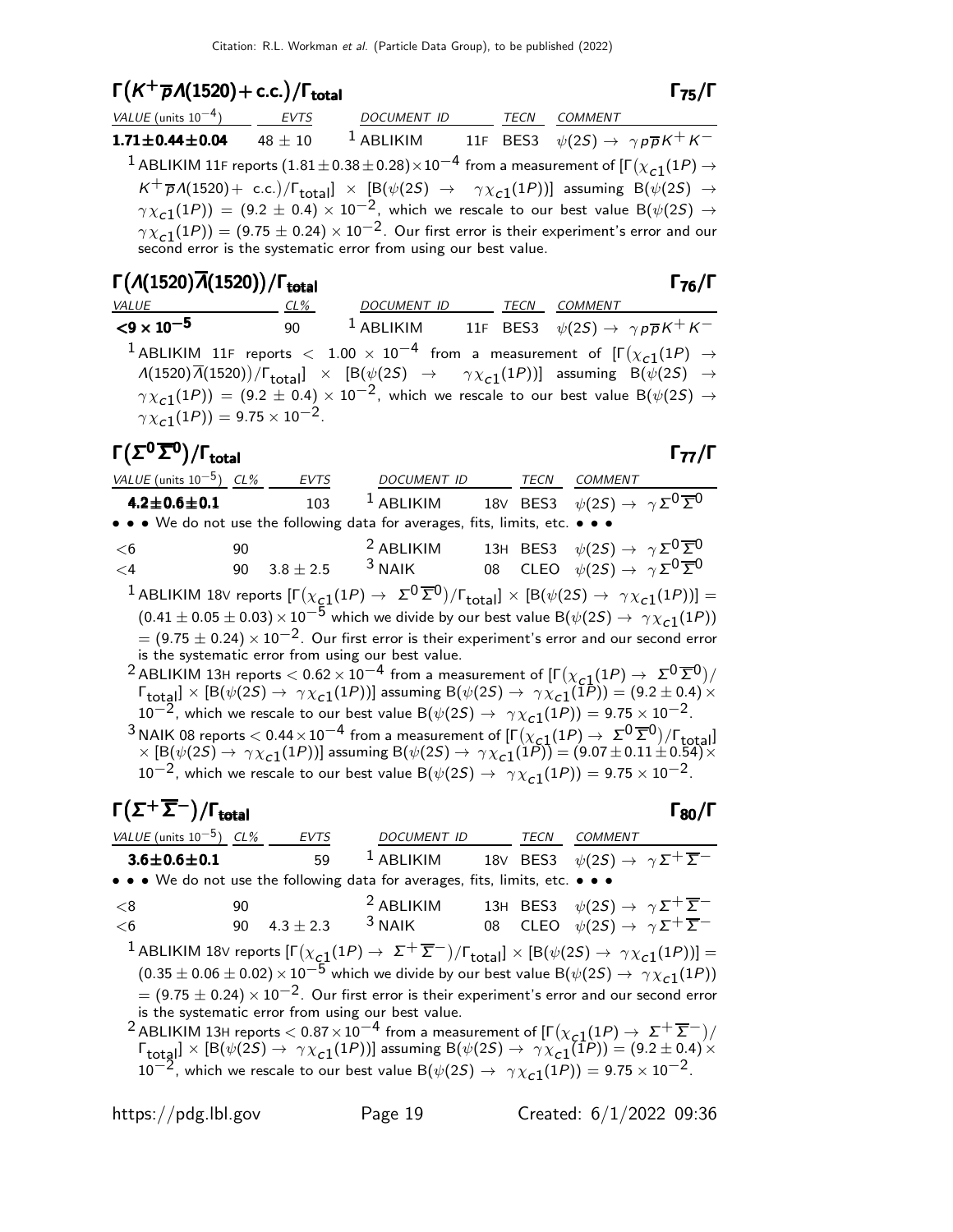## $\Gamma(K^+\overline{p}A(1520) + c.c.)/\Gamma_{\text{total}}$  Γ<sub>75</sub>/Γ

| VALUE (units $10^{-4}$ ) | EVTS        | <b>DOCUMENT ID</b> |  | TECN COMMENT                                                                                                                                                                    |
|--------------------------|-------------|--------------------|--|---------------------------------------------------------------------------------------------------------------------------------------------------------------------------------|
| $1.71 \pm 0.44 \pm 0.04$ | $48 \pm 10$ | $^1$ ABLIKIM       |  | 11F BES3 $\psi(2S) \rightarrow \gamma \rho \overline{\rho} K^+ K^-$                                                                                                             |
|                          |             |                    |  | <sup>1</sup> ABLIKIM 11F reports (1.81 $\pm$ 0.38 $\pm$ 0.28) $\times$ 10 <sup>-4</sup> from a measurement of [ $\Gamma(\chi_{c1}(1P) \rightarrow$                              |
|                          |             |                    |  | $K^+\overline{p}A(1520)$ + c.c.)/ $\Gamma_{\text{total}}$ $\times$ [B( $\psi(2S)$ $\rightarrow$ $\gamma \chi_{c1}(1P)$ )] assuming B( $\psi(2S)$ $\rightarrow$                  |
|                          |             |                    |  | $\gamma \chi_{c1}(1P)$ = (9.2 ± 0.4) × 10 <sup>-2</sup> , which we rescale to our best value B( $\psi(2S) \rightarrow$                                                          |
|                          |             |                    |  | $\gamma \chi_{c1}(1P)$ = (9.75 ± 0.24) × 10 <sup>-2</sup> . Our first error is their experiment's error and our second error is the systematic error from using our best value. |

| $\Gamma(A(1520)\overline{A}(1520))/\Gamma_{\text{total}}$                                                                                                                             |     |                                                                                                                                                                                                                                                                                              |  | $\Gamma_{76}/\Gamma$ |
|---------------------------------------------------------------------------------------------------------------------------------------------------------------------------------------|-----|----------------------------------------------------------------------------------------------------------------------------------------------------------------------------------------------------------------------------------------------------------------------------------------------|--|----------------------|
| VALUE                                                                                                                                                                                 | CL% | DOCUMENT ID TECN COMMENT                                                                                                                                                                                                                                                                     |  |                      |
| $\leq$ 9 $\times$ 10 <sup>-5</sup>                                                                                                                                                    | 90  | <sup>1</sup> ABLIKIM 11F BES3 $\psi(2S) \rightarrow \gamma p \overline{p} K^+ K^-$                                                                                                                                                                                                           |  |                      |
| <sup>1</sup> ABLIKIM 11F reports $<$ 1.00 $\times$ 10 <sup>-4</sup> from a measurement of $[\Gamma(\chi_{c1}(1P) \rightarrow$<br>$\gamma \chi_{c1}(1P)$ ) = 9.75 × 10 <sup>-2</sup> . |     | $\Lambda(1520)\overline{\Lambda}(1520)/\Gamma_{\text{total}}$ $\times$ [B( $\psi(2S)$ $\rightarrow$ $\gamma \chi_{c1}(1P)$ )] assuming B( $\psi(2S)$ $\rightarrow$<br>$\gamma \chi_{c1}(1P)$ = (9.2 ± 0.4) × 10 <sup>-2</sup> , which we rescale to our best value B( $\psi(2S) \rightarrow$ |  |                      |

#### Γ $(\Sigma^0 \overline{\Sigma}^0)/\Gamma_{\text{total}}$ /Γtotal Γ77/Γ

 $\Gamma_{75}/\Gamma$ 

| VALUE (units $10^{-5}$ ) CL%                                                                                                                                                                                                                                                                                                                                                                                                                                         |    | EVTS          | DOCUMENT ID                                                                   |  | TECN | <i>COMMENT</i>                                                                                                                                                                                                                                                                                                          |  |
|----------------------------------------------------------------------------------------------------------------------------------------------------------------------------------------------------------------------------------------------------------------------------------------------------------------------------------------------------------------------------------------------------------------------------------------------------------------------|----|---------------|-------------------------------------------------------------------------------|--|------|-------------------------------------------------------------------------------------------------------------------------------------------------------------------------------------------------------------------------------------------------------------------------------------------------------------------------|--|
| $4.2 \pm 0.6 \pm 0.1$                                                                                                                                                                                                                                                                                                                                                                                                                                                |    | 103           | $1$ ABLIKIM                                                                   |  |      | 18V BES3 $\psi(2S) \rightarrow \gamma \Sigma^0 \overline{\Sigma}^0$                                                                                                                                                                                                                                                     |  |
|                                                                                                                                                                                                                                                                                                                                                                                                                                                                      |    |               | • • • We do not use the following data for averages, fits, limits, etc. • • • |  |      |                                                                                                                                                                                                                                                                                                                         |  |
| $<$ 6                                                                                                                                                                                                                                                                                                                                                                                                                                                                | 90 |               | <sup>2</sup> ABLIKIM                                                          |  |      | 13H BES3 $\psi(2S) \rightarrow \gamma \Sigma^0 \overline{\Sigma}^0$                                                                                                                                                                                                                                                     |  |
| $\leq$ 4                                                                                                                                                                                                                                                                                                                                                                                                                                                             | 90 | $3.8 \pm 2.5$ | $3$ NAIK                                                                      |  |      | 08 CLEO $\psi(2S) \rightarrow \gamma \Sigma^0 \overline{\Sigma}^0$                                                                                                                                                                                                                                                      |  |
|                                                                                                                                                                                                                                                                                                                                                                                                                                                                      |    |               |                                                                               |  |      | <sup>1</sup> ABLIKIM 18V reports $[\Gamma(\chi_{c1}(1P) \to \Sigma^0 \overline{\Sigma}^0)/\Gamma_{total}] \times [B(\psi(2S) \to \gamma \chi_{c1}(1P))] =$<br>$(0.41 \pm 0.05 \pm 0.03) \times 10^{-5}$ which we divide by our best value B( $\psi(2S) \rightarrow \gamma \chi_{c1}(1P)$ )                              |  |
|                                                                                                                                                                                                                                                                                                                                                                                                                                                                      |    |               | is the systematic error from using our best value.                            |  |      | $=$ (9.75 $\pm$ 0.24) $\times$ 10 <sup>-2</sup> . Our first error is their experiment's error and our second error                                                                                                                                                                                                      |  |
| <sup>2</sup> ABLIKIM 13H reports $< 0.62 \times 10^{-4}$ from a measurement of $[\Gamma(\chi_{c1}(1P) \to \Sigma^0 \overline{\Sigma}^0)/$<br>$\Gamma_{\text{total}}$ $\times$ [B( $\psi(2S) \rightarrow \gamma \chi_{c1}(1P)$ )] assuming B( $\psi(2S) \rightarrow \gamma \chi_{c1}(1P)$ ) = (9.2 ± 0.4) <sup>'</sup> $\times$<br>10 <sup>-2</sup> , which we rescale to our best value B( $\psi(2S) \rightarrow \gamma \chi_{c1}(1P)$ ) = 9.75 × 10 <sup>-2</sup> . |    |               |                                                                               |  |      |                                                                                                                                                                                                                                                                                                                         |  |
|                                                                                                                                                                                                                                                                                                                                                                                                                                                                      |    |               |                                                                               |  |      | <sup>3</sup> NAIK 08 reports $<$ 0.44 $\times$ 10 <sup>-4</sup> from a measurement of $[\Gamma(\chi_{c1}(1P) \to \Sigma^0 \overline{\Sigma}^0)/\Gamma_{\text{total}}]$<br>$\times$ [B( $\psi(2S) \to \gamma \chi_{c1}(1P)$ )] assuming B( $\psi(2S) \to \gamma \chi_{c1}(1P)$ ) = (9.07 $\pm$ 0.11 $\pm$ 0.54) $\times$ |  |

 $10^{-2}$ , which we rescale to our best value B( $\psi(2S) \rightarrow \gamma \chi_{c1}(1P)$ ) = 9.75 × 10<sup>-2</sup>.

# $\Gamma(\Sigma^+\overline{\Sigma}^-)/\Gamma_{\rm total}$  Γ<sub>80</sub>/Γ

| VALUE (units $10^{-5}$ ) CL% |    | <b>EVTS</b>   | DOCUMENT ID TECN COMMENT                                                                                                                                         |  |                                                                     |  |
|------------------------------|----|---------------|------------------------------------------------------------------------------------------------------------------------------------------------------------------|--|---------------------------------------------------------------------|--|
| $3.6 \pm 0.6 \pm 0.1$        |    | 59            | $1$ ABLIKIM                                                                                                                                                      |  | 18V BES3 $\psi(2S) \rightarrow \gamma \Sigma^+ \overline{\Sigma}^-$ |  |
|                              |    |               | • • • We do not use the following data for averages, fits, limits, etc. • • •                                                                                    |  |                                                                     |  |
| <8                           | 90 |               | <sup>2</sup> ABLIKIM                                                                                                                                             |  | 13H BES3 $\psi(2S) \rightarrow \gamma \Sigma^+ \overline{\Sigma}^-$ |  |
| <6                           | 90 | $4.3 \pm 2.3$ | $3$ NAIK                                                                                                                                                         |  | 08 CLEO $\psi(2S) \rightarrow \gamma \Sigma^+ \overline{\Sigma}^-$  |  |
|                              |    |               | <sup>1</sup> ABLIKIM 18V reports $[\Gamma(\chi_{c1}(1P) \to \Sigma^{+}\overline{\Sigma}^{-})/\Gamma_{\rm total}]\times [B(\psi(2S) \to \gamma \chi_{c1}(1P))] =$ |  |                                                                     |  |
|                              |    |               | $(0.35 \pm 0.06 \pm 0.02) \times 10^{-5}$ which we divide by our best value B( $\psi(2S) \rightarrow \gamma \chi_{c1}(1P)$ )                                     |  |                                                                     |  |
|                              |    |               | $=$ (9.75 $\pm$ 0.24) $\times$ 10 <sup>-2</sup> . Our first error is their experiment's error and our second error                                               |  |                                                                     |  |
|                              |    |               | is the systematic error from using our best value.                                                                                                               |  |                                                                     |  |
|                              |    |               | $^{-2}$ ABLIKIM 13H reports $<$ 0.87 $\times$ 10 $^{-4}$ from a measurement of [Г $(\chi_{c1}(1P) \to~ \Sigma^+ \, \overline{\Sigma}^-)/2$                       |  |                                                                     |  |
|                              |    |               | $\Gamma_{\text{total}}$ ] × [B( $\psi(2S) \rightarrow \gamma \chi_{c1}(1P)$ )] assuming B( $\psi(2S) \rightarrow \gamma \chi_{c1}(1P)$ ) = (9.2 ± 0.4) ×         |  |                                                                     |  |

 $10^{-2}$ , which we rescale to our best value B $(\psi(2S) \rightarrow \gamma \chi_{c1}(1P)) = 9.75 \times 10^{-2}$ .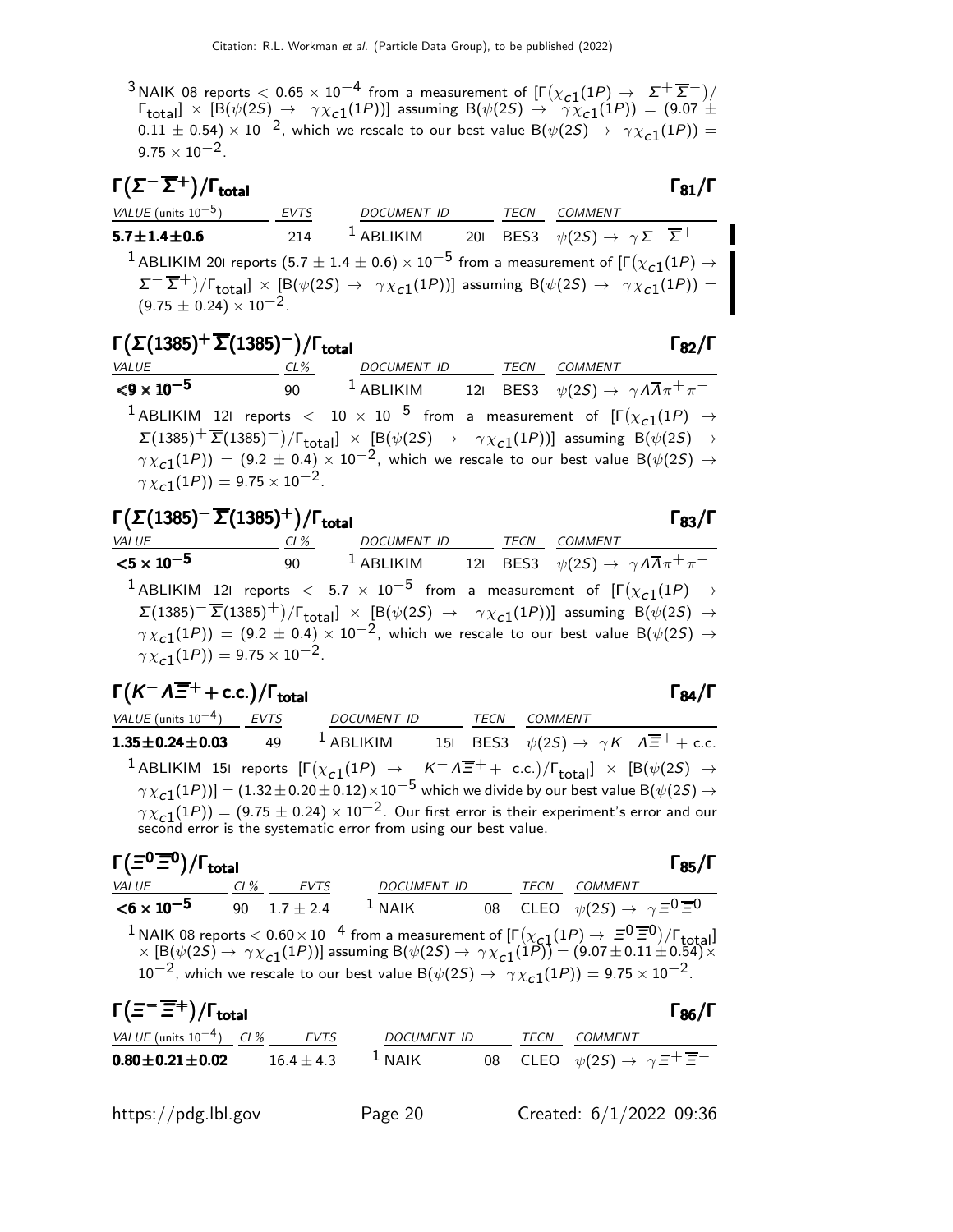<sup>3</sup> NAIK 08 reports  $<$  0.65  $\times$  10<sup>-4</sup> from a measurement of  $[\Gamma(\chi_{c1}(1P) \rightarrow \Sigma^{+} \overline{\Sigma}^{-})/$  $\Gamma_{\rm total}$ ]  $\times$  [B( $\psi(2S) \rightarrow \gamma \chi_{c1}(1P)$ )] assuming B( $\psi(2S) \rightarrow \gamma \chi_{c1}(1P)$ ) = (9.07  $\pm$  $(0.11 \pm 0.54) \times 10^{-2}$ , which we rescale to our best value B $(\psi(25) \rightarrow \gamma \chi_{c1}(1P)) =$  $9.75 \times 10^{-2}$ .

| $\Gamma(\Sigma^{-}\overline{\Sigma}^{+})/\Gamma_{\mathrm{total}}$ |             |              |      | $\Gamma_{81}/\Gamma$                                                                                                                                                                                                            |
|-------------------------------------------------------------------|-------------|--------------|------|---------------------------------------------------------------------------------------------------------------------------------------------------------------------------------------------------------------------------------|
| VALUE (units $10^{-5}$ )                                          | <b>EVTS</b> | DOCUMENT ID  | TECN | COMMENT                                                                                                                                                                                                                         |
| $5.7 \pm 1.4 \pm 0.6$                                             | 214         | $^1$ ABLIKIM |      | 201 BES3 $\psi(2S) \rightarrow \gamma \Sigma^{-} \overline{\Sigma}^{+}$                                                                                                                                                         |
|                                                                   |             |              |      | <sup>1</sup> ABLIKIM 201 reports (5.7 $\pm$ 1.4 $\pm$ 0.6) $\times$ 10 <sup>-5</sup> from a measurement of [ $\Gamma(\chi_{c1}(1P) \rightarrow$                                                                                 |
|                                                                   |             |              |      | $\Sigma^{-}$ $\overline{\Sigma}^{+}$ )/ $\Gamma_{\text{total}}$ ] × [B( $\psi$ (2S) $\rightarrow \gamma \chi_{c1}(1P)$ )] assuming B( $\psi$ (2S) $\rightarrow \gamma \chi_{c1}(1P)$ ) = (9.75 $\pm$ 0.24) × 10 <sup>-2</sup> . |

#### Γ $(\Sigma(1385)^+\overline{\Sigma}(1385)^-)$ /Γ<sub>total</sub> Γ<sub>82</sub>/Γ total and the set of the set of the set of the set of the set of the set of the set of the set of the set of t

| VALUE                                                       | CL% | DOCUMENT ID TECN COMMENT |  |                                                                                                                                                                            |
|-------------------------------------------------------------|-----|--------------------------|--|----------------------------------------------------------------------------------------------------------------------------------------------------------------------------|
| ${<}9 \times 10^{-5}$                                       | 90  |                          |  | <sup>1</sup> ABLIKIM 121 BES3 $\psi(2S) \rightarrow \gamma A \overline{A} \pi^+ \pi^-$                                                                                     |
|                                                             |     |                          |  | <sup>1</sup> ABLIKIM 121 reports $<$ 10 $\times$ 10 <sup>-5</sup> from a measurement of $[\Gamma(\chi_{c1}(1P) \rightarrow$                                                |
|                                                             |     |                          |  | $\Sigma(1385)^{+} \overline{\Sigma}(1385)^{-})/\Gamma_{\text{total}}$ $\times$ [B( $\psi(2S)$ $\rightarrow$ $\gamma \chi_{c1}(1P)$ )] assuming B( $\psi(2S)$ $\rightarrow$ |
|                                                             |     |                          |  | $\gamma \chi_{c1}(1P)$ = (9.2 ± 0.4) × 10 <sup>-2</sup> , which we rescale to our best value B( $\psi(2S) \rightarrow$                                                     |
| $\gamma \chi_{c1}(1P)$ ) = 9.75 $\times$ 10 <sup>-2</sup> . |     |                          |  |                                                                                                                                                                            |

|                       | $\Gamma(\Sigma(1385)^{-}\overline{\Sigma}(1385)^{+})/\Gamma_{\text{total}}$ |                                                                                                                                                               |  |                | $\Gamma_{83}/\Gamma$ |
|-----------------------|-----------------------------------------------------------------------------|---------------------------------------------------------------------------------------------------------------------------------------------------------------|--|----------------|----------------------|
| VALUE                 | CL%                                                                         | DOCUMENT ID TECN                                                                                                                                              |  | <i>COMMENT</i> |                      |
| ${<}5 \times 10^{-5}$ |                                                                             | 90 $1$ ABLIKIM 121 BES3 $\psi(2S) \rightarrow \gamma A \overline{A} \pi^+ \pi^-$                                                                              |  |                |                      |
|                       |                                                                             | <sup>1</sup> ABLIKIM 121 reports $<$ 5.7 $\times$ 10 <sup>-5</sup> from a measurement of $[\Gamma(\chi_{c1}(1P) \rightarrow$                                  |  |                |                      |
|                       |                                                                             | $\Sigma(1385)^{-} \overline{\Sigma}(1385)^{+})/\Gamma_{\text{total}}$ × [B( $\psi(2S) \rightarrow \gamma \chi_{c1}(1P)$ )] assuming B( $\psi(2S) \rightarrow$ |  |                |                      |
|                       |                                                                             | $\gamma \chi_{c1}(1P)$ = (9.2 ± 0.4) × 10 <sup>-2</sup> , which we rescale to our best value B( $\psi(2S) \rightarrow$                                        |  |                |                      |
|                       | $\gamma \chi_{c1}(1P) = 9.75 \times 10^{-2}$ .                              |                                                                                                                                                               |  |                |                      |

| $\Gamma(K^- \Lambda \overline{\Xi}^+ + \text{c.c.})/\Gamma_{\text{total}}$                                           |                                                                                                                                                                                                                                                                                                                                                                                                                                                                |      |                | $\Gamma_{84}/\Gamma$ |
|----------------------------------------------------------------------------------------------------------------------|----------------------------------------------------------------------------------------------------------------------------------------------------------------------------------------------------------------------------------------------------------------------------------------------------------------------------------------------------------------------------------------------------------------------------------------------------------------|------|----------------|----------------------|
| VALUE (units $10^{-4}$ ) EVTS                                                                                        | <b>DOCUMENT ID</b>                                                                                                                                                                                                                                                                                                                                                                                                                                             | TECN | <b>COMMENT</b> |                      |
| <b>1.35±0.24±0.03</b> 49 <sup>1</sup> ABLIKIM 151 BES3 $\psi(2S) \to \gamma K^{-} \Lambda \overline{\Xi}^{+} + c.c.$ |                                                                                                                                                                                                                                                                                                                                                                                                                                                                |      |                |                      |
|                                                                                                                      | 1 ABLIKIM 151 reports $[\Gamma(\chi_{c1}(1P) \to K^- \Lambda \overline{\Xi}^+ + \text{ c.c.})/\Gamma_{\text{total}}] \times [B(\psi(2S) \to \gamma \chi_{c1}(1P))] = (1.32 \pm 0.20 \pm 0.12) \times 10^{-5}$ which we divide by our best value $B(\psi(2S) \to$<br>$\gamma \chi_{c1}(1P)$ = (9.75 $\pm$ 0.24) $\times$ 10 <sup>-2</sup> . Our first error is their experiment's error and our second error is the systematic error from using our best value. |      |                |                      |

#### Γ $(\Xi^0 \overline{\Xi}{}^0)$ /Γ<sub>total</sub> Γεργασία )/Γ<sub>total</sub>Γ85/Γ <u>CL% EVTS</u> DOCUMENT ID TECN COMMENT  $<$ 6 × 10<sup>-5</sup> 90  $1.7 \pm 2.4$  $^1$  NAIK 08 CLEO  $\psi(2S) \rightarrow \ \gamma \, \Xi^0 \, \overline{\Xi}{}^0$ 1 NAIK 08 reports  $< 0.60 \times 10^{-4}$  from a measurement of  $[\Gamma(\chi_{\rm cl}(1P) \to \Xi^0 \overline{\Xi}^0)/\Gamma_{\rm total}]$  $\times$   $[{\mathsf B}(\psi(2{\mathsf S}) \to \gamma \chi_{\mathsf C}^{-1}(1{\mathsf P}))]$  assuming  ${\mathsf B}(\psi(2{\mathsf S}) \to \gamma \chi_{\mathsf C}^{-1}(1{\mathsf P})) = (9.07 \pm 0.11 \pm 0.54) \times$  $10^{-2}$ , which we rescale to our best value B $(\psi(2S) \rightarrow \gamma \chi_{c1}(1P)) = 9.75 \times 10^{-2}$ .

| $\Gamma(\Xi^{-}\overline{\Xi}{}^{+})/\Gamma_{\text{total}}$ |  |              |                    |  |      |                                                              |  |
|-------------------------------------------------------------|--|--------------|--------------------|--|------|--------------------------------------------------------------|--|
| VALUE (units $10^{-4}$ ) CL%                                |  | EVTS         | <i>DOCUMENT ID</i> |  | TECN | <i>COMMENT</i>                                               |  |
| $0.80 \pm 0.21 \pm 0.02$                                    |  | $16.4 + 4.3$ | $1$ NAIK           |  |      | 08 CLEO $\psi(2S) \rightarrow \gamma \Xi^+ \overline{\Xi}^-$ |  |
|                                                             |  |              |                    |  |      |                                                              |  |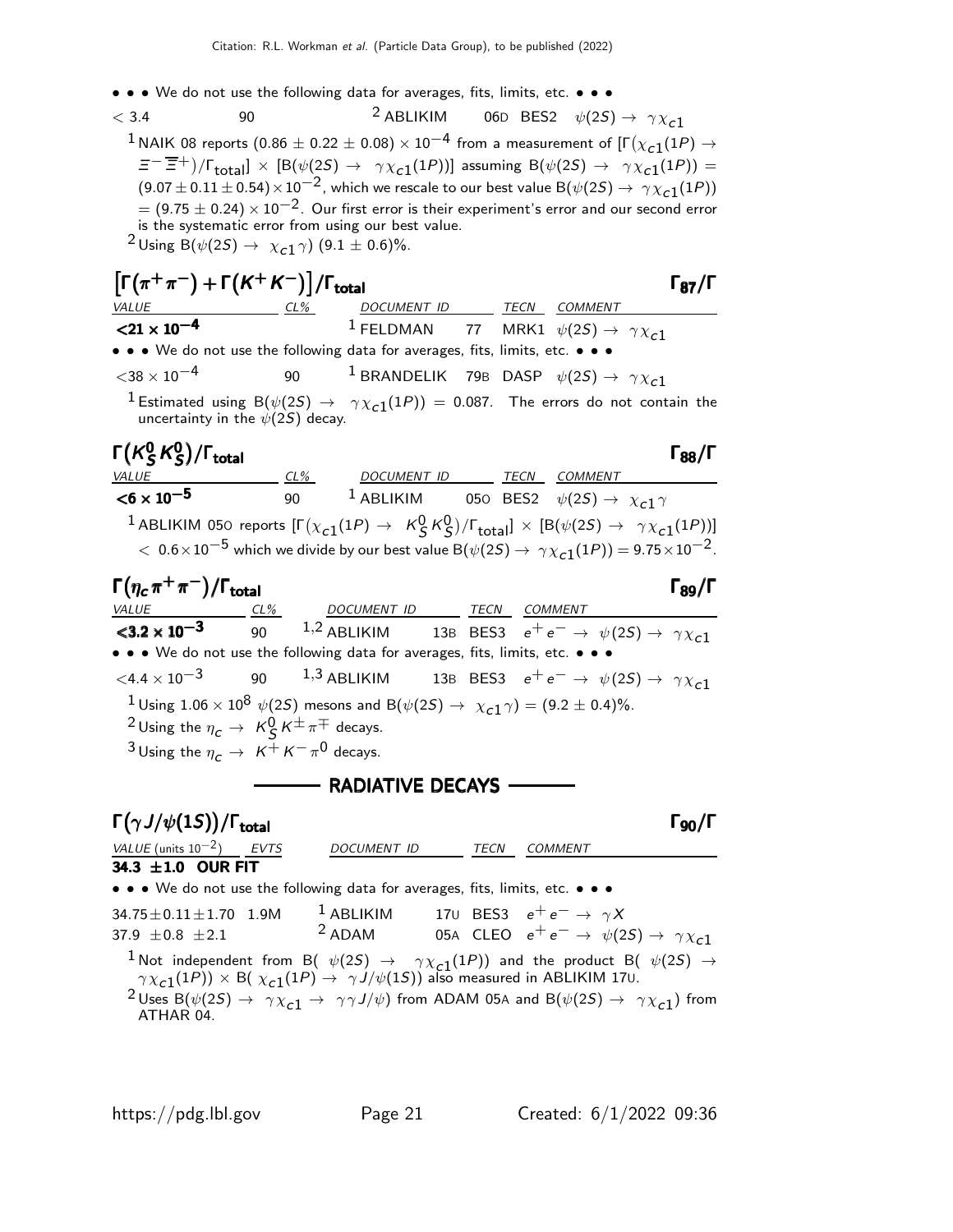- • We do not use the following data for averages, fits, limits, etc. • •
- $<$  3.4 90 3 ABLIKIM 06D BES2  $\psi(2S) \rightarrow \gamma \chi_{c1}$  $^1$ NAIK 08 reports  $(0.86 \pm 0.22 \pm 0.08) \times 10^{-4}$  from a measurement of [Г $(\chi_{\tt c1}(1P) \rightarrow$  $\Xi^{-}(\overline{\Xi}^{+})/\Gamma_{\text{total}}] \times [\mathsf{B}(\psi(2\mathsf{S}) \to \gamma \chi_{c1}(1\mathsf{P}))]$  assuming  $\mathsf{B}(\psi(2\mathsf{S}) \to \gamma \chi_{c1}(1\mathsf{P})) =$  $(9.07 \pm 0.11 \pm 0.54) \times 10^{-2}$ , which we rescale to our best value B $(\psi(2S) \rightarrow \gamma \chi_{c1}(1P))$  $= (9.75 \pm 0.24) \times 10^{-2}$ . Our first error is their experiment's error and our second error is the systematic error from using our best value.  $^{\text{2}}$ Using B $(\psi(2S) \rightarrow \chi_{c1} \gamma)$   $(9.1 \pm 0.6)\%$ .

| $\left[\Gamma(\pi^+\pi^-)+\Gamma(K^+K^-)\right]/\Gamma_{\text{total}}$                                                                                                                                   |                                                                                                                                                    |                    | $\Gamma_{87}/\Gamma$ |
|----------------------------------------------------------------------------------------------------------------------------------------------------------------------------------------------------------|----------------------------------------------------------------------------------------------------------------------------------------------------|--------------------|----------------------|
|                                                                                                                                                                                                          |                                                                                                                                                    |                    |                      |
| VALUE CL <sup>96</sup> DOCUMENT ID TECN COMMENT<br><21 x 10 <sup>-4</sup> <sup>DOCUMENT</sup> 1 FELDMAN 77 MRK1 $\psi(2S) \rightarrow \gamma \chi_{c1}$                                                  |                                                                                                                                                    |                    |                      |
| • • • We do not use the following data for averages, fits, limits, etc. • • •                                                                                                                            |                                                                                                                                                    |                    |                      |
| $<$ 38 $\times$ 10 $^{-4}$                                                                                                                                                                               | 90 <sup>1</sup> BRANDELIK 79B DASP $\psi(2S) \rightarrow \gamma \chi_{c1}$                                                                         |                    |                      |
| uncertainty in the $\psi(2S)$ decay.                                                                                                                                                                     | $1$ Estimated using B $(\psi(2S) \rightarrow \gamma \chi_{c1}(1P)) = 0.087$ . The errors do not contain the                                        |                    |                      |
| $\Gamma(K_S^0 K_S^0)/\Gamma_{\rm total}$                                                                                                                                                                 |                                                                                                                                                    |                    | $\Gamma_{88}/\Gamma$ |
| VALUE COMMENT CL% DOCUMENT ID TECN COMMENT<br>$\times$ 6 x 10 <sup>-5</sup> 90 <sup>1</sup> ABLIKIM 050 BES2 $\psi(2S) \rightarrow \chi_c 1 \gamma$                                                      |                                                                                                                                                    |                    |                      |
|                                                                                                                                                                                                          |                                                                                                                                                    |                    |                      |
|                                                                                                                                                                                                          | <sup>1</sup> ABLIKIM 050 reports $[\Gamma(\chi_{c1}(1P) \to K^0_S K^0_S)/\Gamma_{total}] \times [B(\psi(2S) \to \gamma \chi_{c1}(1P))]$            |                    |                      |
|                                                                                                                                                                                                          | $<~0.6\times10^{-5}$ which we divide by our best value B $(\psi(2S)\rightarrow~\gamma\chi_{c1}(1P))$ = 9.75 $\times10^{-2}$ .                      |                    |                      |
| $\Gamma(\eta_c\,\pi^+\,\pi^-)/\Gamma_{\rm total}$                                                                                                                                                        |                                                                                                                                                    |                    | $\Gamma_{89}/\Gamma$ |
|                                                                                                                                                                                                          |                                                                                                                                                    |                    |                      |
| VALUE $\frac{CL\%}{5.2 \times 10^{-3}}$ $\frac{CL\%}{90}$ $\frac{DOCUMENT ID}{1.2 \text{ ABLIKIM}}$ $\frac{TECN}{13B}$ $\frac{COMMENT}{EES3}$ $e^+e^- \rightarrow \psi(2S) \rightarrow \gamma \chi_{c1}$ |                                                                                                                                                    |                    |                      |
| • • • We do not use the following data for averages, fits, limits, etc. • • •                                                                                                                            |                                                                                                                                                    |                    |                      |
| $\langle 4.4 \times 10^{-3}$ 90 1,3 ABLIKIM 13B BES3 $e^+e^- \rightarrow \psi(25) \rightarrow \gamma \chi_c$ 1                                                                                           |                                                                                                                                                    |                    |                      |
| <sup>2</sup> Using the $\eta_c \to K_S^0 K^{\pm} \pi^{\mp}$ decays.                                                                                                                                      | <sup>1</sup> Using 1.06 × 10 <sup>8</sup> $\psi$ (2 <i>S</i> ) mesons and B( $\psi$ (2 <i>S</i> ) $\rightarrow \chi_{c1} \gamma$ ) = (9.2 ± 0.4)%. |                    |                      |
| <sup>3</sup> Using the $\eta_c \rightarrow K^+ K^- \pi^0$ decays.                                                                                                                                        |                                                                                                                                                    |                    |                      |
|                                                                                                                                                                                                          | <b>NADIATIVE DECAYS - RADIATIVE DECAYS</b>                                                                                                         |                    |                      |
| $\Gamma(\gamma J/\psi(1S))/\Gamma_{\rm total}$                                                                                                                                                           |                                                                                                                                                    |                    | l <sub>90</sub> /l   |
| $1/411IE$ (units $10Z$ ) $E1/TC$                                                                                                                                                                         | $\bigcap \bigcap \bigcap \bigcap \bigcap \bigcap \bigcap$                                                                                          | $TECNI$ $COMMIENT$ |                      |

VALUE (units 10<sup>-2</sup>) EVTS DOCUMENT ID TECN COMMENT 34.3  $\pm$ 1.0 OUR FIT • • • We do not use the following data for averages, fits, limits, etc. • • •  $34.75 \pm 0.11 \pm 1.70$  1.9M  $1$  ABLIKIM 17U BES3  $e^+ e^- \rightarrow \gamma X$ <br>37.9  $\pm 0.8$   $\pm 2.1$   $2$  ADAM 05A CLEO  $e^+ e^- \rightarrow \psi(2)$ 37.9  $\pm 0.8$   $\pm 2.1$ 05A CLEO  $e^+ e^- \rightarrow \psi(2S) \rightarrow \gamma \chi_{c1}$ <sup>1</sup> Not independent from B(  $\psi(2S) \rightarrow \gamma \chi_{c1}(1P)$ ) and the product B(  $\psi(2S) \rightarrow$  $\gamma\chi_{\bf C1}(1P))\times$  B(  $\chi_{\bf C1}(1P)\rightarrow~\gamma$  J/ $\psi(1S)$ ) also measured in ABLIKIM 170.  $2 \text{ Uses } B(\psi(2S) \rightarrow \gamma \chi_{c1} \rightarrow \gamma \gamma J/\psi)$  from ADAM 05A and  $B(\psi(2S) \rightarrow \gamma \chi_{c1})$  from ATHAR 04.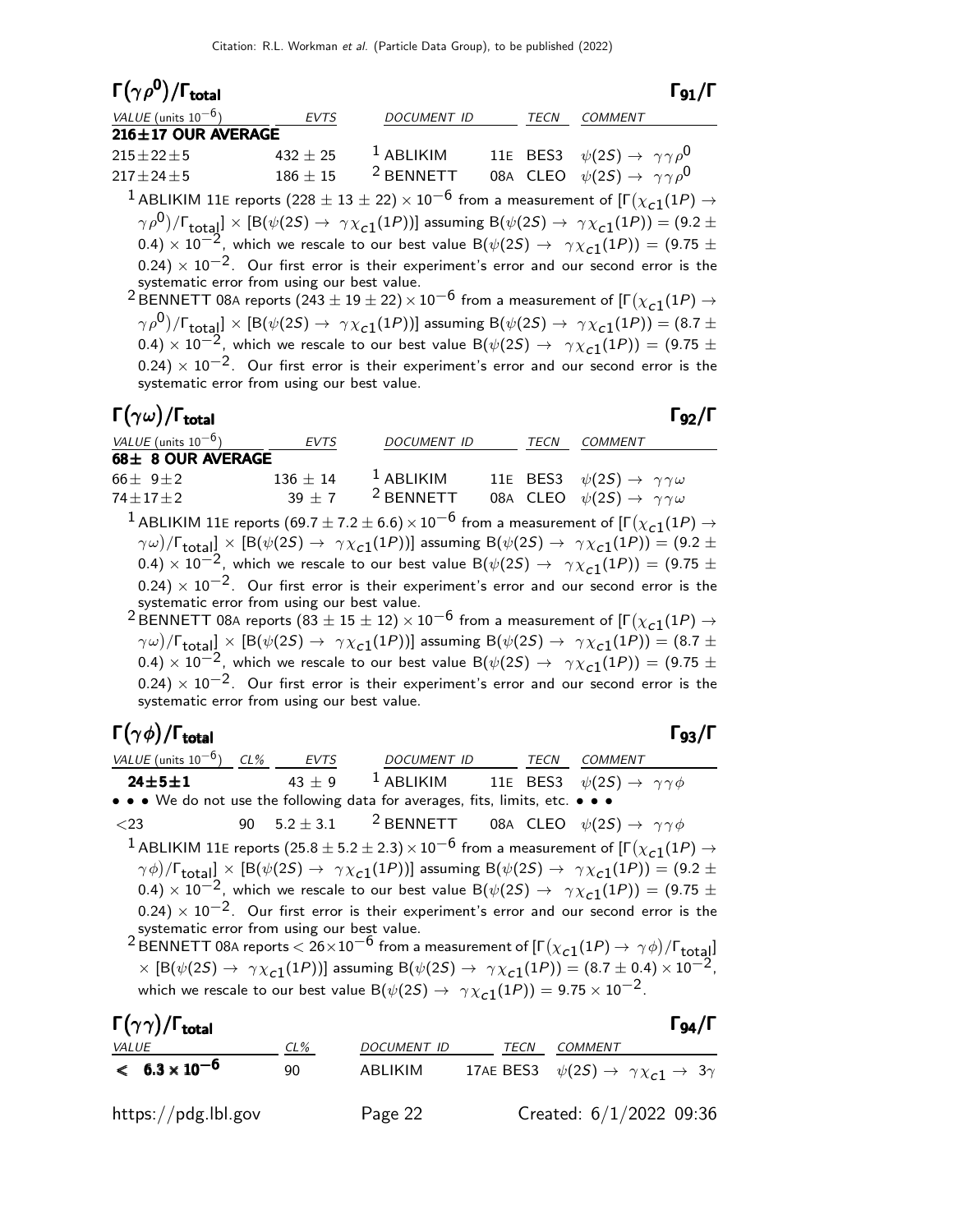| $\Gamma(\gamma \rho^0)/\Gamma_{\rm total}$  |              |                      |             | $\Gamma$ 91 /Г                                                                                                                                                                       |
|---------------------------------------------|--------------|----------------------|-------------|--------------------------------------------------------------------------------------------------------------------------------------------------------------------------------------|
| VALUE (units $10^{-6}$ )                    | <b>EVTS</b>  | <b>DOCUMENT ID</b>   | <b>TECN</b> | <b>COMMENT</b>                                                                                                                                                                       |
| 216±17 OUR AVERAGE                          |              |                      |             |                                                                                                                                                                                      |
| $215 \pm 22 \pm 5$                          | $432 \pm 25$ | $1$ ABLIKIM          |             | 11E BES3 $\psi(2S) \rightarrow \gamma \gamma \rho^0$                                                                                                                                 |
| $217 \pm 24 \pm 5$                          | $186\pm15$   | <sup>2</sup> BENNETT |             | 08A CLEO $\psi(2S) \rightarrow \gamma \gamma \rho^0$                                                                                                                                 |
|                                             |              |                      |             | <sup>1</sup> ABLIKIM 11E reports (228 $\pm$ 13 $\pm$ 22) $\times$ 10 <sup>-6</sup> from a measurement of [ $\Gamma(\chi_{c1}(1P) \rightarrow$                                        |
|                                             |              |                      |             | $(\gamma \rho^0)/\Gamma_{\text{total}}$ $\times$ [B( $\psi$ (2S) $\rightarrow$ $\gamma \chi_{c1}(1P)$ )] assuming B( $\psi$ (2S) $\rightarrow$ $\gamma \chi_{c1}(1P)$ ) = (9.2 $\pm$ |
|                                             |              |                      |             | 0.4) $\times$ 10 <sup>-2</sup> , which we rescale to our best value B( $\psi(2S) \rightarrow \gamma \chi_{c1}(1P)$ ) = (9.75 ±                                                       |
|                                             |              |                      |             | $(0.24) \times 10^{-2}$ . Our first error is their experiment's error and our second error is the                                                                                    |
| systematic error from using our best value. |              |                      |             |                                                                                                                                                                                      |
|                                             |              |                      |             | <sup>2</sup> BENNETT 08A reports (243 $\pm$ 19 $\pm$ 22) $\times$ 10 <sup>-6</sup> from a measurement of [ $\Gamma(\chi_{c1}(1P) \rightarrow$                                        |
|                                             |              |                      |             | $(\gamma \rho^0)/\Gamma_{\text{total}}] \times [B(\psi(2S) \to \gamma \chi_{c1}(1P))]$ assuming $B(\psi(2S) \to \gamma \chi_{c1}(1P)) = (8.7 \pm 1.0)$                               |
|                                             |              |                      |             | 0.4) $\times$ 10 <sup>-2</sup> , which we rescale to our best value B( $\psi(2S) \rightarrow \gamma \chi_{c1}(1P)$ ) = (9.75 $\pm$                                                   |

 $(0.24) \times 10^{-2}$ . Our first error is their experiment's error and our second error is the systematic error from using our best value.

| $\Gamma(\gamma\omega)/\Gamma_{\rm total}$ |              |                    |      | $\Gamma_{92}/\Gamma$                                                                                                            |
|-------------------------------------------|--------------|--------------------|------|---------------------------------------------------------------------------------------------------------------------------------|
| VALUE (units $10^{-6}$ )                  | <b>EVTS</b>  | <b>DOCUMENT ID</b> | TECN | <b>COMMENT</b>                                                                                                                  |
| 68± 8 OUR AVERAGE                         |              |                    |      |                                                                                                                                 |
| $66 + 9 + 2$                              | $136 \pm 14$ | $1$ ABLIKIM        |      | 11E BES3 $\psi(2S) \rightarrow \gamma \gamma \omega$                                                                            |
| $74 \pm 17 \pm 2$                         |              | $39 + 7$ 2 BENNETT |      | 08A CLEO $\psi(2S) \rightarrow \gamma \gamma \omega$                                                                            |
|                                           |              |                    |      | <sup>1</sup> ABLIKIM 11E reports (69.7 ± 7.2 ± 6.6) $\times 10^{-6}$ from a measurement of [ $\Gamma(\chi_{c1}(1P) \rightarrow$ |

 $(\gamma \omega)/\Gamma_{\rm total} \propto [{\rm B}(\psi(2S) \to~\gamma \chi_{\bf C1}(1P))]$  assuming  ${\rm B}(\psi(2S) \to~\gamma \chi_{\bf C1}(1P)) = (9.2 \pm 1)$ 0.4)  $\times$  10<sup>-2</sup>, which we rescale to our best value B( $\psi(2S) \rightarrow \gamma \chi_{c1}(1P)$ ) = (9.75 ±  $(0.24) \times 10^{-2}$ . Our first error is their experiment's error and our second error is the systematic error from using our best value.

 $^2$ BENNETT 08A reports  $(83 \pm 15 \pm 12) \times 10^{-6}$  from a measurement of [Г $(\chi_{\bf C1}(1P) \rightarrow$  $(\gamma \omega)/\Gamma_{\rm total} \propto [{\rm B}(\psi(2S) \to~\gamma \chi_{\rm C1}(1P))]$  assuming  ${\rm B}(\psi(2S) \to~\gamma \chi_{\rm C1}(1P)) = (8.7 \pm 1)$ 0.4)  $\times$  10<sup>-2</sup>, which we rescale to our best value B( $\psi(2S) \rightarrow \gamma \chi_{c1}(1P)$ ) = (9.75 ±  $(0.24) \times 10^{-2}$ . Our first error is their experiment's error and our second error is the systematic error from using our best value.

#### Γ $(\gamma \phi)/\Gamma_{\text{total}}$  Γ $_{93}/\Gamma$

 $\overline{\phantom{a}}$ 

total 93

| VALUE (units $10^{-6}$ ) CL% EVTS |          | DOCUMENT ID TECN                                                                         |  | COMMENT                                                                                                                                                              |
|-----------------------------------|----------|------------------------------------------------------------------------------------------|--|----------------------------------------------------------------------------------------------------------------------------------------------------------------------|
| $24 \pm 5 \pm 1$                  | $43 + 9$ | <sup>1</sup> ABLIKIM 11E BES3 $\psi(2S) \rightarrow \gamma \gamma \phi$                  |  |                                                                                                                                                                      |
|                                   |          | • • • We do not use the following data for averages, fits, limits, etc. • • •            |  |                                                                                                                                                                      |
| $<$ 23                            |          | 90 5.2 $\pm$ 3.1 <sup>2</sup> BENNETT 08A CLEO $\psi(2S) \rightarrow \gamma \gamma \phi$ |  |                                                                                                                                                                      |
|                                   |          |                                                                                          |  | <sup>1</sup> ABLIKIM 11E reports (25.8 $\pm$ 5.2 $\pm$ 2.3) $\times$ 10 <sup>-6</sup> from a measurement of [ $\Gamma(\chi_{c1}(1P) \rightarrow$                     |
|                                   |          |                                                                                          |  | $(\gamma \phi)/\Gamma_{\text{total}}$ ] × [B( $\psi$ (2S) $\rightarrow \gamma \chi_{c1}(1P)$ ] assuming B( $\psi$ (2S) $\rightarrow \gamma \chi_{c1}(1P)$ ) = (9.2 ± |
|                                   |          |                                                                                          |  | 0.4) $\times$ 10 <sup>-2</sup> , which we rescale to our best value B( $\psi$ (2S) $\rightarrow$ $\gamma \chi$ <sub>C1</sub> (1P)) = (9.75 $\pm$                     |

 $(0.24) \times 10^{-2}$ . Our first error is their experiment's error and our second error is the systematic error from using our best value.<br><sup>2</sup> BENNETT 08A reports < 26×10<sup>−6</sup> from a measurement of [Γ $(\chi_{\bf c1}(1P) \rightarrow \ \gamma \, \phi)/$ Γ<sub>total</sub>]

 $\times$  [B( $\psi$ (2S)  $\rightarrow \gamma \chi_{c1}(1P)$ ] assuming B( $\psi$ (2S)  $\rightarrow \gamma \chi_{c1}(1P)$ ) = (8.7 ± 0.4)  $\times 10^{-2}$ , which we rescale to our best value  $B(\psi(2S) \rightarrow \gamma \chi_{c1}(1P)) = 9.75 \times 10^{-2}$ .

| $\Gamma(\gamma\gamma)/\Gamma_{\rm total}$ |        |             |      |                                                                       | $\Gamma_{94}/\Gamma$ |
|-------------------------------------------|--------|-------------|------|-----------------------------------------------------------------------|----------------------|
| <b>VALUE</b>                              | $CL\%$ | DOCUMENT ID | TECN | COMMENT                                                               |                      |
| $< 6.3 \times 10^{-6}$                    | 90     | ABLIKIM     |      | 17AE BES3 $\psi(2S) \rightarrow \gamma \chi_{c1} \rightarrow 3\gamma$ |                      |
| https://pdg.lbl.gov                       |        | Page 22     |      | Created: 6/1/2022 09:36                                               |                      |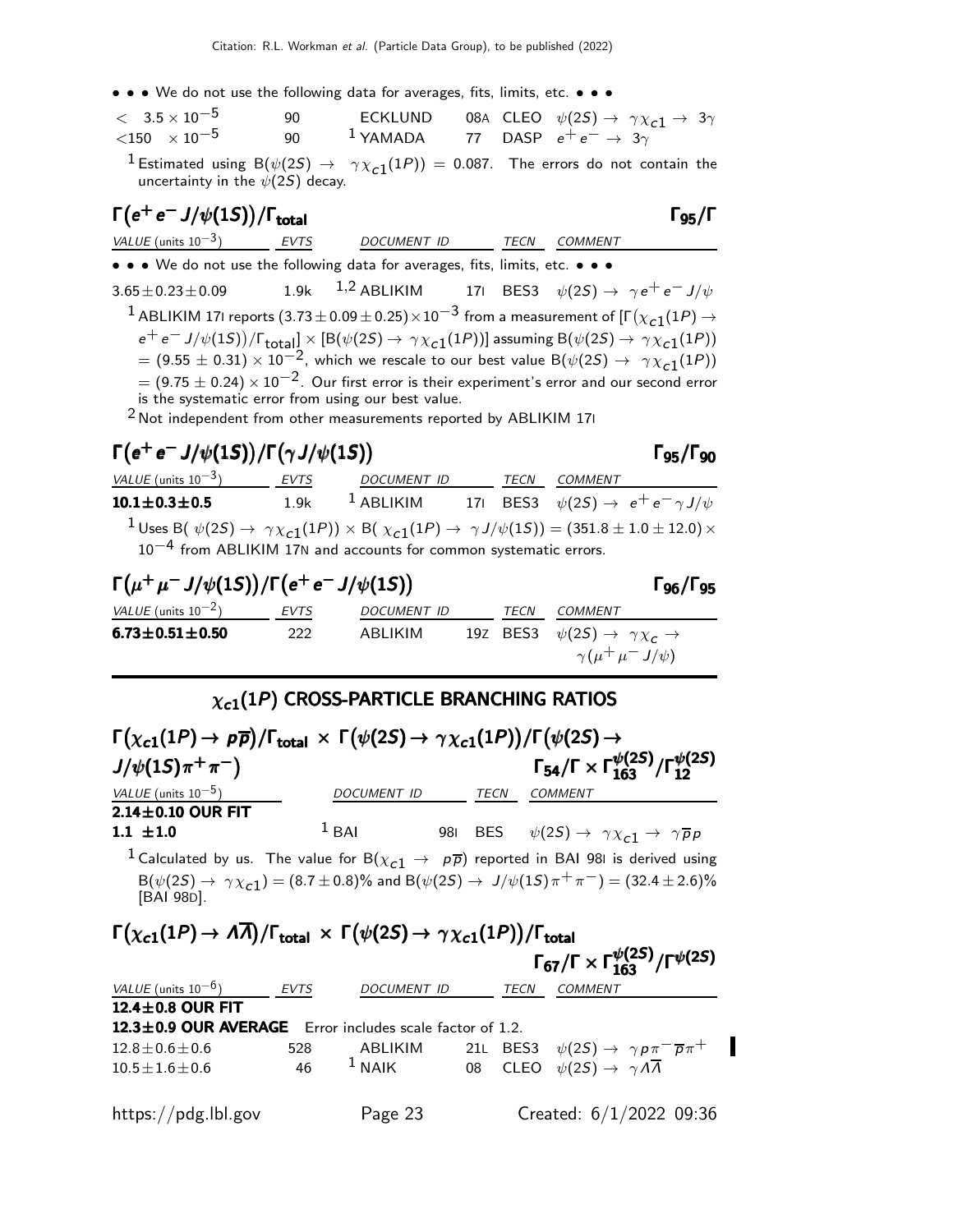• • • We do not use the following data for averages, fits, limits, etc. • • •

| $< 3.5 \times 10^{-5}$      | 90.    |                                                  |  | ECKLUND 08A CLEO $\psi(2S) \rightarrow \gamma \chi_{c1} \rightarrow 3\gamma$ |
|-----------------------------|--------|--------------------------------------------------|--|------------------------------------------------------------------------------|
| $<$ 150 $\times$ 10 $^{-5}$ | $90 -$ | $^1$ YAMADA 77 DASP $e^+e^- \rightarrow 3\gamma$ |  |                                                                              |

<sup>1</sup> Estimated using B $(\psi(25) \rightarrow \gamma \chi_{c1}(1P)) = 0.087$ . The errors do not contain the uncertainty in the  $\psi(2S)$  decay.

| $\Gamma(e^+e^-J/\psi(1S))/\Gamma_{\text{total}}$                                                                   |                                                                                                                                      |                    |  |      | -95/l                                                                                                                                     |  |
|--------------------------------------------------------------------------------------------------------------------|--------------------------------------------------------------------------------------------------------------------------------------|--------------------|--|------|-------------------------------------------------------------------------------------------------------------------------------------------|--|
| VALUE (units $10^{-3}$ )                                                                                           | <b>EVTS</b>                                                                                                                          | <b>DOCUMENT ID</b> |  | TECN | <b>COMMENT</b>                                                                                                                            |  |
| • • • We do not use the following data for averages, fits, limits, etc. • • •                                      |                                                                                                                                      |                    |  |      |                                                                                                                                           |  |
|                                                                                                                    |                                                                                                                                      |                    |  |      | 3.65 ± 0.23 ± 0.09 1.9k <sup>1,2</sup> ABLIKIM 171 BES3 $\psi(2S) \rightarrow \gamma e^+ e^- J/\psi$                                      |  |
|                                                                                                                    | <sup>1</sup> ABLIKIM 17I reports $(3.73 \pm 0.09 \pm 0.25) \times 10^{-3}$ from a measurement of $[\Gamma(\chi_{c1}(1P) \rightarrow$ |                    |  |      |                                                                                                                                           |  |
|                                                                                                                    |                                                                                                                                      |                    |  |      | $e^+e^- J/\psi(1S))/\Gamma_{\text{total}}] \times [B(\psi(2S) \to \gamma \chi_{c1}(1P))]$ assuming $B(\psi(2S) \to \gamma \chi_{c1}(1P))$ |  |
|                                                                                                                    |                                                                                                                                      |                    |  |      | $= (9.55 \pm 0.31) \times 10^{-2}$ , which we rescale to our best value B( $\psi(2S) \rightarrow \gamma \chi_{c1}(1P)$ )                  |  |
| $=$ (9.75 $\pm$ 0.24) $\times$ 10 <sup>-2</sup> . Our first error is their experiment's error and our second error |                                                                                                                                      |                    |  |      |                                                                                                                                           |  |
| is the systematic error from using our best value.                                                                 |                                                                                                                                      |                    |  |      |                                                                                                                                           |  |
| $2$ Not independent from other measurements reported by ABLIKIM 171                                                |                                                                                                                                      |                    |  |      |                                                                                                                                           |  |

# $\Gamma(e^+e^-J/\psi(1S))/\Gamma(\gamma J/\psi(1S))$  Γ95/Γ90

Γ<sub>96</sub>/Γ<sub>95</sub>

VALUE (units 10<sup>-3</sup>) EVTS DOCUMENT ID TECN COMMENT **10.1±0.3±0.5** 1.9k <sup>1</sup> ABLIKIM 17I BES3  $\psi(2S) \to e^+e^- \gamma J/\psi$  $1$ Uses B $(\psi(2S) \rightarrow \gamma \chi_{c1}(1P)) \times$  B $(\chi_{c1}(1P) \rightarrow \gamma J/\psi(1S)) = (351.8 \pm 1.0 \pm 12.0) \times$ 10−4 from ABLIKIM 17<sup>N</sup> and accounts for common systematic errors.

# $\Gamma(\mu^+\mu^- J/\psi(1S)) / \Gamma(e^+e^- J/\psi(1S))$  Γ96/Γ95

VALUE (units  $10^{-2}$ ) EVTS DOCUMENT ID TECN COMMENT **6.73±0.51±0.50** 222 ABLIKIM 19Z BES3  $\psi(2S) \rightarrow \gamma \chi_c \rightarrow$  $\gamma(\mu^+\mu^-J/\psi)$ 

#### $\chi_{c1}(1P)$  CROSS-PARTICLE BRANCHING RATIOS

| $\Gamma(\chi_{c1}(1P) \to p\overline{p})/\Gamma_{\text{total}} \times \Gamma(\psi(2S) \to \gamma \chi_{c1}(1P))/\Gamma(\psi(2S) \to$                                                                                                                                |                    |      |                                                                                   |  |
|---------------------------------------------------------------------------------------------------------------------------------------------------------------------------------------------------------------------------------------------------------------------|--------------------|------|-----------------------------------------------------------------------------------|--|
| $J/\psi(1S)\pi^{+}\pi^{-}$                                                                                                                                                                                                                                          |                    |      | $\Gamma_{54}/\Gamma \times \Gamma_{163}^{\psi(25)}/\Gamma_{12}^{\psi(25)}$        |  |
| VALUE (units $10^{-5}$ )                                                                                                                                                                                                                                            | <b>DOCUMENT ID</b> | TECN | <b>COMMENT</b>                                                                    |  |
| $2.14\pm0.10$ OUR FIT                                                                                                                                                                                                                                               |                    |      |                                                                                   |  |
| $1.1 \pm 1.0$                                                                                                                                                                                                                                                       | $1$ BAI            |      | 981 BES $\psi(2S) \rightarrow \gamma \chi_{c1} \rightarrow \gamma \overline{p} p$ |  |
| <sup>1</sup> Calculated by us. The value for B $(\chi_{c1} \rightarrow p\overline{p})$ reported in BAI 981 is derived using<br>$B(\psi(2S) \to \gamma \chi_{c1}) = (8.7 \pm 0.8)\%$ and $B(\psi(2S) \to J/\psi(1S)\pi^{+}\pi^{-}) = (32.4 \pm 2.6)\%$<br>[BAI 98D]. |                    |      |                                                                                   |  |
| $\Gamma(\chi_{c1}(1P) \to A\overline{A})/\Gamma_{\text{total}} \times \Gamma(\psi(2S) \to \gamma \chi_{c1}(1P))/\Gamma_{\text{total}}$                                                                                                                              |                    |      | $\Gamma_{67}/\Gamma \times \Gamma_{163}^{\psi(25)}/\Gamma^{\psi(25)}$             |  |
| VALUE (units $10^{-6}$ ) EVTS                                                                                                                                                                                                                                       | DOCUMENT ID        | TECN | <b>COMMENT</b>                                                                    |  |
| 12.4 $\pm$ 0.8 OUR FIT                                                                                                                                                                                                                                              |                    |      |                                                                                   |  |
| 12.3±0.9 OUR AVERAGE Error includes scale factor of 1.2.                                                                                                                                                                                                            |                    |      |                                                                                   |  |
|                                                                                                                                                                                                                                                                     |                    |      |                                                                                   |  |

I  $12.8 \pm 0.6 \pm 0.6$  528 ABLIKIM 21L BES3  $\psi(2S) \rightarrow \gamma p \pi^- \overline{p} \pi^+$ <br> $10.5 \pm 1.6 \pm 0.6$  46 <sup>1</sup> NAIK 08 CLEO  $\psi(2S) \rightarrow \gamma A \overline{A}$  $10.5 \pm 1.6 \pm 0.6$  46 <sup>1</sup> NAIK 08 CLEO  $\psi(2S) \rightarrow \gamma A \overline{A}$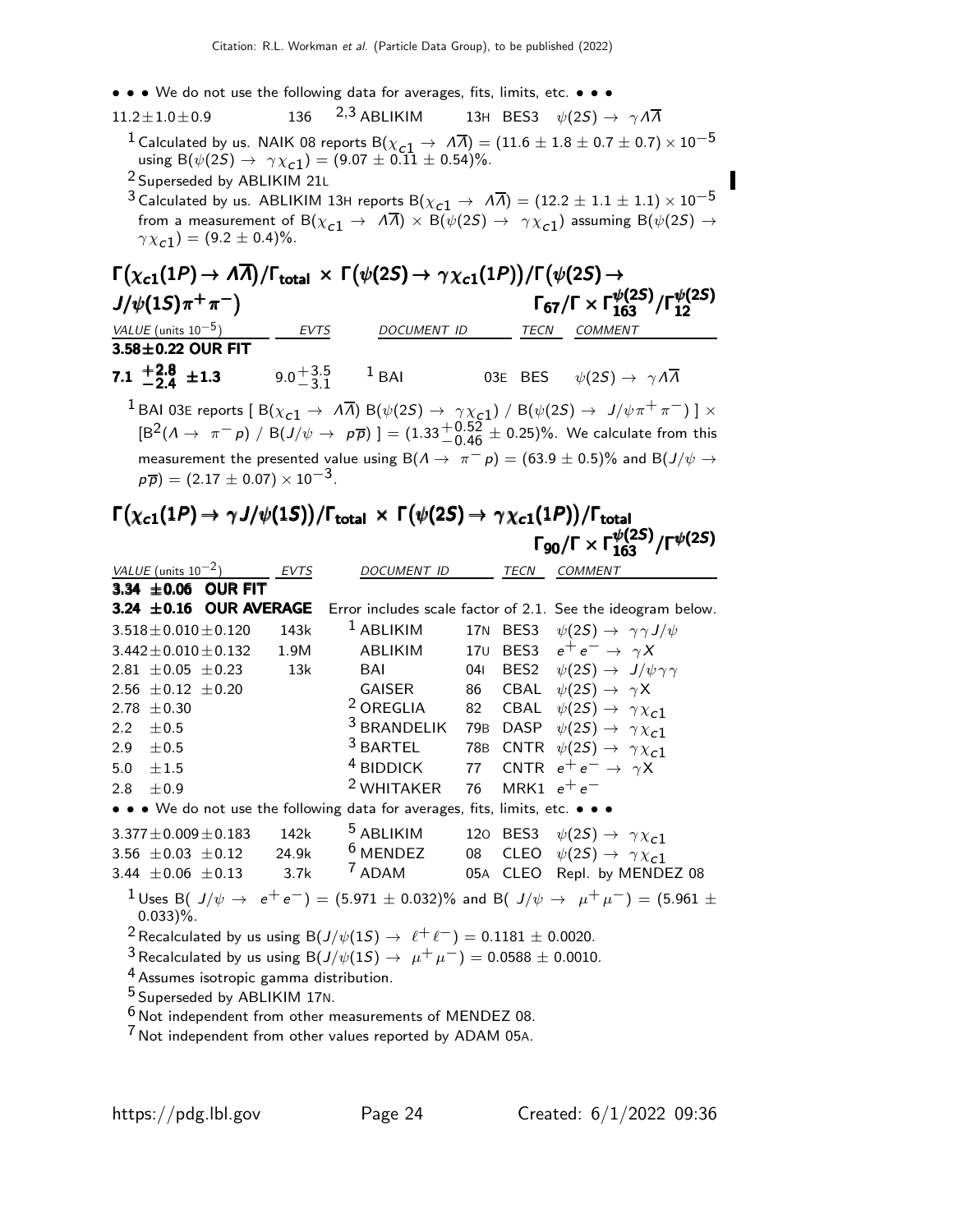- • We do not use the following data for averages, fits, limits, etc. • •
- 11.2 $\pm$ 1.0 $\pm$ 0.9 136 <sup>2,3</sup> ABLIKIM 13H BES3  $\psi(2S) \rightarrow \gamma \Lambda \overline{\Lambda}$ <sup>1</sup> Calculated by us. NAIK 08 reports B( $\chi_{c1} \to \Lambda \overline{\Lambda}$ ) = (11.6 ± 1.8 ± 0.7 ± 0.7)  $\times$  10<sup>-5</sup> using  $B(\psi(2S) \to \gamma \chi_{c1}) = (9.07 \pm 0.11 \pm 0.54)\%.$ 
	- 2 Superseded by ABLIKIM 21<sup>L</sup>
	- <sup>3</sup> Calculated by us. ABLIKIM 13H reports B( $\chi$ <sub>C1</sub>  $\rightarrow$   $\bar{A}$ ) = (12.2  $\pm$  1.1  $\pm$  1.1)  $\times$  10<sup>-5</sup> from a measurement of B( $\chi_{c1} \to A\overline{A}$ )  $\times$  B( $\psi(2S) \to \gamma \chi_{c1}$ ) assuming B( $\psi(2S) \to$  $\gamma \chi_{c1}^{\prime}$  = (9.2  $\pm$  0.4)%.

#### $\Gamma(\chi_{\bf c1}(1P) \rightarrow A\overline{A})/\Gamma_{\bf total} \times \Gamma(\psi(2S) \rightarrow \gamma \chi_{\bf c1}(1P))/\Gamma(\psi(2S) \rightarrow$ <br>J/ψ(1S)π<sup>+</sup>π<sup>-</sup>) Γ<sub>67</sub>/Γ × Γμ  $J/\psi(1S)\pi^{+}\pi^{-}$ Γ<sub>67</sub>/Γ  $\times$  Γ $_{163}^{\psi(2S)}/$ Γ $_{12}^{\psi(2S)}$ 12 VALUE (units 10<sup>-5</sup>) EVTS DOCUMENT ID TECN COMMENT  $3.58\pm0.22$  OUR FIT

7.1  $\pm 2.8$ 7.1  $+2.8$   $\pm 1.3$  9.0<sup>+3.5</sup>  $^{+3.5}_{-3.1}$  1 BAI 03E BES  $\psi(2S) \rightarrow \gamma \Lambda \overline{\Lambda}$ 

 $^1$  BAI 03E reports [ B( $\chi_{c1} \to \ A \overline{A}$ ) B( $\psi(2S) \to \ \gamma \chi_{c1}$ ) / B( $\psi(2S) \to \ J/\psi \pi^+ \pi^-)$  ]  $\times$  $\text{[B}^2(\Lambda \to \pi^- p) / \text{B}(J/\psi \to p\overline{p})] = (1.33^{+0.52}_{-0.46} \pm 0.25)\%$ . We calculate from this measurement the presented value using B( $\Lambda \to \pi^- p$ ) = (63.9 ± 0.5)% and B( $J/\psi \to$  $p\overline{p}$ ) = (2.17  $\pm$  0.07) × 10<sup>-3</sup>.

#### $\Gamma\big(\chi_{\bf c1}(1P) \to \gamma J/\psi(1S)\big)/\Gamma_{\bf total} \,\times\,\Gamma\big(\psi(2S) \to \gamma\chi_{\bf c1}(1P)\big)/\Gamma_{\bf total}$ Γ $_{90}/$ Γ $\times$  Γ $_{163}^{\psi(25)}/$ Γ $^{\psi(25)}$  $\Gamma (\chi_{c1}(1P) \to \gamma J/\psi(1S)) / \Gamma_{\rm total} \, \times \, \Gamma \big( \psi(2S) \to \, \gamma \chi_{c1}(1P) \big) / \Gamma_{\rm total}$  $\Gamma(\chi_{c1}(1P) \to \gamma J/\psi(1S))/\Gamma_{\rm total} \times \ \Gamma(\psi(2S) \to \gamma \chi_{c1}(1P))/\Gamma_{\rm total} \ \Gamma_{90}/\Gamma \times \Gamma_{163}^{\psi(2S)}/\Gamma^{\psi(2S)}$  $\Gamma(\chi_{c1}(1P) \to \gamma J/\psi(1S))/\Gamma_{\rm total} \times \ \Gamma\big(\psi(2S) \to \gamma \chi_{c1}(1P)\big)/\Gamma_{\rm total} \ \Gamma_{90}/\Gamma \times \Gamma_{163}^{\psi(2S)}/\Gamma^{\psi(2S)}$

|                  | VALUE (units $10^{-2}$ )    |                                                    | <b>EVTS</b> | <b>DOCUMENT ID</b>                                                                                       |     | TECN          | <b>COMMENT</b>                                                                                                      |
|------------------|-----------------------------|----------------------------------------------------|-------------|----------------------------------------------------------------------------------------------------------|-----|---------------|---------------------------------------------------------------------------------------------------------------------|
|                  |                             | 3.34 $\pm$ 0.06 OUR FIT                            |             |                                                                                                          |     |               |                                                                                                                     |
|                  |                             | 3.24 $\pm$ 0.16 OUR AVERAGE                        |             |                                                                                                          |     |               | Error includes scale factor of 2.1. See the ideogram below.                                                         |
|                  | $3.518 \pm 0.010 \pm 0.120$ |                                                    | 143k        | $1$ ABLIKIM                                                                                              |     |               | 17N BES3 $\psi(2S) \rightarrow \gamma \gamma J/\psi$                                                                |
|                  | $3.442 \pm 0.010 \pm 0.132$ |                                                    | 1.9M        | ABLIKIM                                                                                                  |     |               | 170 BES3 $e^+e^- \rightarrow \gamma X$                                                                              |
|                  | $2.81 \pm 0.05 \pm 0.23$    |                                                    | 13k         | BAI                                                                                                      | 041 |               | BES2 $\psi(2S) \rightarrow J/\psi \gamma \gamma$                                                                    |
|                  | 2.56 $\pm$ 0.12 $\pm$ 0.20  |                                                    |             | GAISER                                                                                                   |     |               | 86 CBAL $\psi(2S) \rightarrow \gamma X$                                                                             |
|                  | 2.78 $\pm$ 0.30             |                                                    |             | <sup>2</sup> OREGLIA                                                                                     |     |               | 82 CBAL $\psi(2S) \rightarrow \gamma \chi_{c1}$                                                                     |
| $2.2\phantom{0}$ | ±0.5                        |                                                    |             | $3$ BRANDELIK                                                                                            |     |               | 79B DASP $\psi(2S) \rightarrow \gamma \chi_{c1}$                                                                    |
| 2.9              | ±0.5                        |                                                    |             | $3$ BARTEL                                                                                               |     |               | 78B CNTR $\psi(2S) \rightarrow \gamma \chi_{c1}$                                                                    |
| 5.0              | $\pm 1.5$                   |                                                    |             | <sup>4</sup> BIDDICK                                                                                     |     |               | 77 CNTR $e^+e^- \rightarrow \gamma X$                                                                               |
| 2.8              | $+0.9$                      |                                                    |             | <sup>2</sup> WHITAKER                                                                                    | 76  | MRK1 $e^+e^-$ |                                                                                                                     |
|                  |                             |                                                    |             | • • • We do not use the following data for averages, fits, limits, etc. • • •                            |     |               |                                                                                                                     |
|                  | $3.377 \pm 0.009 \pm 0.183$ |                                                    | 142k        | <sup>5</sup> ABLIKIM                                                                                     |     |               | 120 BES3 $\psi(2S) \rightarrow \gamma \chi_{c1}$                                                                    |
|                  |                             | 3.56 $\pm$ 0.03 $\pm$ 0.12                         | 24.9k       | $6$ MENDEZ                                                                                               |     |               | 08 CLEO $\psi(2S) \rightarrow \gamma \chi_{c1}$                                                                     |
|                  | 3.44 $\pm$ 0.06 $\pm$ 0.13  |                                                    | 3.7k        | <sup>7</sup> ADAM                                                                                        |     |               | 05A CLEO Repl. by MENDEZ 08                                                                                         |
|                  | $0.033$ )%.                 |                                                    |             |                                                                                                          |     |               | <sup>1</sup> Uses B( J/ $\psi \to e^+e^-$ ) = (5.971 $\pm$ 0.032)% and B( J/ $\psi \to \mu^+\mu^-$ ) = (5.961 $\pm$ |
|                  |                             |                                                    |             | <sup>2</sup> Recalculated by us using B( $J/\psi(1S) \rightarrow \ell^+ \ell^-$ ) = 0.1181 $\pm$ 0.0020. |     |               |                                                                                                                     |
|                  |                             |                                                    |             | <sup>3</sup> Recalculated by us using B( $J/\psi(15) \to \mu^+ \mu^-$ ) = 0.0588 ± 0.0010.               |     |               |                                                                                                                     |
|                  |                             | <sup>4</sup> Assumes isotropic gamma distribution. |             |                                                                                                          |     |               |                                                                                                                     |
|                  |                             | <sup>5</sup> Superseded by ABLIKIM 17N.            |             |                                                                                                          |     |               |                                                                                                                     |
|                  |                             |                                                    |             | <sup>6</sup> Not independent from other measurements of MENDEZ 08.                                       |     |               |                                                                                                                     |
| ᄀ                |                             |                                                    |             |                                                                                                          |     |               |                                                                                                                     |

7 Not independent from other values reported by ADAM 05A.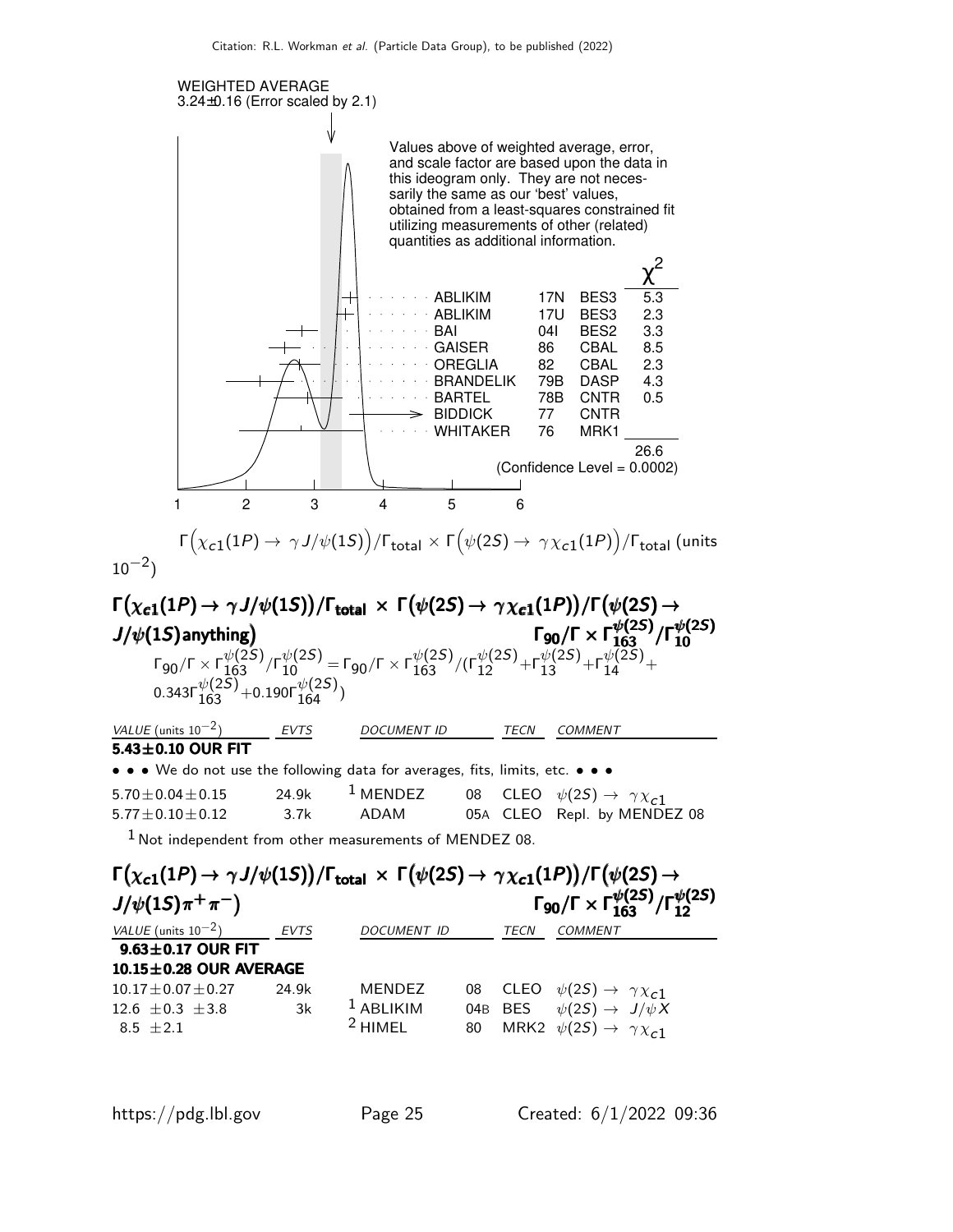

$$
\Gamma(\chi_{c1}(1P) \to \gamma J/\psi(1S)) / \Gamma_{\text{total}} \times \Gamma(\psi(2S) \to \gamma \chi_{c1}(1P)) / \Gamma_{\text{total}} \text{ (units)}
$$

$$
\Gamma(\chi_{c1}(1P) \rightarrow \gamma J/\psi(1S))/\Gamma_{\text{total}} \times \Gamma(\psi(2S) \rightarrow \gamma \chi_{c1}(1P))/\Gamma(\psi(2S) \rightarrow
$$
\n
$$
J/\psi(1S) \text{anything}) \qquad \qquad \Gamma_{90}/\Gamma \times \Gamma_{163}^{\psi(2S)}/\Gamma_{10}^{\psi(2S)}
$$
\n
$$
\Gamma_{90}/\Gamma \times \Gamma_{163}^{\psi(2S)}/\Gamma_{10}^{\psi(2S)} = \Gamma_{90}/\Gamma \times \Gamma_{163}^{\psi(2S)}/(\Gamma_{12}^{\psi(2S)} + \Gamma_{13}^{\psi(2S)} + \Gamma_{14}^{\psi(2S)} + \Gamma_{14}^{\psi(2S)} + \Gamma_{14}^{\psi(2S)} + \Gamma_{14}^{\psi(2S)} + \Gamma_{14}^{\psi(2S)} + \Gamma_{14}^{\psi(2S)} + \Gamma_{14}^{\psi(2S)} + \Gamma_{14}^{\psi(2S)} + \Gamma_{14}^{\psi(2S)} + \Gamma_{14}^{\psi(2S)} + \Gamma_{14}^{\psi(2S)} + \Gamma_{14}^{\psi(2S)} + \Gamma_{14}^{\psi(2S)} + \Gamma_{14}^{\psi(2S)} + \Gamma_{14}^{\psi(2S)} + \Gamma_{14}^{\psi(2S)} + \Gamma_{14}^{\psi(2S)} + \Gamma_{14}^{\psi(2S)} + \Gamma_{14}^{\psi(2S)} + \Gamma_{14}^{\psi(2S)} + \Gamma_{14}^{\psi(2S)} + \Gamma_{14}^{\psi(2S)} + \Gamma_{14}^{\psi(2S)} + \Gamma_{14}^{\psi(2S)} + \Gamma_{14}^{\psi(2S)} + \Gamma_{14}^{\psi(2S)} + \Gamma_{14}^{\psi(2S)} + \Gamma_{14}^{\psi(2S)} + \Gamma_{14}^{\psi(2S)} + \Gamma_{14}^{\psi(2S)} + \Gamma_{14}^{\psi(2S)} + \Gamma_{14}^{\psi(2S)} + \Gamma_{14}^{\psi(2S)} + \Gamma_{14}^{\psi(2S)} + \Gamma_{14}^{\psi(2S)} + \Gamma_{14}^{\psi(2S)} + \Gamma_{14}^{\psi(2S)} + \Gamma_{14}^{\psi(2S)}
$$

Not independent from other measurements of MENDEZ 08.

| $\Gamma(\chi_{c1}(1P) \to \gamma J/\psi(1S))/\Gamma_{\text{total}} \times \Gamma(\psi(2S) \to \gamma \chi_{c1}(1P))/\Gamma(\psi(2S) \to$ |       |                    |    |         |                                                                            |  |  |
|------------------------------------------------------------------------------------------------------------------------------------------|-------|--------------------|----|---------|----------------------------------------------------------------------------|--|--|
| $J/\psi(1S)\pi^{+}\pi^{-})$                                                                                                              |       |                    |    |         | $\Gamma_{90}/\Gamma \times \Gamma_{163}^{\psi(2S)}/\Gamma_{12}^{\psi(2S)}$ |  |  |
| VALUE (units $10^{-2}$ )                                                                                                                 | EVTS  | <b>DOCUMENT ID</b> |    | TECN    | <b>COMMENT</b>                                                             |  |  |
| $9.63 \pm 0.17$ OUR FIT                                                                                                                  |       |                    |    |         |                                                                            |  |  |
| 10.15±0.28 OUR AVERAGE                                                                                                                   |       |                    |    |         |                                                                            |  |  |
| $10.17 \pm 0.07 \pm 0.27$                                                                                                                | 24.9k | <b>MENDEZ</b>      | 08 |         | CLEO $\psi(2S) \rightarrow \gamma \chi_{c1}$                               |  |  |
| 12.6 $\pm$ 0.3 $\pm$ 3.8                                                                                                                 | 3k    | $1$ ABLIKIM        |    | 04B BES | $\psi(2S) \rightarrow J/\psi X$                                            |  |  |
| $8.5 + 2.1$                                                                                                                              |       | $2$ HIMFL          | 80 |         | MRK2 $\psi(2S) \rightarrow \gamma \chi_{c1}$                               |  |  |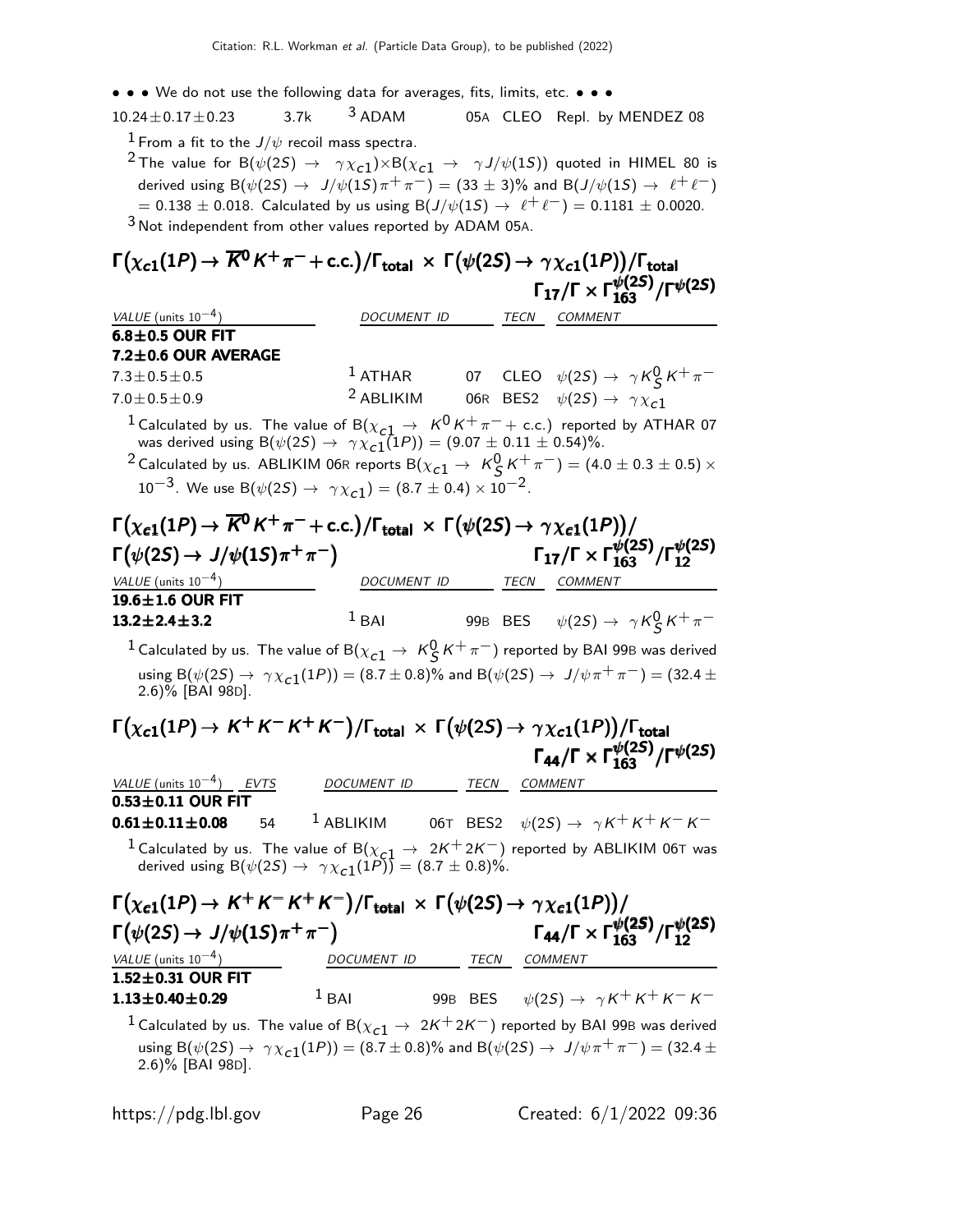| • • • We do not use the following data for averages, fits, limits, etc. • • •                                                                                 |             |                          |      |                                                                                                                                                                                                                          |
|---------------------------------------------------------------------------------------------------------------------------------------------------------------|-------------|--------------------------|------|--------------------------------------------------------------------------------------------------------------------------------------------------------------------------------------------------------------------------|
| $10.24 \pm 0.17 \pm 0.23$                                                                                                                                     | 3.7k        | $3$ ADAM                 |      | 05A CLEO Repl. by MENDEZ 08                                                                                                                                                                                              |
| $^1$ From a fit to the $J/\psi$ recoil mass spectra.                                                                                                          |             |                          |      |                                                                                                                                                                                                                          |
|                                                                                                                                                               |             |                          |      | <sup>2</sup> The value for B( $\psi(2S) \rightarrow \gamma \chi_{c1}$ ) $\times$ B( $\chi_{c1} \rightarrow \gamma J/\psi(1S)$ ) quoted in HIMEL 80 is                                                                    |
|                                                                                                                                                               |             |                          |      | derived using B( $\psi(2S) \rightarrow J/\psi(1S)\pi^{+}\pi^{-}$ ) = (33 ± 3)% and B( $J/\psi(1S) \rightarrow \ell^{+}\ell^{-}$ )                                                                                        |
|                                                                                                                                                               |             |                          |      | $\tau = 0.138 \pm 0.018$ . Calculated by us using B(J/ $\psi(1S) \to \ell^+ \ell^-) = 0.1181 \pm 0.0020$ .                                                                                                               |
| $3$ Not independent from other values reported by ADAM 05A.                                                                                                   |             |                          |      |                                                                                                                                                                                                                          |
| $\Gamma(\chi_{c1}(1P) \to \overline{K^0}K^+\pi^- + \text{c.c.})/\Gamma_{\text{total}} \times \Gamma(\psi(2S) \to \gamma \chi_{c1}(1P))/\Gamma_{\text{total}}$ |             |                          |      |                                                                                                                                                                                                                          |
|                                                                                                                                                               |             |                          |      | $\Gamma_{17}/\Gamma \times \Gamma_{163}^{\psi(25)}/\Gamma^{\psi(25)}$                                                                                                                                                    |
|                                                                                                                                                               |             |                          |      |                                                                                                                                                                                                                          |
| VALUE (units $10^{-4}$ )<br>$6.8 \pm 0.5$ OUR FIT                                                                                                             |             | DOCUMENT ID TECN COMMENT |      |                                                                                                                                                                                                                          |
| 7.2±0.6 OUR AVERAGE                                                                                                                                           |             |                          |      |                                                                                                                                                                                                                          |
| $7.3 \pm 0.5 \pm 0.5$                                                                                                                                         |             |                          |      |                                                                                                                                                                                                                          |
| $7.0 \pm 0.5 \pm 0.9$                                                                                                                                         |             |                          |      | <sup>1</sup> ATHAR 07 CLEO $\psi(2S) \rightarrow \gamma K_S^0 K^+ \pi^-$<br><sup>2</sup> ABLIKIM 06R BES2 $\psi(2S) \rightarrow \gamma \chi_{c1}$<br>06R BES2 $\psi(2S) \rightarrow \gamma \chi_{c1}$                    |
|                                                                                                                                                               |             |                          |      |                                                                                                                                                                                                                          |
|                                                                                                                                                               |             |                          |      | <sup>1</sup> Calculated by us. The value of B( $\chi_{c1} \rightarrow K^0 K^+ \pi^- +$ c.c.) reported by ATHAR 07<br>was derived using B( $\psi(2S) \rightarrow \gamma \chi_{c1}(1P)$ ) = (9.07 $\pm$ 0.11 $\pm$ 0.54)%. |
|                                                                                                                                                               |             |                          |      | <sup>2</sup> Calculated by us. ABLIKIM 06R reports B( $\chi_{c1} \to K_S^0 K^+ \pi^-)$ = (4.0 $\pm$ 0.3 $\pm$ 0.5) $\times$                                                                                              |
| $10^{-3}$ . We use B( $\psi(2S) \rightarrow \gamma \chi_{c1}$ ) = (8.7 ± 0.4) × 10 <sup>-2</sup> .                                                            |             |                          |      |                                                                                                                                                                                                                          |
| $\Gamma(\chi_{\bf c1}(1P) \to \overline{K^0}K^+\pi^- + \text{c.c.})/\Gamma_{\bf total} \times \Gamma(\psi(2S) \to \gamma \chi_{\bf c1}(1P))/$                 |             |                          |      |                                                                                                                                                                                                                          |
|                                                                                                                                                               |             |                          |      |                                                                                                                                                                                                                          |
| $\Gamma(\psi(2S) \to J/\psi(1S)\pi^+\pi^-)$                                                                                                                   |             |                          |      | $\Gamma_{17}/\Gamma \times \Gamma_{163}^{\psi(25)}/\Gamma_{12}^{\psi(25)}$                                                                                                                                               |
| VALUE (units $10^{-4}$ )                                                                                                                                      |             | DOCUMENT ID TECN COMMENT |      |                                                                                                                                                                                                                          |
| 19.6±1.6 OUR FIT<br>$13.2 \pm 2.4 \pm 3.2$                                                                                                                    |             | $1$ BAI                  |      | 99B BES $\psi(2S) \rightarrow \gamma K_S^0 K^+ \pi^-$                                                                                                                                                                    |
|                                                                                                                                                               |             |                          |      |                                                                                                                                                                                                                          |
|                                                                                                                                                               |             |                          |      | $^1$ Calculated by us. The value of B $(\chi_{c1}^{} \rightarrow \,\,{\it K}^0_S^{} \,{\it K}^+\,\pi^-)$ reported by BAI 99B was derived                                                                                 |
| 2.6)% [BAI 98D].                                                                                                                                              |             |                          |      | using B( $\psi(2S) \to \gamma \chi_{c1}(1P)$ ) = (8.7 ± 0.8)% and B( $\psi(2S) \to J/\psi \pi^+ \pi^-$ ) = (32.4 ±                                                                                                       |
| $\Gamma(\chi_{c1}(1P) \to K^+K^-K^+K^-)/\Gamma_{\rm total} \times \Gamma(\psi(2S) \to \gamma \chi_{c1}(1P))/\Gamma_{\rm total}$                               |             |                          |      |                                                                                                                                                                                                                          |
|                                                                                                                                                               |             |                          |      | $\Gamma_{44}/\Gamma \times \Gamma_{163}^{\psi(25)}/\Gamma^{\psi(25)}$                                                                                                                                                    |
|                                                                                                                                                               |             |                          |      |                                                                                                                                                                                                                          |
| VALUE (units $10^{-4}$ ) EVTS<br>$0.53 \pm 0.11$ OUR FIT                                                                                                      | DOCUMENT ID |                          | TECN | COMMENT                                                                                                                                                                                                                  |
| $0.61 \pm 0.11 \pm 0.08$<br>54                                                                                                                                |             |                          |      | <sup>1</sup> ABLIKIM 06T BES2 $\psi(2S) \rightarrow \gamma K^+ K^+ K^- K^-$                                                                                                                                              |
|                                                                                                                                                               |             |                          |      | <sup>1</sup> Calculated by us. The value of B( $\chi_{c1} \rightarrow 2K^+2K^-$ ) reported by ABLIKIM 06T was                                                                                                            |
| derived using $B(\psi(2S) \rightarrow \gamma \chi_{c1}(1P)) = (8.7 \pm 0.8)\%.$                                                                               |             |                          |      |                                                                                                                                                                                                                          |
| $\Gamma(\chi_{c1}(1P) \to K^+K^-K^+K^-)/\Gamma_{\text{total}} \times \Gamma(\psi(2S) \to \gamma \chi_{c1}(1P))/$                                              |             |                          |      |                                                                                                                                                                                                                          |
| $\Gamma(\psi(2S) \rightarrow J/\psi(1S)\pi^+\pi^-)$                                                                                                           |             |                          |      | $\Gamma_{44}/\Gamma \times \Gamma_{163}^{\psi(25)}/\Gamma_{12}^{\psi(25)}$                                                                                                                                               |
| $VALUE$ (units $10^{-4}$ )                                                                                                                                    |             | DOCUMENT ID TECN COMMENT |      |                                                                                                                                                                                                                          |
| $1.52 \pm 0.31$ OUR FIT                                                                                                                                       |             |                          |      |                                                                                                                                                                                                                          |
| $1.13 \pm 0.40 \pm 0.29$                                                                                                                                      | $1$ BAI     |                          |      | 99B BES $\psi(2S) \rightarrow \gamma K^+ K^+ K^- K^-$                                                                                                                                                                    |
|                                                                                                                                                               |             |                          |      | <sup>1</sup> Calculated by us. The value of B( $\chi_{c1} \to 2K^+2K^-$ ) reported by BAI 99B was derived                                                                                                                |
|                                                                                                                                                               |             |                          |      | using B( $\psi(2S) \to \gamma \chi_{c1}(1P)$ ) = (8.7 ± 0.8)% and B( $\psi(2S) \to J/\psi \pi^+ \pi^-$ ) = (32.4 ±                                                                                                       |
| 2.6)% [BAI 98D].                                                                                                                                              |             |                          |      |                                                                                                                                                                                                                          |
|                                                                                                                                                               |             |                          |      |                                                                                                                                                                                                                          |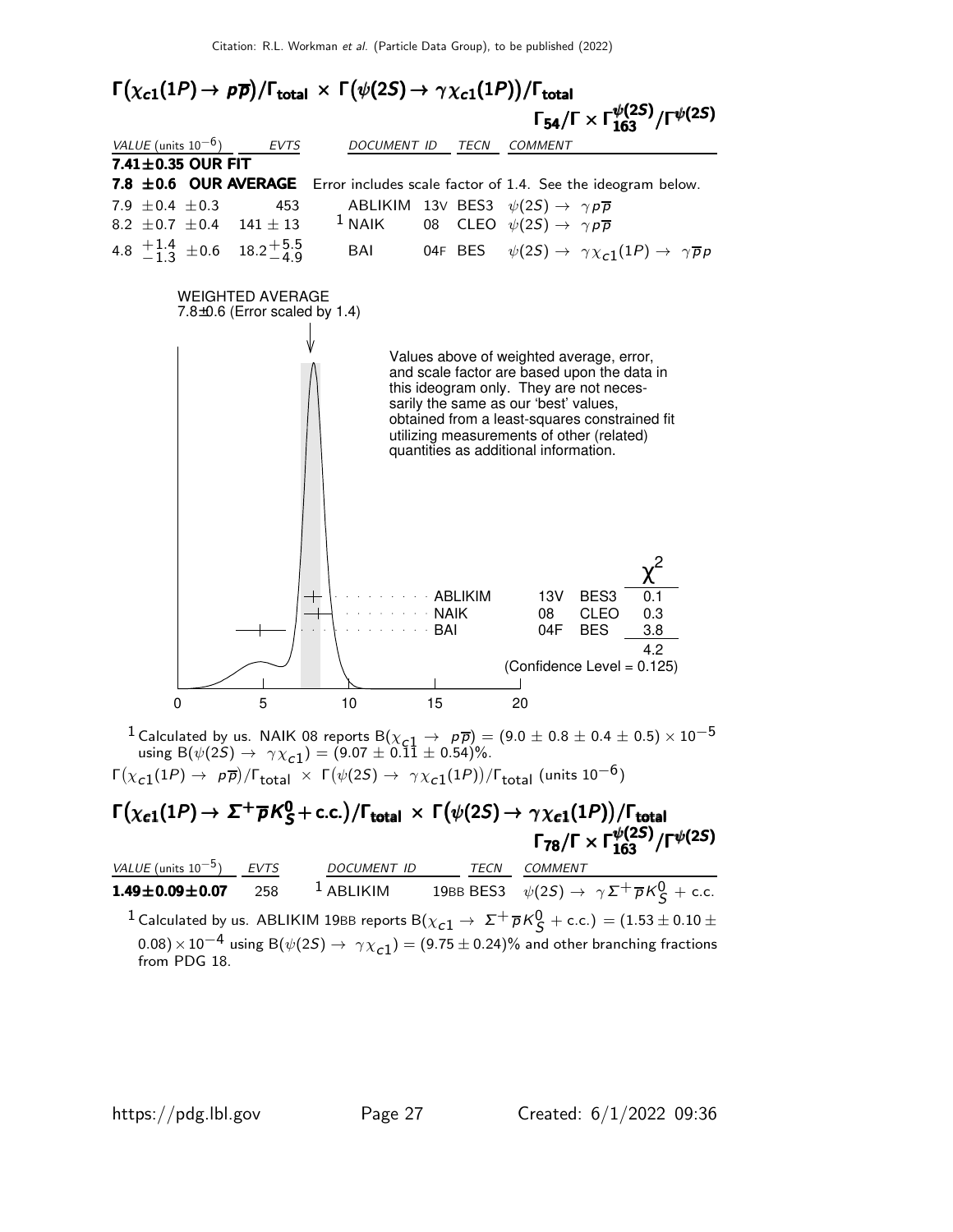

<sup>1</sup> Calculated by us. NAIK 08 reports B( $\chi_{c1} \to p\bar{p}$ ) = (9.0 ± 0.8 ± 0.4 ± 0.5)  $\times$  10<sup>-5</sup> using  $B(\psi(2S) \to \gamma \chi_{c1}) = (9.07 \pm 0.11 \pm 0.54)\%.$  $\Gamma(\chi_{\bf c1}(1P) \to ~{\bf p} \, \overline{{\bf p}})/\Gamma_{\bf total}~\times~\Gamma(\psi(2S) \to ~\gamma \chi_{\bf c1}(1P))/\Gamma_{\bf total}~{\rm (units~10^{-6})}$ 

#### $\Gamma(\chi_{\bf c1}(1P)\to~\Sigma^+\overline{\rho}K_S^0+$  c.c.) / $\Gamma_{\bf total}~\times~\Gamma\big(\psi(2S)\to\gamma\chi_{\bf c1}(1P)\big)/\Gamma_{\bf total}$ Γ<sub>78</sub>/Γ × Γ $\frac{\psi(2S)}{163}$ /Γ $\psi(2S)$  $\Gamma(\chi_{\bf c1}(1P)\to~\Sigma^+\overline{\rho}\, \mathcal{K}^0_S+$  c.c.)  $/\Gamma_{\bf total}~\times~\Gamma\big(\psi(2S)\to\gamma\chi_{\bf c1}(1P)\big)/\Gamma_{\bf total}$  $_{78}/$ Γ  $\times$  Γ $_{163}^{\psi(2S)}/$ Γ $^{\psi(2S)}$  $\Gamma(\chi_{\bf c1}(1P)\to~\sf \Sigma^+\overline\rho K^0_S+c.c.)/\Gamma_{\bf total}~\times~\Gamma\big(\psi(2S)\to\gamma\chi_{\bf c1}(1P)\big)/\Gamma_{\bf total}$  $\begin{split} \Gamma\big(\chi_{\bm{c}1}(1\bm{\mathsf{P}})\rightarrow \bm{\Sigma^+ \overline{\rho}} K_S^0+\text{c.c.}\big)/\Gamma_{\bm{\mathsf{total}}} \,\times\, \Gamma\big(\psi(2S)\rightarrow \gamma \chi_{\bm{c}1}(1\bm{\mathsf{P}})\big)/\Gamma_{\bm{\mathsf{total}}} \ &\hspace{10mm} \Gamma_{\bm{78}}/\Gamma \times \Gamma_{\bm{163}}^{\psi(2S)}/\Gamma^{\psi(2S)} \end{split}$ 78/Γ  $\times$  Γ $_{163}^{\psi(2S)}/$ Γ $^{\psi(2S)}$

*VALUE* (units  $10^{-5}$ ) ) EVTS DOCUMENT ID TECN COMMENT **1.49** $\pm$ **0.09** $\pm$ **0.07** 258 <sup>1</sup> ABLIKIM 19BB BES3  $\psi(2S) \rightarrow \gamma \Sigma^{+} \overline{\rho} K_{S}^{0} +$  c.c.  $^1$  Calculated by us. ABLIKIM 19BB reports B $(\chi_{c1} \to \ \Sigma^+ \overline{\rho} K^0_S +$  c.c.)  $=(1.53 \pm 0.10 \pm 1)$  $(0.08)\times 10^{-4}$  using B $(\psi(2S) \rightarrow \gamma \chi_{c1}) = (9.75 \pm 0.24)\%$  and other branching fractions from PDG 18.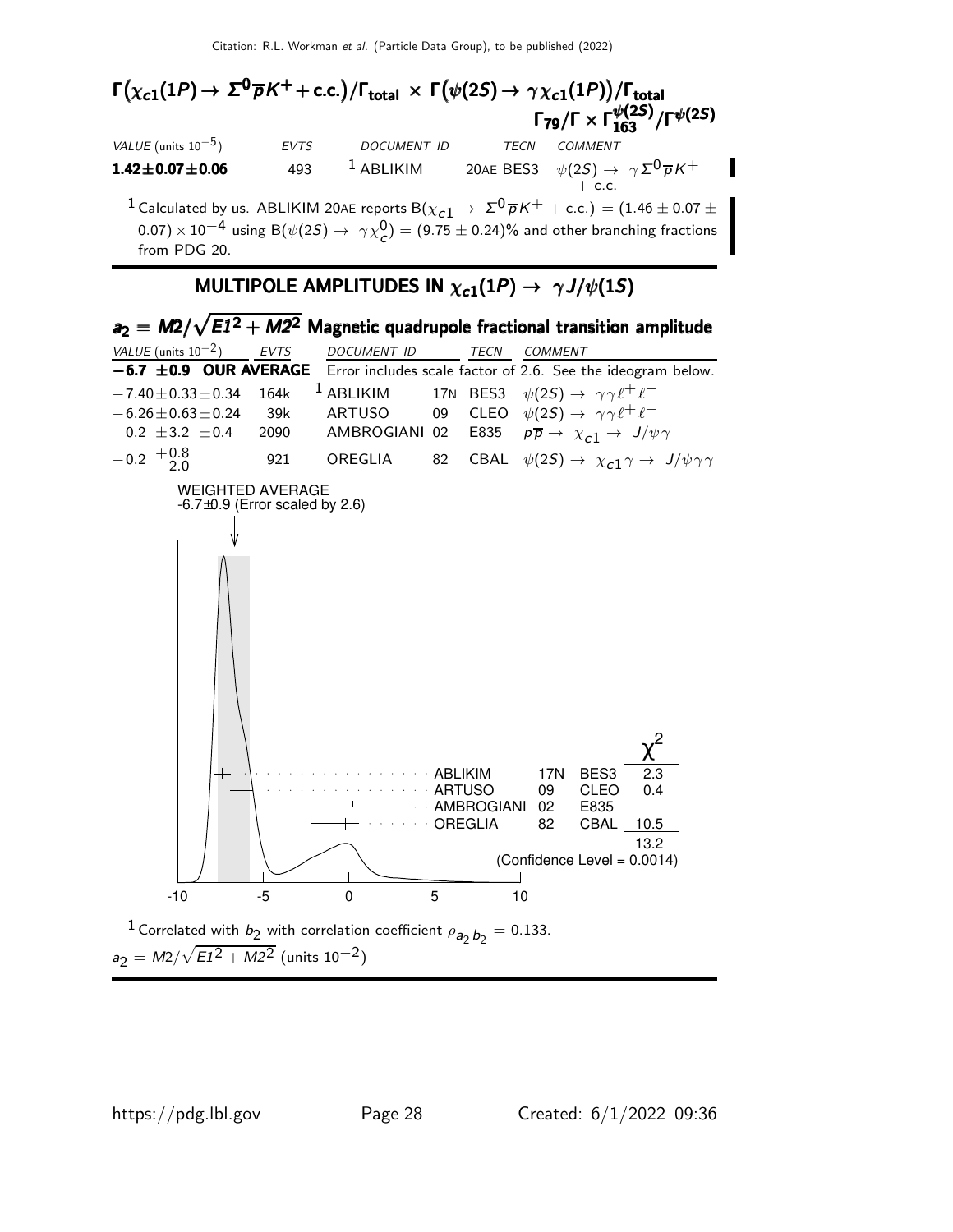#### $\Gamma(\chi_{c1}(1P) \rightarrow \Sigma^{0} \overline{p} K^{+} + \text{c.c.}) / \Gamma_{\text{total}} \times \Gamma(\psi(2S) \rightarrow \gamma \chi_{c1}(1P)) / \Gamma_{\text{total}}$ <br>Γ<sub>79</sub>/Γ × Γ $\frac{\psi(2S)}{163} / \Gamma^{\psi(2S)}$ Γ<sub>79</sub>/Γ  $\times \Gamma^{ \psi(2S)}_{163} / \Gamma^{ \psi(2S)}$ VALUE (units 10<sup>-5</sup>) EVTS DOCUMENT ID TECN COMMENT  $1.42\pm0.07\pm0.06$   $493$   $^1$  Ablikim  $20$ ae BES3  $\,\psi(2S) \rightarrow \,\gamma\, \Sigma^0 \overline{\rho}\, K^+$  $+$  c.c.  $^1$  Calculated by us. ABLIKIM 20AE reports B $(\chi_{\bm{c}{\bf 1}}\rightarrow \ \Sigma^{\bf 0} \,\overline{\rho}\,K^+ + {\rm c.c.}) = (1.46 \pm 0.07 \pm 0.07)$  $(0.07)\times 10^{-4}$  using B $(\psi(2S) \rightarrow \gamma \chi^0_{\cal C}) = (9.75 \pm 0.24)\%$  and other branching fractions from PDG 20.

#### MULTIPOLE AMPLITUDES IN  $\chi_{c1}(1P) \rightarrow \gamma J/\psi(1S)$

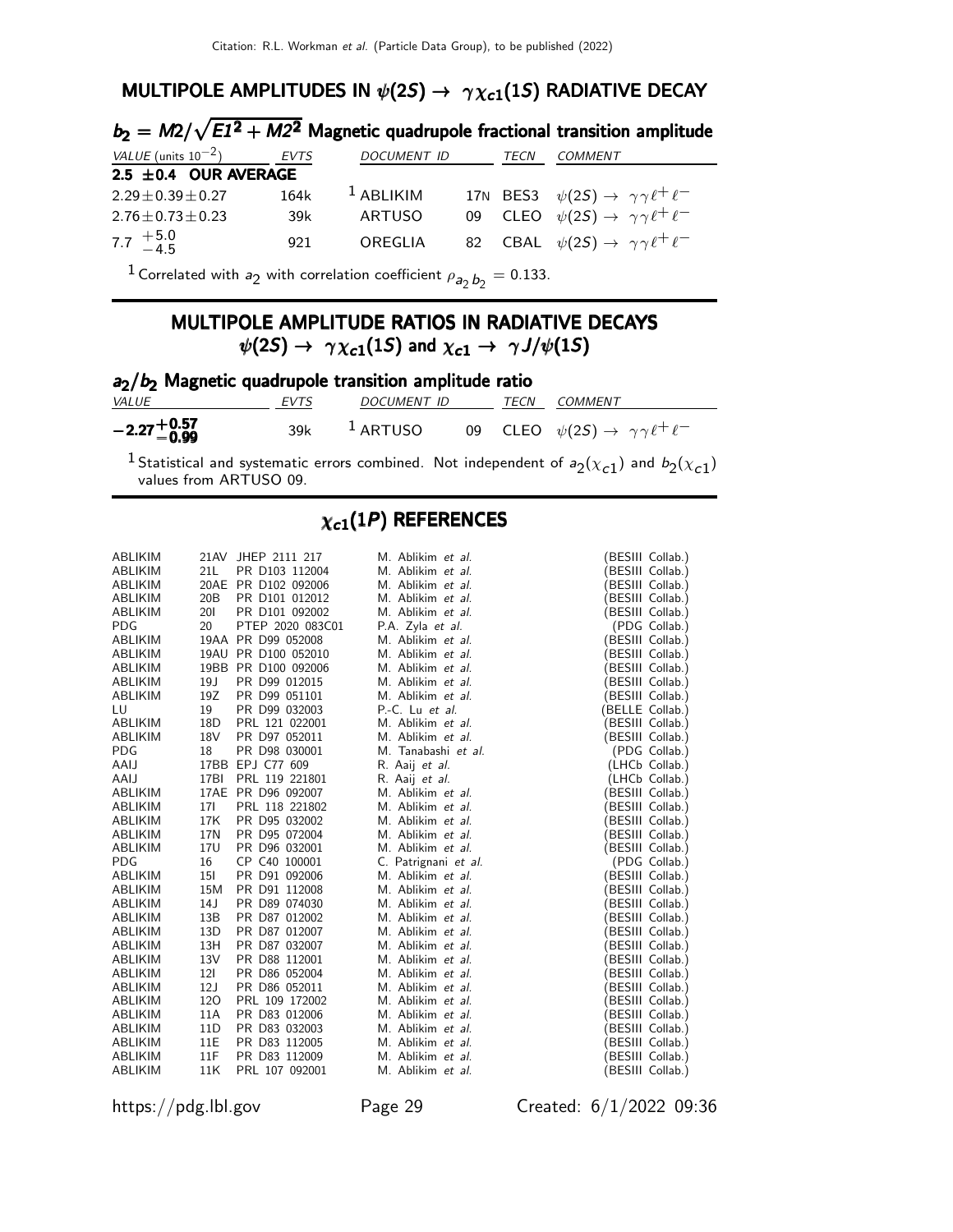#### MULTIPOLE AMPLITUDES IN  $\psi(2S) \rightarrow \gamma \chi_{c1}(1S)$  RADIATIVE DECAY

|                           |      |                    |      | $b_2 = M2/\sqrt{E1^2 + M2^2}$ Magnetic quadrupole fractional transition amplitude |
|---------------------------|------|--------------------|------|-----------------------------------------------------------------------------------|
| VALUE (units $10^{-2}$ )  | EVTS | <b>DOCUMENT ID</b> | TECN | COMMENT                                                                           |
| $2.5 \pm 0.4$ OUR AVERAGE |      |                    |      |                                                                                   |
| $2.29 \pm 0.39 \pm 0.27$  | 164k | $1$ ABLIKIM        |      | 17N BES3 $\psi(2S) \rightarrow \gamma \gamma \ell^+ \ell^-$                       |
| $2.76 \pm 0.73 \pm 0.23$  | 39k  | <b>ARTUSO</b>      |      | 09 CLEO $\psi(2S) \rightarrow \gamma \gamma \ell^+ \ell^-$                        |
| 7.7 $+5.0$<br>-4.5        | 921  | OREGLIA            |      | 82 CBAL $\psi(2S) \rightarrow \gamma \gamma \ell^+ \ell^-$                        |

 $^1$  Correlated with  $a_2$  with correlation coefficient  $\rho_{\bm{a}_2\,\bm{b}_2}=0.133.$ 

#### MULTIPOLE AMPLITUDE RATIOS IN RADIATIVE DECAYS  $\psi(2S) \rightarrow \gamma \chi_{c1}(1S)$  and  $\chi_{c1} \rightarrow \gamma J/\psi(1S)$

| $a_2/b_2$ Magnetic quadrupole transition amplitude ratio |      |                  |  |  |                                                            |  |
|----------------------------------------------------------|------|------------------|--|--|------------------------------------------------------------|--|
| <i>VALUE</i>                                             | EVTS | DOCUMENT ID      |  |  | TECN COMMENT                                               |  |
| $-2.27 + 0.57$                                           |      | $39k$ $1$ ARTUSO |  |  | 09 CLEO $\psi(2S) \rightarrow \gamma \gamma \ell^+ \ell^-$ |  |

<sup>1</sup> Statistical and systematic errors combined. Not independent of  $a_2(x_{c1})$  and  $b_2(x_{c1})$ values from ARTUSO 09.

#### $\chi_{c1}(1P)$  REFERENCES

| ABLIKIM        |                 | 21AV JHEP 2111 217  | M. Ablikim et al.    | (BESIII Collab.) |
|----------------|-----------------|---------------------|----------------------|------------------|
| ABLIKIM        | 21L             | PR D103 112004      | M. Ablikim et al.    | BESIII Collab.)  |
| ABLIKIM        |                 | 20AE PR D102 092006 | M. Ablikim et al.    | (BESIII Collab.) |
| ABLIKIM        | 20B             | PR D101 012012      | M. Ablikim et al.    | (BESIII Collab.) |
| ABLIKIM        | <b>201</b>      | PR D101 092002      | M. Ablikim et al.    | (BESIII Collab.) |
| <b>PDG</b>     | 20              | PTEP 2020 083C01    | P.A. Zyla et al.     | (PDG Collab.)    |
| <b>ABLIKIM</b> |                 | 19AA PR D99 052008  | M. Ablikim et al.    | (BESIII Collab.) |
| ABLIKIM        | 19AU            | PR D100 052010      | M. Ablikim et al.    | BESIII Collab.)  |
| ABLIKIM        |                 | 19BB PR D100 092006 | M. Ablikim et al.    | BESIII Collab.)  |
| ABLIKIM        | 19 <sub>J</sub> | PR D99 012015       | M. Ablikim et al.    | (BESIII Collab.) |
| <b>ABLIKIM</b> | 19Z             | PR D99 051101       | M. Ablikim et al.    | BESIII Collab.)  |
| LU             | 19              | PR D99 032003       | P.-C. Lu et al.      | (BELLE Collab.)  |
| ABLIKIM        | 18D             | PRL 121 022001      | M. Ablikim et al.    | (BESIII Collab.) |
| <b>ABLIKIM</b> | 18V             | PR D97 052011       | M. Ablikim et al.    | (BESIII Collab.) |
| <b>PDG</b>     | 18              | PR D98 030001       | M. Tanabashi et al.  | (PDG Collab.)    |
| AAIJ           |                 | 17BB EPJ C77 609    | R. Aaij et al.       | (LHCb Collab.)   |
| AAIJ           | 17BI            | PRL 119 221801      | R. Aaij et al.       | (LHCb Collab.)   |
| ABLIKIM        |                 | 17AE PR D96 092007  | M. Ablikim et al.    | (BESIII Collab.) |
| ABLIKIM        | 171             | PRL 118 221802      | M. Ablikim et al.    | (BESIII Collab.) |
| <b>ABLIKIM</b> | 17K             | PR D95 032002       | M. Ablikim et al.    | (BESIII Collab.) |
| ABLIKIM        | 17N             | PR D95 072004       | M. Ablikim et al.    | (BESIII Collab.) |
| ABLIKIM        | 17U             | PR D96 032001       | M. Ablikim et al.    | (BESIII Collab.) |
| <b>PDG</b>     | 16              | CP C40 100001       | C. Patrignani et al. | (PDG Collab.)    |
| <b>ABLIKIM</b> | <b>151</b>      | PR D91 092006       | M. Ablikim et al.    | (BESIII Collab.) |
| ABLIKIM        | 15M             | PR D91 112008       | M. Ablikim et al.    | BESIII Collab.)  |
| ABLIKIM        | 14 J            | PR D89 074030       | M. Ablikim et al.    | BESIII Collab.)  |
| ABLIKIM        | 13B             | PR D87 012002       | M. Ablikim et al.    | BESIII Collab.)  |
| ABLIKIM        | 13D             | PR D87 012007       | M. Ablikim et al.    | (BESIII Collab.) |
| ABLIKIM        | 13H             | PR D87 032007       | M. Ablikim et al.    | (BESIII Collab.) |
| <b>ABLIKIM</b> | 13V             | PR D88 112001       | M. Ablikim et al.    | (BESIII Collab.) |
| ABLIKIM        | 121             | PR D86 052004       | M. Ablikim et al.    | (BESIII Collab.) |
| ABLIKIM        | 12J             | PR D86 052011       | M. Ablikim et al.    | (BESIII Collab.) |
| ABLIKIM        | 120             | PRL 109 172002      | M. Ablikim et al.    | (BESIII Collab.) |
| ABLIKIM        | 11A             | PR D83 012006       | M. Ablikim et al.    | (BESIII Collab.) |
| ABLIKIM        | 11D             | PR D83 032003       | M. Ablikim et al.    | (BESIII Collab.) |
| <b>ABLIKIM</b> | 11E             | PR D83 112005       | M. Ablikim et al.    | (BESIII Collab.) |
| ABLIKIM        | 11F             | PR D83 112009       | M. Ablikim et al.    | (BESIII Collab.) |
| ABLIKIM        | 11K             | PRL 107 092001      | M. Ablikim et al.    | (BESIII Collab.) |

https://pdg.lbl.gov Page 29 Created: 6/1/2022 09:36